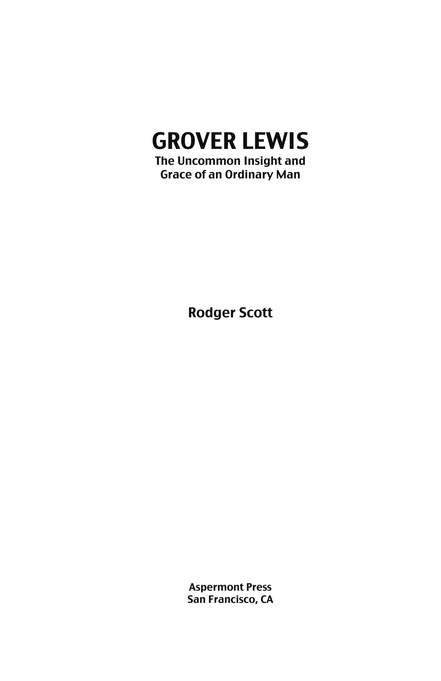# GROVER LEWIS

The Uncommon Insight and Grace of an Ordinary Man

Rodger Scott

Aspermont Press San Francisco, CA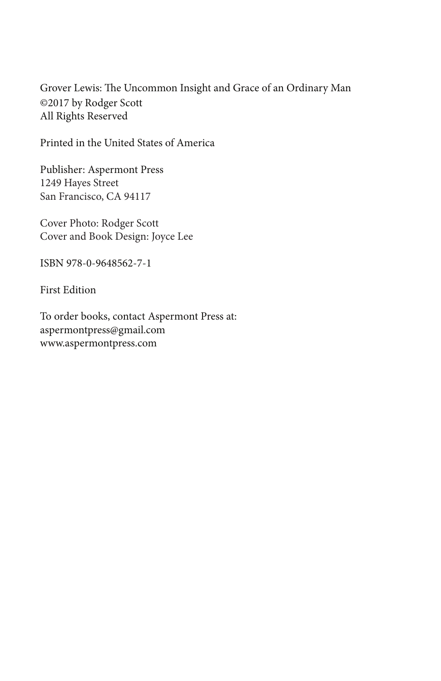Grover Lewis: The Uncommon Insight and Grace of an Ordinary Man ©2017 by Rodger Scott All Rights Reserved

Printed in the United States of America

Publisher: Aspermont Press 1249 Hayes Street San Francisco, CA 94117

Cover Photo: Rodger Scott Cover and Book Design: Joyce Lee

ISBN 978-0-9648562-7-1

First Edition

To order books, contact Aspermont Press at: aspermontpress@gmail.com www.aspermontpress.com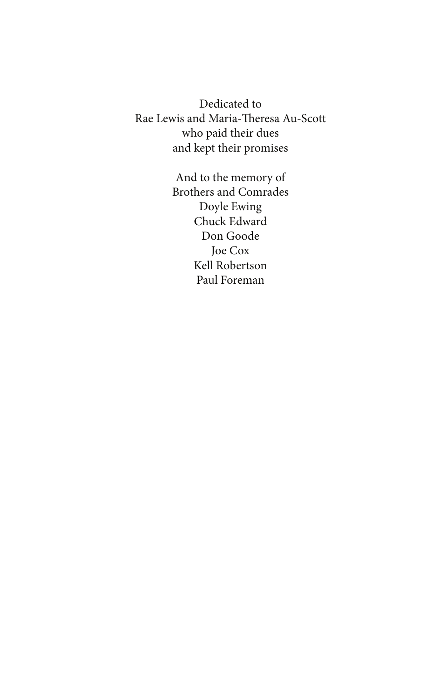Dedicated to Rae Lewis and Maria-Theresa Au-Scott who paid their dues and kept their promises

> And to the memory of Brothers and Comrades Doyle Ewing Chuck Edward Don Goode Joe Cox Kell Robertson Paul Foreman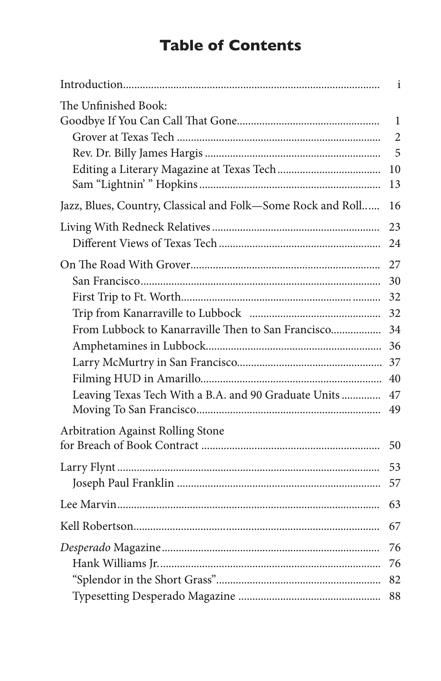# **Table of Contents**

|                                                             | $\mathbf{i}$   |
|-------------------------------------------------------------|----------------|
| The Unfinished Book:                                        | 1              |
|                                                             | $\overline{2}$ |
|                                                             | 5              |
|                                                             | 10<br>13       |
| Jazz, Blues, Country, Classical and Folk-Some Rock and Roll | 16             |
|                                                             | 23             |
|                                                             | 24             |
|                                                             | 27             |
|                                                             | 30             |
|                                                             | 32             |
|                                                             | 32             |
| From Lubbock to Kanarraville Then to San Francisco          | 34             |
|                                                             | 36             |
|                                                             |                |
|                                                             | 40             |
| Leaving Texas Tech With a B.A. and 90 Graduate Units        | 47<br>49       |
| Arbitration Against Rolling Stone                           |                |
|                                                             | 50             |
|                                                             | 53             |
|                                                             | 57             |
|                                                             | 63             |
|                                                             | 67             |
|                                                             | 76             |
|                                                             | 76             |
|                                                             | 82             |
|                                                             | 88             |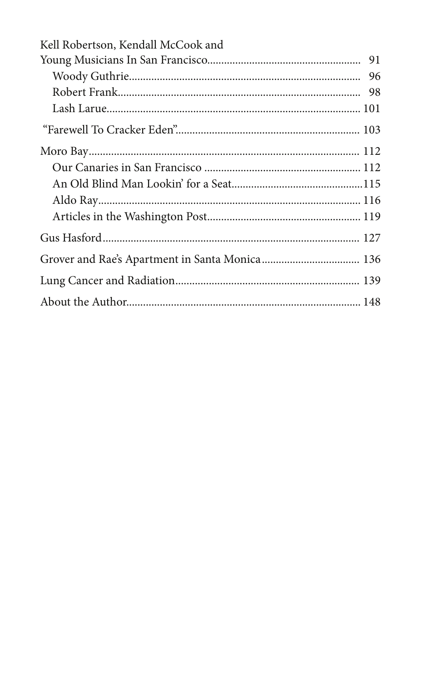| Kell Robertson, Kendall McCook and |  |
|------------------------------------|--|
|                                    |  |
|                                    |  |
|                                    |  |
|                                    |  |
|                                    |  |
|                                    |  |
|                                    |  |
|                                    |  |
|                                    |  |
|                                    |  |
|                                    |  |
|                                    |  |
|                                    |  |
|                                    |  |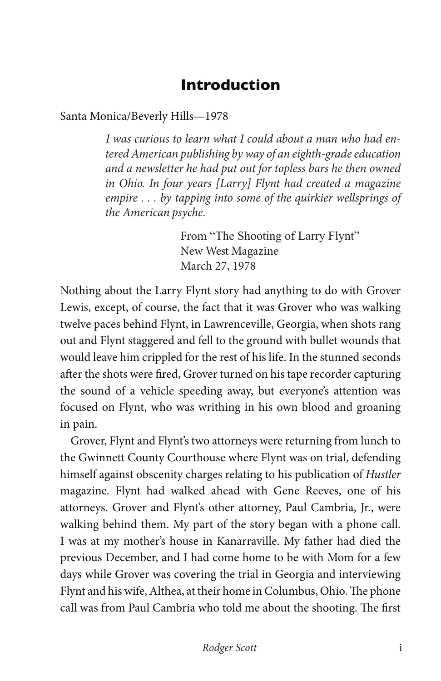### **Introduction**

Santa Monica/Beverly Hills—1978

*I was curious to learn what I could about a man who had entered American publishing by way of an eighth-grade education and a newsletter he had put out for topless bars he then owned in Ohio. In four years [Larry] Flynt had created a magazine empire . . . by tapping into some of the quirkier wellsprings of the American psyche.*

> From "The Shooting of Larry Flynt" New West Magazine March 27, 1978

Nothing about the Larry Flynt story had anything to do with Grover Lewis, except, of course, the fact that it was Grover who was walking twelve paces behind Flynt, in Lawrenceville, Georgia, when shots rang out and Flynt staggered and fell to the ground with bullet wounds that would leave him crippled for the rest of his life. In the stunned seconds after the shots were fired, Grover turned on his tape recorder capturing the sound of a vehicle speeding away, but everyone's attention was focused on Flynt, who was writhing in his own blood and groaning in pain.

Grover, Flynt and Flynt's two attorneys were returning from lunch to the Gwinnett County Courthouse where Flynt was on trial, defending himself against obscenity charges relating to his publication of *Hustler* magazine. Flynt had walked ahead with Gene Reeves, one of his attorneys. Grover and Flynt's other attorney, Paul Cambria, Jr., were walking behind them. My part of the story began with a phone call. I was at my mother's house in Kanarraville. My father had died the previous December, and I had come home to be with Mom for a few days while Grover was covering the trial in Georgia and interviewing Flynt and his wife, Althea, at their home in Columbus, Ohio. The phone call was from Paul Cambria who told me about the shooting. The first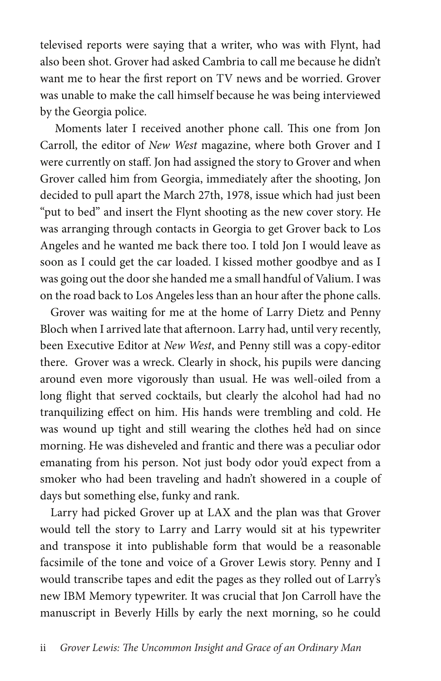televised reports were saying that a writer, who was with Flynt, had also been shot. Grover had asked Cambria to call me because he didn't want me to hear the first report on TV news and be worried. Grover was unable to make the call himself because he was being interviewed by the Georgia police.

 Moments later I received another phone call. This one from Jon Carroll, the editor of *New West* magazine, where both Grover and I were currently on staff. Jon had assigned the story to Grover and when Grover called him from Georgia, immediately after the shooting, Jon decided to pull apart the March 27th, 1978, issue which had just been "put to bed" and insert the Flynt shooting as the new cover story. He was arranging through contacts in Georgia to get Grover back to Los Angeles and he wanted me back there too. I told Jon I would leave as soon as I could get the car loaded. I kissed mother goodbye and as I was going out the door she handed me a small handful of Valium. I was on the road back to Los Angeles less than an hour after the phone calls.

Grover was waiting for me at the home of Larry Dietz and Penny Bloch when I arrived late that afternoon. Larry had, until very recently, been Executive Editor at *New West*, and Penny still was a copy-editor there. Grover was a wreck. Clearly in shock, his pupils were dancing around even more vigorously than usual. He was well-oiled from a long flight that served cocktails, but clearly the alcohol had had no tranquilizing effect on him. His hands were trembling and cold. He was wound up tight and still wearing the clothes he'd had on since morning. He was disheveled and frantic and there was a peculiar odor emanating from his person. Not just body odor you'd expect from a smoker who had been traveling and hadn't showered in a couple of days but something else, funky and rank.

Larry had picked Grover up at LAX and the plan was that Grover would tell the story to Larry and Larry would sit at his typewriter and transpose it into publishable form that would be a reasonable facsimile of the tone and voice of a Grover Lewis story. Penny and I would transcribe tapes and edit the pages as they rolled out of Larry's new IBM Memory typewriter. It was crucial that Jon Carroll have the manuscript in Beverly Hills by early the next morning, so he could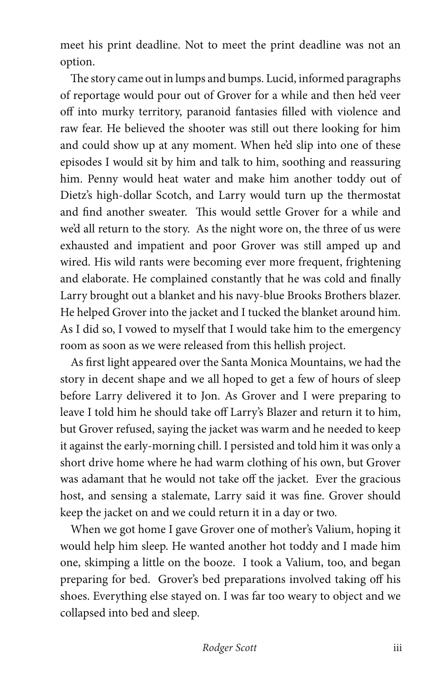meet his print deadline. Not to meet the print deadline was not an option.

The story came out in lumps and bumps. Lucid, informed paragraphs of reportage would pour out of Grover for a while and then he'd veer off into murky territory, paranoid fantasies filled with violence and raw fear. He believed the shooter was still out there looking for him and could show up at any moment. When he'd slip into one of these episodes I would sit by him and talk to him, soothing and reassuring him. Penny would heat water and make him another toddy out of Dietz's high-dollar Scotch, and Larry would turn up the thermostat and find another sweater. This would settle Grover for a while and we'd all return to the story. As the night wore on, the three of us were exhausted and impatient and poor Grover was still amped up and wired. His wild rants were becoming ever more frequent, frightening and elaborate. He complained constantly that he was cold and finally Larry brought out a blanket and his navy-blue Brooks Brothers blazer. He helped Grover into the jacket and I tucked the blanket around him. As I did so, I vowed to myself that I would take him to the emergency room as soon as we were released from this hellish project.

As first light appeared over the Santa Monica Mountains, we had the story in decent shape and we all hoped to get a few of hours of sleep before Larry delivered it to Jon. As Grover and I were preparing to leave I told him he should take off Larry's Blazer and return it to him, but Grover refused, saying the jacket was warm and he needed to keep it against the early-morning chill. I persisted and told him it was only a short drive home where he had warm clothing of his own, but Grover was adamant that he would not take off the jacket. Ever the gracious host, and sensing a stalemate, Larry said it was fine. Grover should keep the jacket on and we could return it in a day or two.

When we got home I gave Grover one of mother's Valium, hoping it would help him sleep. He wanted another hot toddy and I made him one, skimping a little on the booze. I took a Valium, too, and began preparing for bed. Grover's bed preparations involved taking off his shoes. Everything else stayed on. I was far too weary to object and we collapsed into bed and sleep.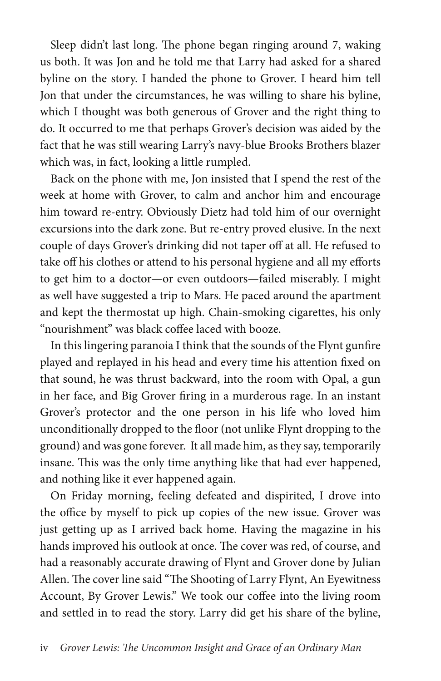Sleep didn't last long. The phone began ringing around 7, waking us both. It was Jon and he told me that Larry had asked for a shared byline on the story. I handed the phone to Grover. I heard him tell Jon that under the circumstances, he was willing to share his byline, which I thought was both generous of Grover and the right thing to do. It occurred to me that perhaps Grover's decision was aided by the fact that he was still wearing Larry's navy-blue Brooks Brothers blazer which was, in fact, looking a little rumpled.

Back on the phone with me, Jon insisted that I spend the rest of the week at home with Grover, to calm and anchor him and encourage him toward re-entry. Obviously Dietz had told him of our overnight excursions into the dark zone. But re-entry proved elusive. In the next couple of days Grover's drinking did not taper off at all. He refused to take off his clothes or attend to his personal hygiene and all my efforts to get him to a doctor—or even outdoors—failed miserably. I might as well have suggested a trip to Mars. He paced around the apartment and kept the thermostat up high. Chain-smoking cigarettes, his only "nourishment" was black coffee laced with booze.

In this lingering paranoia I think that the sounds of the Flynt gunfire played and replayed in his head and every time his attention fixed on that sound, he was thrust backward, into the room with Opal, a gun in her face, and Big Grover firing in a murderous rage. In an instant Grover's protector and the one person in his life who loved him unconditionally dropped to the floor (not unlike Flynt dropping to the ground) and was gone forever. It all made him, as they say, temporarily insane. This was the only time anything like that had ever happened, and nothing like it ever happened again.

On Friday morning, feeling defeated and dispirited, I drove into the office by myself to pick up copies of the new issue. Grover was just getting up as I arrived back home. Having the magazine in his hands improved his outlook at once. The cover was red, of course, and had a reasonably accurate drawing of Flynt and Grover done by Julian Allen. The cover line said "The Shooting of Larry Flynt, An Eyewitness Account, By Grover Lewis." We took our coffee into the living room and settled in to read the story. Larry did get his share of the byline,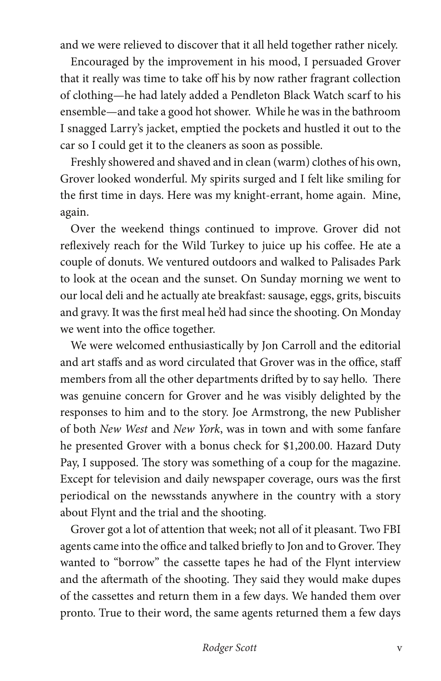and we were relieved to discover that it all held together rather nicely.

Encouraged by the improvement in his mood, I persuaded Grover that it really was time to take off his by now rather fragrant collection of clothing—he had lately added a Pendleton Black Watch scarf to his ensemble—and take a good hot shower. While he was in the bathroom I snagged Larry's jacket, emptied the pockets and hustled it out to the car so I could get it to the cleaners as soon as possible.

Freshly showered and shaved and in clean (warm) clothes of his own, Grover looked wonderful. My spirits surged and I felt like smiling for the first time in days. Here was my knight-errant, home again. Mine, again.

Over the weekend things continued to improve. Grover did not reflexively reach for the Wild Turkey to juice up his coffee. He ate a couple of donuts. We ventured outdoors and walked to Palisades Park to look at the ocean and the sunset. On Sunday morning we went to our local deli and he actually ate breakfast: sausage, eggs, grits, biscuits and gravy. It was the first meal he'd had since the shooting. On Monday we went into the office together.

We were welcomed enthusiastically by Jon Carroll and the editorial and art staffs and as word circulated that Grover was in the office, staff members from all the other departments drifted by to say hello. There was genuine concern for Grover and he was visibly delighted by the responses to him and to the story. Joe Armstrong, the new Publisher of both *New West* and *New York*, was in town and with some fanfare he presented Grover with a bonus check for \$1,200.00. Hazard Duty Pay, I supposed. The story was something of a coup for the magazine. Except for television and daily newspaper coverage, ours was the first periodical on the newsstands anywhere in the country with a story about Flynt and the trial and the shooting.

Grover got a lot of attention that week; not all of it pleasant. Two FBI agents came into the office and talked briefly to Jon and to Grover. They wanted to "borrow" the cassette tapes he had of the Flynt interview and the aftermath of the shooting. They said they would make dupes of the cassettes and return them in a few days. We handed them over pronto. True to their word, the same agents returned them a few days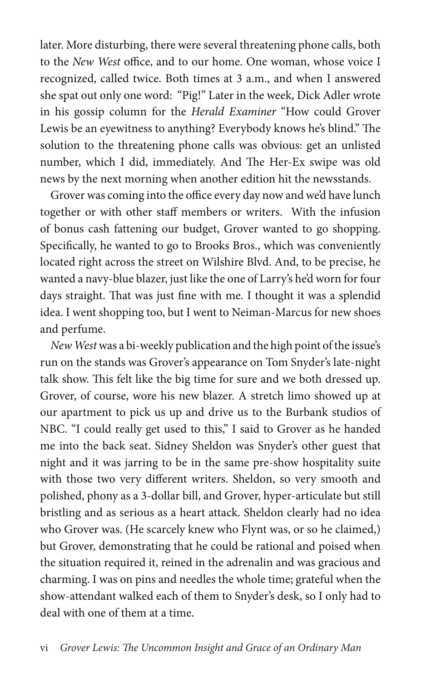later. More disturbing, there were several threatening phone calls, both to the *New West* office, and to our home. One woman, whose voice I recognized, called twice. Both times at 3 a.m., and when I answered she spat out only one word: "Pig!" Later in the week, Dick Adler wrote in his gossip column for the *Herald Examiner* "How could Grover Lewis be an eyewitness to anything? Everybody knows he's blind." The solution to the threatening phone calls was obvious: get an unlisted number, which I did, immediately. And The Her-Ex swipe was old news by the next morning when another edition hit the newsstands.

Grover was coming into the office every day now and we'd have lunch together or with other staff members or writers. With the infusion of bonus cash fattening our budget, Grover wanted to go shopping. Specifically, he wanted to go to Brooks Bros., which was conveniently located right across the street on Wilshire Blvd. And, to be precise, he wanted a navy-blue blazer, just like the one of Larry's he'd worn for four days straight. That was just fine with me. I thought it was a splendid idea. I went shopping too, but I went to Neiman-Marcus for new shoes and perfume.

*New West* was a bi-weekly publication and the high point of the issue's run on the stands was Grover's appearance on Tom Snyder's late-night talk show. This felt like the big time for sure and we both dressed up. Grover, of course, wore his new blazer. A stretch limo showed up at our apartment to pick us up and drive us to the Burbank studios of NBC. "I could really get used to this," I said to Grover as he handed me into the back seat. Sidney Sheldon was Snyder's other guest that night and it was jarring to be in the same pre-show hospitality suite with those two very different writers. Sheldon, so very smooth and polished, phony as a 3-dollar bill, and Grover, hyper-articulate but still bristling and as serious as a heart attack. Sheldon clearly had no idea who Grover was. (He scarcely knew who Flynt was, or so he claimed,) but Grover, demonstrating that he could be rational and poised when the situation required it, reined in the adrenalin and was gracious and charming. I was on pins and needles the whole time; grateful when the show-attendant walked each of them to Snyder's desk, so I only had to deal with one of them at a time.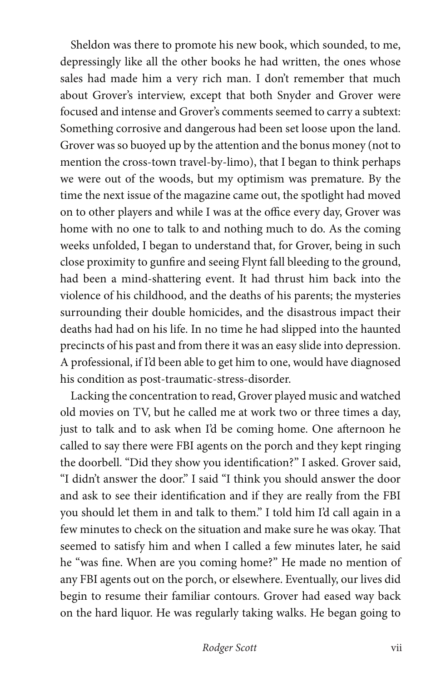Sheldon was there to promote his new book, which sounded, to me, depressingly like all the other books he had written, the ones whose sales had made him a very rich man. I don't remember that much about Grover's interview, except that both Snyder and Grover were focused and intense and Grover's comments seemed to carry a subtext: Something corrosive and dangerous had been set loose upon the land. Grover was so buoyed up by the attention and the bonus money (not to mention the cross-town travel-by-limo), that I began to think perhaps we were out of the woods, but my optimism was premature. By the time the next issue of the magazine came out, the spotlight had moved on to other players and while I was at the office every day, Grover was home with no one to talk to and nothing much to do. As the coming weeks unfolded, I began to understand that, for Grover, being in such close proximity to gunfire and seeing Flynt fall bleeding to the ground, had been a mind-shattering event. It had thrust him back into the violence of his childhood, and the deaths of his parents; the mysteries surrounding their double homicides, and the disastrous impact their deaths had had on his life. In no time he had slipped into the haunted precincts of his past and from there it was an easy slide into depression. A professional, if I'd been able to get him to one, would have diagnosed his condition as post-traumatic-stress-disorder.

Lacking the concentration to read, Grover played music and watched old movies on TV, but he called me at work two or three times a day, just to talk and to ask when I'd be coming home. One afternoon he called to say there were FBI agents on the porch and they kept ringing the doorbell. "Did they show you identification?" I asked. Grover said, "I didn't answer the door." I said "I think you should answer the door and ask to see their identification and if they are really from the FBI you should let them in and talk to them." I told him I'd call again in a few minutes to check on the situation and make sure he was okay. That seemed to satisfy him and when I called a few minutes later, he said he "was fine. When are you coming home?" He made no mention of any FBI agents out on the porch, or elsewhere. Eventually, our lives did begin to resume their familiar contours. Grover had eased way back on the hard liquor. He was regularly taking walks. He began going to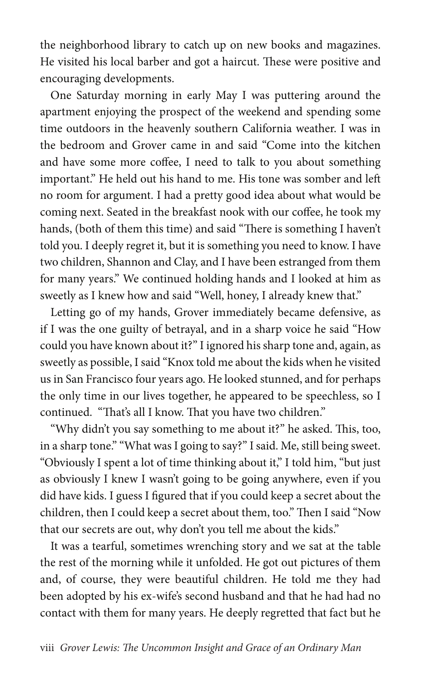the neighborhood library to catch up on new books and magazines. He visited his local barber and got a haircut. These were positive and encouraging developments.

One Saturday morning in early May I was puttering around the apartment enjoying the prospect of the weekend and spending some time outdoors in the heavenly southern California weather. I was in the bedroom and Grover came in and said "Come into the kitchen and have some more coffee, I need to talk to you about something important." He held out his hand to me. His tone was somber and left no room for argument. I had a pretty good idea about what would be coming next. Seated in the breakfast nook with our coffee, he took my hands, (both of them this time) and said "There is something I haven't told you. I deeply regret it, but it is something you need to know. I have two children, Shannon and Clay, and I have been estranged from them for many years." We continued holding hands and I looked at him as sweetly as I knew how and said "Well, honey, I already knew that."

Letting go of my hands, Grover immediately became defensive, as if I was the one guilty of betrayal, and in a sharp voice he said "How could you have known about it?" I ignored his sharp tone and, again, as sweetly as possible, I said "Knox told me about the kids when he visited us in San Francisco four years ago. He looked stunned, and for perhaps the only time in our lives together, he appeared to be speechless, so I continued. "That's all I know. That you have two children."

"Why didn't you say something to me about it?" he asked. This, too, in a sharp tone." "What was I going to say?" I said. Me, still being sweet. "Obviously I spent a lot of time thinking about it," I told him, "but just as obviously I knew I wasn't going to be going anywhere, even if you did have kids. I guess I figured that if you could keep a secret about the children, then I could keep a secret about them, too." Then I said "Now that our secrets are out, why don't you tell me about the kids."

It was a tearful, sometimes wrenching story and we sat at the table the rest of the morning while it unfolded. He got out pictures of them and, of course, they were beautiful children. He told me they had been adopted by his ex-wife's second husband and that he had had no contact with them for many years. He deeply regretted that fact but he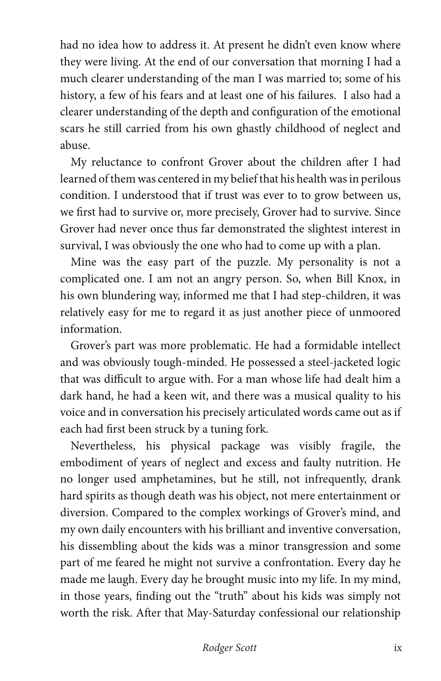had no idea how to address it. At present he didn't even know where they were living. At the end of our conversation that morning I had a much clearer understanding of the man I was married to; some of his history, a few of his fears and at least one of his failures. I also had a clearer understanding of the depth and configuration of the emotional scars he still carried from his own ghastly childhood of neglect and abuse.

My reluctance to confront Grover about the children after I had learned of them was centered in my belief that his health was in perilous condition. I understood that if trust was ever to to grow between us, we first had to survive or, more precisely, Grover had to survive. Since Grover had never once thus far demonstrated the slightest interest in survival, I was obviously the one who had to come up with a plan.

Mine was the easy part of the puzzle. My personality is not a complicated one. I am not an angry person. So, when Bill Knox, in his own blundering way, informed me that I had step-children, it was relatively easy for me to regard it as just another piece of unmoored information.

Grover's part was more problematic. He had a formidable intellect and was obviously tough-minded. He possessed a steel-jacketed logic that was difficult to argue with. For a man whose life had dealt him a dark hand, he had a keen wit, and there was a musical quality to his voice and in conversation his precisely articulated words came out as if each had first been struck by a tuning fork.

Nevertheless, his physical package was visibly fragile, the embodiment of years of neglect and excess and faulty nutrition. He no longer used amphetamines, but he still, not infrequently, drank hard spirits as though death was his object, not mere entertainment or diversion. Compared to the complex workings of Grover's mind, and my own daily encounters with his brilliant and inventive conversation, his dissembling about the kids was a minor transgression and some part of me feared he might not survive a confrontation. Every day he made me laugh. Every day he brought music into my life. In my mind, in those years, finding out the "truth" about his kids was simply not worth the risk. After that May-Saturday confessional our relationship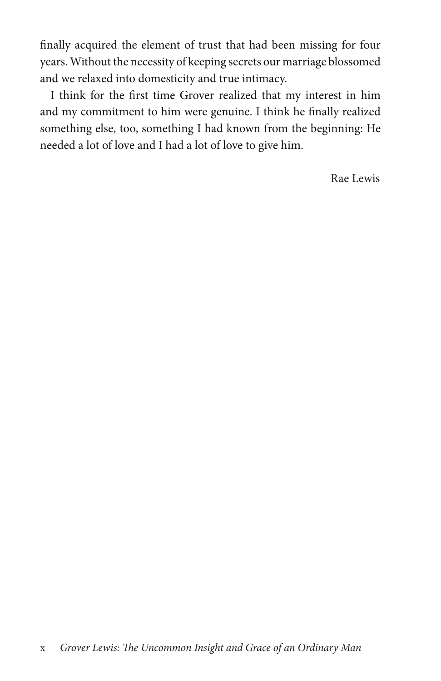finally acquired the element of trust that had been missing for four years. Without the necessity of keeping secrets our marriage blossomed and we relaxed into domesticity and true intimacy.

I think for the first time Grover realized that my interest in him and my commitment to him were genuine. I think he finally realized something else, too, something I had known from the beginning: He needed a lot of love and I had a lot of love to give him.

Rae Lewis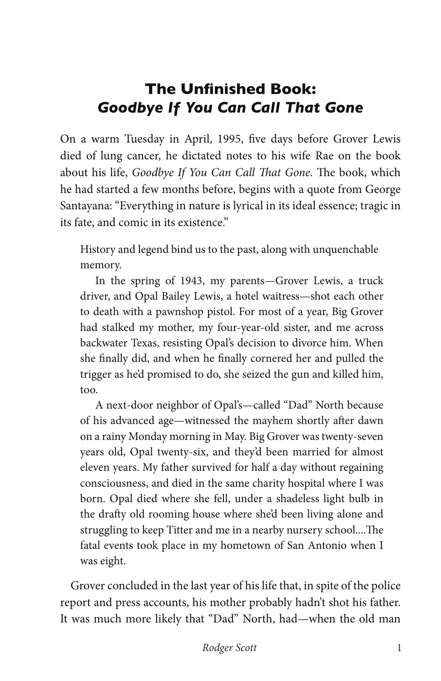# **The Unfinished Book:**  *Goodbye If You Can Call That Gone*

On a warm Tuesday in April, 1995, five days before Grover Lewis died of lung cancer, he dictated notes to his wife Rae on the book about his life, *Goodbye If You Can Call That Gone.* The book, which he had started a few months before, begins with a quote from George Santayana: "Everything in nature is lyrical in its ideal essence; tragic in its fate, and comic in its existence."

History and legend bind us to the past, along with unquenchable memory.

In the spring of 1943, my parents—Grover Lewis, a truck driver, and Opal Bailey Lewis, a hotel waitress—shot each other to death with a pawnshop pistol. For most of a year, Big Grover had stalked my mother, my four-year-old sister, and me across backwater Texas, resisting Opal's decision to divorce him. When she finally did, and when he finally cornered her and pulled the trigger as he'd promised to do, she seized the gun and killed him, too.

A next-door neighbor of Opal's—called "Dad" North because of his advanced age—witnessed the mayhem shortly after dawn on a rainy Monday morning in May. Big Grover was twenty-seven years old, Opal twenty-six, and they'd been married for almost eleven years. My father survived for half a day without regaining consciousness, and died in the same charity hospital where I was born. Opal died where she fell, under a shadeless light bulb in the drafty old rooming house where she'd been living alone and struggling to keep Titter and me in a nearby nursery school....The fatal events took place in my hometown of San Antonio when I was eight.

Grover concluded in the last year of his life that, in spite of the police report and press accounts, his mother probably hadn't shot his father. It was much more likely that "Dad" North, had—when the old man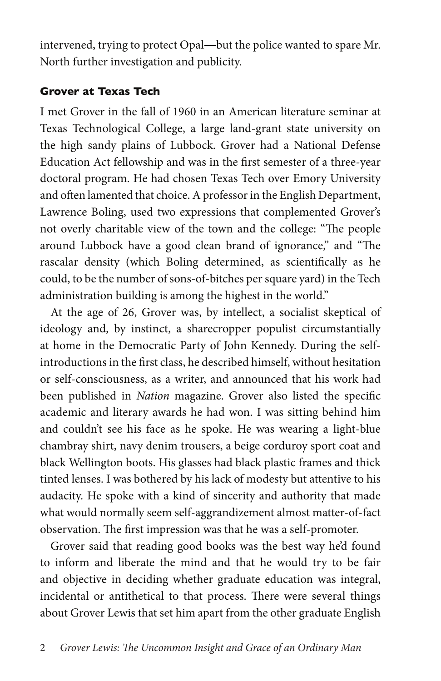intervened, trying to protect Opal―but the police wanted to spare Mr. North further investigation and publicity.

#### **Grover at Texas Tech**

I met Grover in the fall of 1960 in an American literature seminar at Texas Technological College, a large land-grant state university on the high sandy plains of Lubbock. Grover had a National Defense Education Act fellowship and was in the first semester of a three-year doctoral program. He had chosen Texas Tech over Emory University and often lamented that choice. A professor in the English Department, Lawrence Boling, used two expressions that complemented Grover's not overly charitable view of the town and the college: "The people around Lubbock have a good clean brand of ignorance," and "The rascalar density (which Boling determined, as scientifically as he could, to be the number of sons-of-bitches per square yard) in the Tech administration building is among the highest in the world."

At the age of 26, Grover was, by intellect, a socialist skeptical of ideology and, by instinct, a sharecropper populist circumstantially at home in the Democratic Party of John Kennedy. During the selfintroductions in the first class, he described himself, without hesitation or self-consciousness, as a writer, and announced that his work had been published in *Nation* magazine. Grover also listed the specific academic and literary awards he had won. I was sitting behind him and couldn't see his face as he spoke. He was wearing a light-blue chambray shirt, navy denim trousers, a beige corduroy sport coat and black Wellington boots. His glasses had black plastic frames and thick tinted lenses. I was bothered by his lack of modesty but attentive to his audacity. He spoke with a kind of sincerity and authority that made what would normally seem self-aggrandizement almost matter-of-fact observation. The first impression was that he was a self-promoter.

Grover said that reading good books was the best way he'd found to inform and liberate the mind and that he would try to be fair and objective in deciding whether graduate education was integral, incidental or antithetical to that process. There were several things about Grover Lewis that set him apart from the other graduate English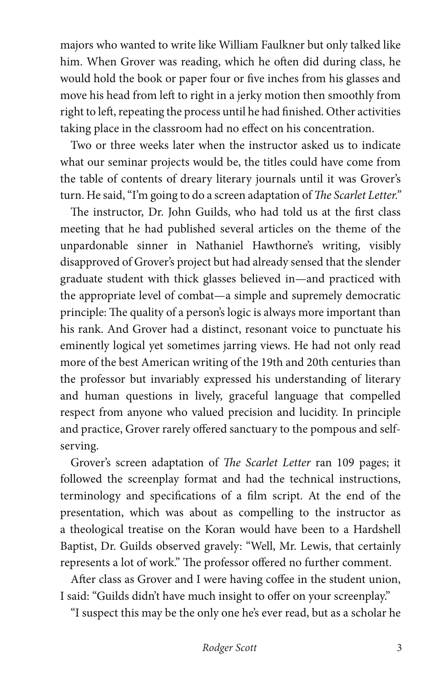majors who wanted to write like William Faulkner but only talked like him. When Grover was reading, which he often did during class, he would hold the book or paper four or five inches from his glasses and move his head from left to right in a jerky motion then smoothly from right to left, repeating the process until he had finished. Other activities taking place in the classroom had no effect on his concentration.

Two or three weeks later when the instructor asked us to indicate what our seminar projects would be, the titles could have come from the table of contents of dreary literary journals until it was Grover's turn. He said, "I'm going to do a screen adaptation of *The Scarlet Letter."*

The instructor, Dr. John Guilds, who had told us at the first class meeting that he had published several articles on the theme of the unpardonable sinner in Nathaniel Hawthorne's writing, visibly disapproved of Grover's project but had already sensed that the slender graduate student with thick glasses believed in—and practiced with the appropriate level of combat—a simple and supremely democratic principle: The quality of a person's logic is always more important than his rank. And Grover had a distinct, resonant voice to punctuate his eminently logical yet sometimes jarring views. He had not only read more of the best American writing of the 19th and 20th centuries than the professor but invariably expressed his understanding of literary and human questions in lively, graceful language that compelled respect from anyone who valued precision and lucidity. In principle and practice, Grover rarely offered sanctuary to the pompous and selfserving.

Grover's screen adaptation of *The Scarlet Letter* ran 109 pages; it followed the screenplay format and had the technical instructions, terminology and specifications of a film script. At the end of the presentation, which was about as compelling to the instructor as a theological treatise on the Koran would have been to a Hardshell Baptist, Dr. Guilds observed gravely: "Well, Mr. Lewis, that certainly represents a lot of work." The professor offered no further comment.

After class as Grover and I were having coffee in the student union, I said: "Guilds didn't have much insight to offer on your screenplay."

"I suspect this may be the only one he's ever read, but as a scholar he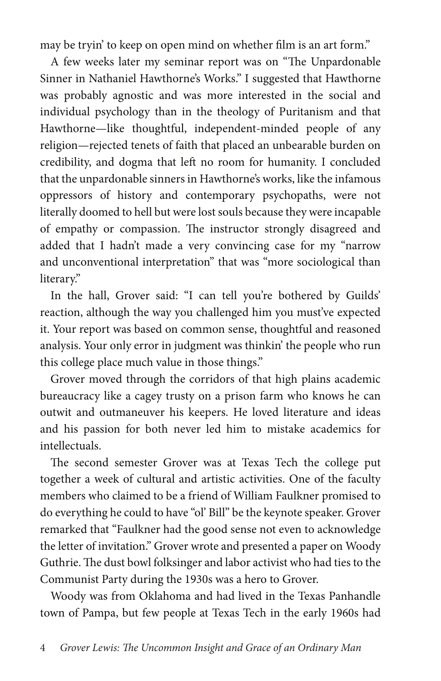may be tryin' to keep on open mind on whether film is an art form."

A few weeks later my seminar report was on "The Unpardonable Sinner in Nathaniel Hawthorne's Works." I suggested that Hawthorne was probably agnostic and was more interested in the social and individual psychology than in the theology of Puritanism and that Hawthorne—like thoughtful, independent-minded people of any religion—rejected tenets of faith that placed an unbearable burden on credibility, and dogma that left no room for humanity. I concluded that the unpardonable sinners in Hawthorne's works, like the infamous oppressors of history and contemporary psychopaths, were not literally doomed to hell but were lost souls because they were incapable of empathy or compassion. The instructor strongly disagreed and added that I hadn't made a very convincing case for my "narrow and unconventional interpretation" that was "more sociological than literary."

In the hall, Grover said: "I can tell you're bothered by Guilds' reaction, although the way you challenged him you must've expected it. Your report was based on common sense, thoughtful and reasoned analysis. Your only error in judgment was thinkin' the people who run this college place much value in those things."

Grover moved through the corridors of that high plains academic bureaucracy like a cagey trusty on a prison farm who knows he can outwit and outmaneuver his keepers. He loved literature and ideas and his passion for both never led him to mistake academics for intellectuals.

The second semester Grover was at Texas Tech the college put together a week of cultural and artistic activities. One of the faculty members who claimed to be a friend of William Faulkner promised to do everything he could to have "ol' Bill" be the keynote speaker. Grover remarked that "Faulkner had the good sense not even to acknowledge the letter of invitation." Grover wrote and presented a paper on Woody Guthrie. The dust bowl folksinger and labor activist who had ties to the Communist Party during the 1930s was a hero to Grover.

Woody was from Oklahoma and had lived in the Texas Panhandle town of Pampa, but few people at Texas Tech in the early 1960s had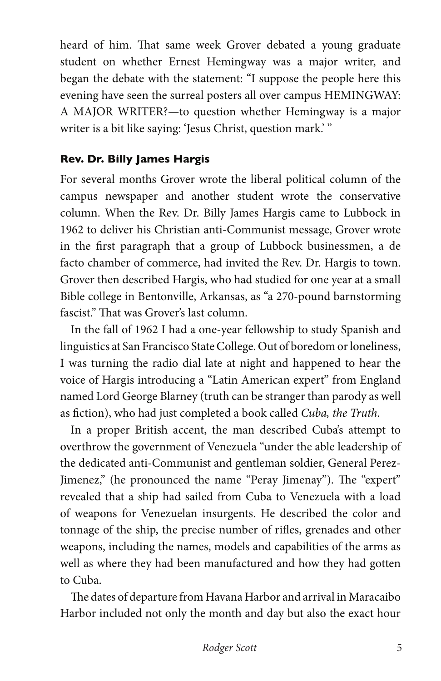heard of him. That same week Grover debated a young graduate student on whether Ernest Hemingway was a major writer, and began the debate with the statement: "I suppose the people here this evening have seen the surreal posters all over campus HEMINGWAY: A MAJOR WRITER?—to question whether Hemingway is a major writer is a bit like saying: 'Jesus Christ, question mark.' "

#### **Rev. Dr. Billy James Hargis**

For several months Grover wrote the liberal political column of the campus newspaper and another student wrote the conservative column. When the Rev. Dr. Billy James Hargis came to Lubbock in 1962 to deliver his Christian anti-Communist message, Grover wrote in the first paragraph that a group of Lubbock businessmen, a de facto chamber of commerce, had invited the Rev. Dr. Hargis to town. Grover then described Hargis, who had studied for one year at a small Bible college in Bentonville, Arkansas, as "a 270-pound barnstorming fascist." That was Grover's last column.

In the fall of 1962 I had a one-year fellowship to study Spanish and linguistics at San Francisco State College. Out of boredom or loneliness, I was turning the radio dial late at night and happened to hear the voice of Hargis introducing a "Latin American expert" from England named Lord George Blarney (truth can be stranger than parody as well as fiction), who had just completed a book called *Cuba, the Truth*.

In a proper British accent, the man described Cuba's attempt to overthrow the government of Venezuela "under the able leadership of the dedicated anti-Communist and gentleman soldier, General Perez-Jimenez," (he pronounced the name "Peray Jimenay"). The "expert" revealed that a ship had sailed from Cuba to Venezuela with a load of weapons for Venezuelan insurgents. He described the color and tonnage of the ship, the precise number of rifles, grenades and other weapons, including the names, models and capabilities of the arms as well as where they had been manufactured and how they had gotten to Cuba.

The dates of departure from Havana Harbor and arrival in Maracaibo Harbor included not only the month and day but also the exact hour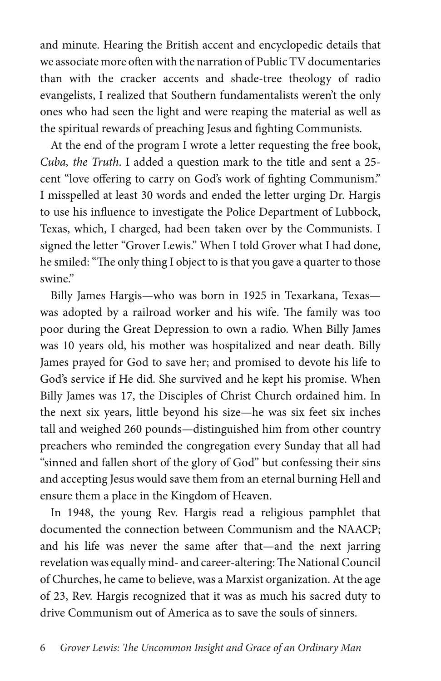and minute. Hearing the British accent and encyclopedic details that we associate more often with the narration of Public TV documentaries than with the cracker accents and shade-tree theology of radio evangelists, I realized that Southern fundamentalists weren't the only ones who had seen the light and were reaping the material as well as the spiritual rewards of preaching Jesus and fighting Communists.

At the end of the program I wrote a letter requesting the free book, *Cuba, the Truth*. I added a question mark to the title and sent a 25 cent "love offering to carry on God's work of fighting Communism." I misspelled at least 30 words and ended the letter urging Dr. Hargis to use his influence to investigate the Police Department of Lubbock, Texas, which, I charged, had been taken over by the Communists. I signed the letter "Grover Lewis." When I told Grover what I had done, he smiled: "The only thing I object to is that you gave a quarter to those swine."

Billy James Hargis—who was born in 1925 in Texarkana, Texas was adopted by a railroad worker and his wife. The family was too poor during the Great Depression to own a radio. When Billy James was 10 years old, his mother was hospitalized and near death. Billy James prayed for God to save her; and promised to devote his life to God's service if He did. She survived and he kept his promise. When Billy James was 17, the Disciples of Christ Church ordained him. In the next six years, little beyond his size—he was six feet six inches tall and weighed 260 pounds—distinguished him from other country preachers who reminded the congregation every Sunday that all had "sinned and fallen short of the glory of God" but confessing their sins and accepting Jesus would save them from an eternal burning Hell and ensure them a place in the Kingdom of Heaven.

In 1948, the young Rev. Hargis read a religious pamphlet that documented the connection between Communism and the NAACP; and his life was never the same after that—and the next jarring revelation was equally mind- and career-altering: The National Council of Churches, he came to believe, was a Marxist organization. At the age of 23, Rev. Hargis recognized that it was as much his sacred duty to drive Communism out of America as to save the souls of sinners.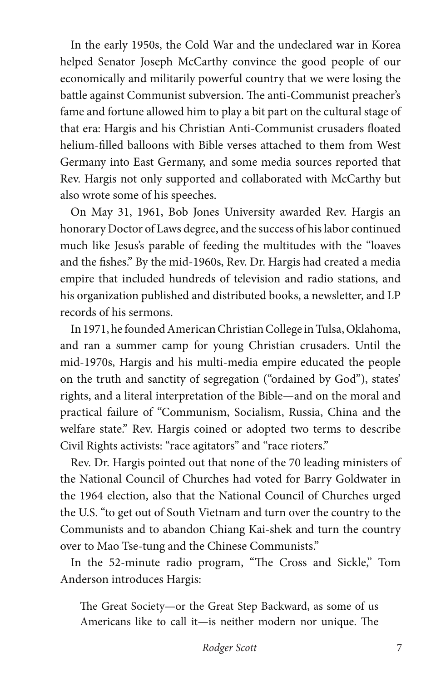In the early 1950s, the Cold War and the undeclared war in Korea helped Senator Joseph McCarthy convince the good people of our economically and militarily powerful country that we were losing the battle against Communist subversion. The anti-Communist preacher's fame and fortune allowed him to play a bit part on the cultural stage of that era: Hargis and his Christian Anti-Communist crusaders floated helium-filled balloons with Bible verses attached to them from West Germany into East Germany, and some media sources reported that Rev. Hargis not only supported and collaborated with McCarthy but also wrote some of his speeches.

On May 31, 1961, Bob Jones University awarded Rev. Hargis an honorary Doctor of Laws degree, and the success of his labor continued much like Jesus's parable of feeding the multitudes with the "loaves and the fishes." By the mid-1960s, Rev. Dr. Hargis had created a media empire that included hundreds of television and radio stations, and his organization published and distributed books, a newsletter, and LP records of his sermons.

In 1971, he founded American Christian College in Tulsa, Oklahoma, and ran a summer camp for young Christian crusaders. Until the mid-1970s, Hargis and his multi-media empire educated the people on the truth and sanctity of segregation ("ordained by God"), states' rights, and a literal interpretation of the Bible—and on the moral and practical failure of "Communism, Socialism, Russia, China and the welfare state." Rev. Hargis coined or adopted two terms to describe Civil Rights activists: "race agitators" and "race rioters."

Rev. Dr. Hargis pointed out that none of the 70 leading ministers of the National Council of Churches had voted for Barry Goldwater in the 1964 election, also that the National Council of Churches urged the U.S. "to get out of South Vietnam and turn over the country to the Communists and to abandon Chiang Kai-shek and turn the country over to Mao Tse-tung and the Chinese Communists."

In the 52-minute radio program, "The Cross and Sickle," Tom Anderson introduces Hargis:

The Great Society—or the Great Step Backward, as some of us Americans like to call it—is neither modern nor unique. The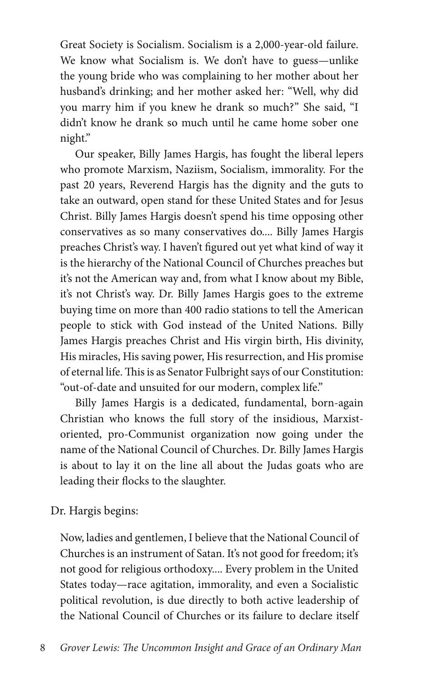Great Society is Socialism. Socialism is a 2,000-year-old failure. We know what Socialism is. We don't have to guess—unlike the young bride who was complaining to her mother about her husband's drinking; and her mother asked her: "Well, why did you marry him if you knew he drank so much?" She said, "I didn't know he drank so much until he came home sober one night."

Our speaker, Billy James Hargis, has fought the liberal lepers who promote Marxism, Naziism, Socialism, immorality. For the past 20 years, Reverend Hargis has the dignity and the guts to take an outward, open stand for these United States and for Jesus Christ. Billy James Hargis doesn't spend his time opposing other conservatives as so many conservatives do.... Billy James Hargis preaches Christ's way. I haven't figured out yet what kind of way it is the hierarchy of the National Council of Churches preaches but it's not the American way and, from what I know about my Bible, it's not Christ's way. Dr. Billy James Hargis goes to the extreme buying time on more than 400 radio stations to tell the American people to stick with God instead of the United Nations. Billy James Hargis preaches Christ and His virgin birth, His divinity, His miracles, His saving power, His resurrection, and His promise of eternal life. This is as Senator Fulbright says of our Constitution: "out-of-date and unsuited for our modern, complex life."

Billy James Hargis is a dedicated, fundamental, born-again Christian who knows the full story of the insidious, Marxistoriented, pro-Communist organization now going under the name of the National Council of Churches. Dr. Billy James Hargis is about to lay it on the line all about the Judas goats who are leading their flocks to the slaughter.

Dr. Hargis begins:

Now, ladies and gentlemen, I believe that the National Council of Churches is an instrument of Satan. It's not good for freedom; it's not good for religious orthodoxy.... Every problem in the United States today—race agitation, immorality, and even a Socialistic political revolution, is due directly to both active leadership of the National Council of Churches or its failure to declare itself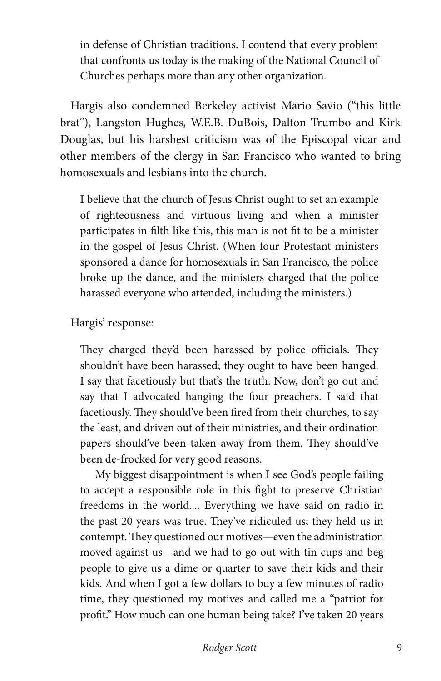in defense of Christian traditions. I contend that every problem that confronts us today is the making of the National Council of Churches perhaps more than any other organization.

Hargis also condemned Berkeley activist Mario Savio ("this little brat"), Langston Hughes, W.E.B. DuBois, Dalton Trumbo and Kirk Douglas, but his harshest criticism was of the Episcopal vicar and other members of the clergy in San Francisco who wanted to bring homosexuals and lesbians into the church.

I believe that the church of Jesus Christ ought to set an example of righteousness and virtuous living and when a minister participates in filth like this, this man is not fit to be a minister in the gospel of Jesus Christ. (When four Protestant ministers sponsored a dance for homosexuals in San Francisco, the police broke up the dance, and the ministers charged that the police harassed everyone who attended, including the ministers.)

Hargis' response:

They charged they'd been harassed by police officials. They shouldn't have been harassed; they ought to have been hanged. I say that facetiously but that's the truth. Now, don't go out and say that I advocated hanging the four preachers. I said that facetiously. They should've been fired from their churches, to say the least, and driven out of their ministries, and their ordination papers should've been taken away from them. They should've been de-frocked for very good reasons.

My biggest disappointment is when I see God's people failing to accept a responsible role in this fight to preserve Christian freedoms in the world.... Everything we have said on radio in the past 20 years was true. They've ridiculed us; they held us in contempt. They questioned our motives—even the administration moved against us—and we had to go out with tin cups and beg people to give us a dime or quarter to save their kids and their kids. And when I got a few dollars to buy a few minutes of radio time, they questioned my motives and called me a "patriot for profit." How much can one human being take? I've taken 20 years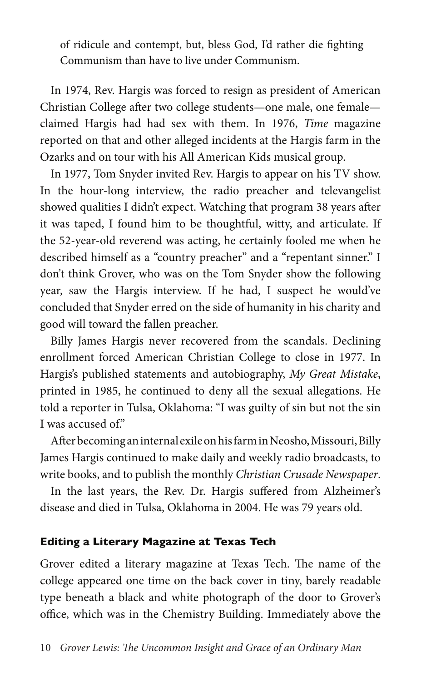of ridicule and contempt, but, bless God, I'd rather die fighting Communism than have to live under Communism.

In 1974, Rev. Hargis was forced to resign as president of American Christian College after two college students—one male, one female claimed Hargis had had sex with them. In 1976, *Time* magazine reported on that and other alleged incidents at the Hargis farm in the Ozarks and on tour with his All American Kids musical group.

In 1977, Tom Snyder invited Rev. Hargis to appear on his TV show. In the hour-long interview, the radio preacher and televangelist showed qualities I didn't expect. Watching that program 38 years after it was taped, I found him to be thoughtful, witty, and articulate. If the 52-year-old reverend was acting, he certainly fooled me when he described himself as a "country preacher" and a "repentant sinner." I don't think Grover, who was on the Tom Snyder show the following year, saw the Hargis interview. If he had, I suspect he would've concluded that Snyder erred on the side of humanity in his charity and good will toward the fallen preacher.

Billy James Hargis never recovered from the scandals. Declining enrollment forced American Christian College to close in 1977. In Hargis's published statements and autobiography, *My Great Mistake*, printed in 1985, he continued to deny all the sexual allegations. He told a reporter in Tulsa, Oklahoma: "I was guilty of sin but not the sin I was accused of."

After becoming an internal exile on his farm in Neosho, Missouri, Billy James Hargis continued to make daily and weekly radio broadcasts, to write books, and to publish the monthly *Christian Crusade Newspaper*.

In the last years, the Rev. Dr. Hargis suffered from Alzheimer's disease and died in Tulsa, Oklahoma in 2004. He was 79 years old.

#### **Editing a Literary Magazine at Texas Tech**

Grover edited a literary magazine at Texas Tech. The name of the college appeared one time on the back cover in tiny, barely readable type beneath a black and white photograph of the door to Grover's office, which was in the Chemistry Building. Immediately above the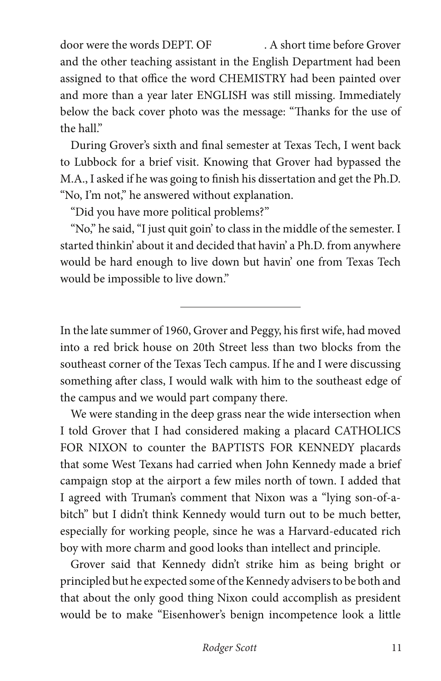door were the words DEPT. OF . A short time before Grover and the other teaching assistant in the English Department had been assigned to that office the word CHEMISTRY had been painted over and more than a year later ENGLISH was still missing. Immediately below the back cover photo was the message: "Thanks for the use of the hall."

During Grover's sixth and final semester at Texas Tech, I went back to Lubbock for a brief visit. Knowing that Grover had bypassed the M.A., I asked if he was going to finish his dissertation and get the Ph.D. "No, I'm not," he answered without explanation.

"Did you have more political problems?"

"No," he said, "I just quit goin' to class in the middle of the semester. I started thinkin' about it and decided that havin' a Ph.D. from anywhere would be hard enough to live down but havin' one from Texas Tech would be impossible to live down."

 $\overline{a}$ 

In the late summer of 1960, Grover and Peggy, his first wife, had moved into a red brick house on 20th Street less than two blocks from the southeast corner of the Texas Tech campus. If he and I were discussing something after class, I would walk with him to the southeast edge of the campus and we would part company there.

We were standing in the deep grass near the wide intersection when I told Grover that I had considered making a placard CATHOLICS FOR NIXON to counter the BAPTISTS FOR KENNEDY placards that some West Texans had carried when John Kennedy made a brief campaign stop at the airport a few miles north of town. I added that I agreed with Truman's comment that Nixon was a "lying son-of-abitch" but I didn't think Kennedy would turn out to be much better, especially for working people, since he was a Harvard-educated rich boy with more charm and good looks than intellect and principle.

Grover said that Kennedy didn't strike him as being bright or principled but he expected some of the Kennedy advisers to be both and that about the only good thing Nixon could accomplish as president would be to make "Eisenhower's benign incompetence look a little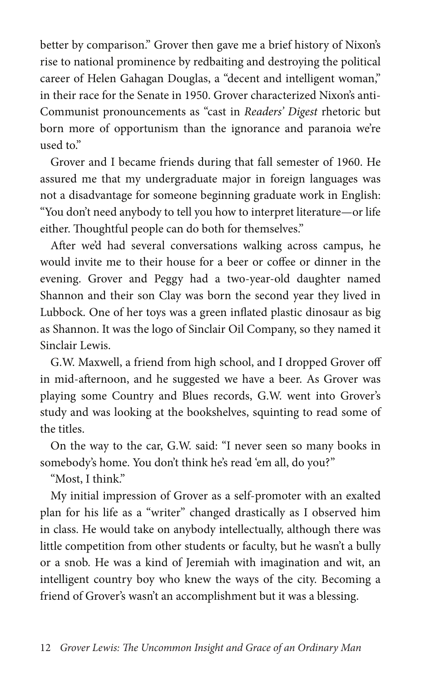better by comparison." Grover then gave me a brief history of Nixon's rise to national prominence by redbaiting and destroying the political career of Helen Gahagan Douglas, a "decent and intelligent woman," in their race for the Senate in 1950. Grover characterized Nixon's anti-Communist pronouncements as "cast in *Readers' Digest* rhetoric but born more of opportunism than the ignorance and paranoia we're used to."

Grover and I became friends during that fall semester of 1960. He assured me that my undergraduate major in foreign languages was not a disadvantage for someone beginning graduate work in English: "You don't need anybody to tell you how to interpret literature—or life either. Thoughtful people can do both for themselves."

After we'd had several conversations walking across campus, he would invite me to their house for a beer or coffee or dinner in the evening. Grover and Peggy had a two-year-old daughter named Shannon and their son Clay was born the second year they lived in Lubbock. One of her toys was a green inflated plastic dinosaur as big as Shannon. It was the logo of Sinclair Oil Company, so they named it Sinclair Lewis.

G.W. Maxwell, a friend from high school, and I dropped Grover off in mid-afternoon, and he suggested we have a beer. As Grover was playing some Country and Blues records, G.W. went into Grover's study and was looking at the bookshelves, squinting to read some of the titles.

On the way to the car, G.W. said: "I never seen so many books in somebody's home. You don't think he's read 'em all, do you?"

"Most, I think."

My initial impression of Grover as a self-promoter with an exalted plan for his life as a "writer" changed drastically as I observed him in class. He would take on anybody intellectually, although there was little competition from other students or faculty, but he wasn't a bully or a snob. He was a kind of Jeremiah with imagination and wit, an intelligent country boy who knew the ways of the city. Becoming a friend of Grover's wasn't an accomplishment but it was a blessing.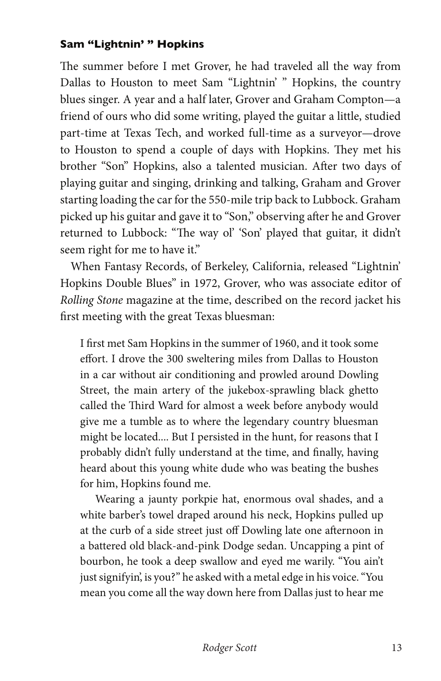#### **Sam "Lightnin' " Hopkins**

The summer before I met Grover, he had traveled all the way from Dallas to Houston to meet Sam "Lightnin' " Hopkins, the country blues singer. A year and a half later, Grover and Graham Compton—a friend of ours who did some writing, played the guitar a little, studied part-time at Texas Tech, and worked full-time as a surveyor—drove to Houston to spend a couple of days with Hopkins. They met his brother "Son" Hopkins, also a talented musician. After two days of playing guitar and singing, drinking and talking, Graham and Grover starting loading the car for the 550-mile trip back to Lubbock. Graham picked up his guitar and gave it to "Son," observing after he and Grover returned to Lubbock: "The way ol' 'Son' played that guitar, it didn't seem right for me to have it."

When Fantasy Records, of Berkeley, California, released "Lightnin' Hopkins Double Blues" in 1972, Grover, who was associate editor of *Rolling Stone* magazine at the time, described on the record jacket his first meeting with the great Texas bluesman:

I first met Sam Hopkins in the summer of 1960, and it took some effort. I drove the 300 sweltering miles from Dallas to Houston in a car without air conditioning and prowled around Dowling Street, the main artery of the jukebox-sprawling black ghetto called the Third Ward for almost a week before anybody would give me a tumble as to where the legendary country bluesman might be located.... But I persisted in the hunt, for reasons that I probably didn't fully understand at the time, and finally, having heard about this young white dude who was beating the bushes for him, Hopkins found me.

Wearing a jaunty porkpie hat, enormous oval shades, and a white barber's towel draped around his neck, Hopkins pulled up at the curb of a side street just off Dowling late one afternoon in a battered old black-and-pink Dodge sedan. Uncapping a pint of bourbon, he took a deep swallow and eyed me warily. "You ain't just signifyin', is you?" he asked with a metal edge in his voice. "You mean you come all the way down here from Dallas just to hear me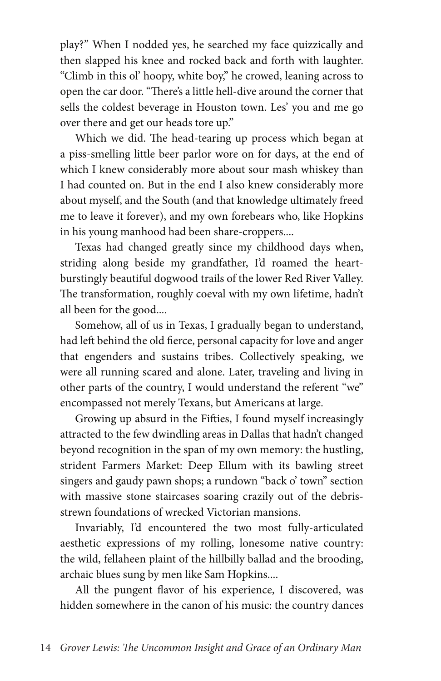play?" When I nodded yes, he searched my face quizzically and then slapped his knee and rocked back and forth with laughter. "Climb in this ol' hoopy, white boy," he crowed, leaning across to open the car door. "There's a little hell-dive around the corner that sells the coldest beverage in Houston town. Les' you and me go over there and get our heads tore up."

Which we did. The head-tearing up process which began at a piss-smelling little beer parlor wore on for days, at the end of which I knew considerably more about sour mash whiskey than I had counted on. But in the end I also knew considerably more about myself, and the South (and that knowledge ultimately freed me to leave it forever), and my own forebears who, like Hopkins in his young manhood had been share-croppers....

Texas had changed greatly since my childhood days when, striding along beside my grandfather, I'd roamed the heartburstingly beautiful dogwood trails of the lower Red River Valley. The transformation, roughly coeval with my own lifetime, hadn't all been for the good....

Somehow, all of us in Texas, I gradually began to understand, had left behind the old fierce, personal capacity for love and anger that engenders and sustains tribes. Collectively speaking, we were all running scared and alone. Later, traveling and living in other parts of the country, I would understand the referent "we" encompassed not merely Texans, but Americans at large.

Growing up absurd in the Fifties, I found myself increasingly attracted to the few dwindling areas in Dallas that hadn't changed beyond recognition in the span of my own memory: the hustling, strident Farmers Market: Deep Ellum with its bawling street singers and gaudy pawn shops; a rundown "back o' town" section with massive stone staircases soaring crazily out of the debrisstrewn foundations of wrecked Victorian mansions.

Invariably, I'd encountered the two most fully-articulated aesthetic expressions of my rolling, lonesome native country: the wild, fellaheen plaint of the hillbilly ballad and the brooding, archaic blues sung by men like Sam Hopkins....

All the pungent flavor of his experience, I discovered, was hidden somewhere in the canon of his music: the country dances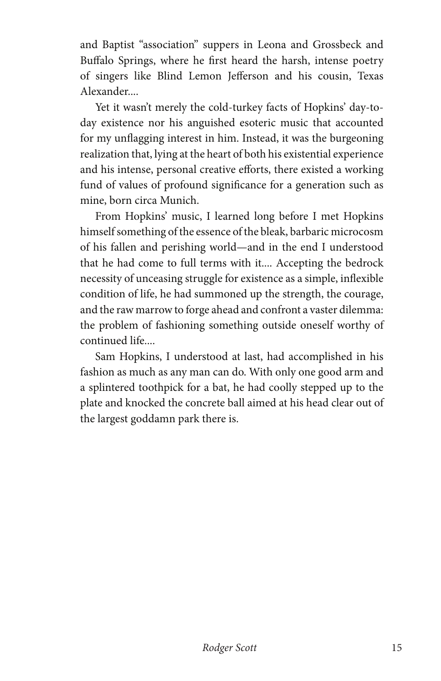and Baptist "association" suppers in Leona and Grossbeck and Buffalo Springs, where he first heard the harsh, intense poetry of singers like Blind Lemon Jefferson and his cousin, Texas Alexander....

Yet it wasn't merely the cold-turkey facts of Hopkins' day-today existence nor his anguished esoteric music that accounted for my unflagging interest in him. Instead, it was the burgeoning realization that, lying at the heart of both his existential experience and his intense, personal creative efforts, there existed a working fund of values of profound significance for a generation such as mine, born circa Munich.

From Hopkins' music, I learned long before I met Hopkins himself something of the essence of the bleak, barbaric microcosm of his fallen and perishing world—and in the end I understood that he had come to full terms with it.... Accepting the bedrock necessity of unceasing struggle for existence as a simple, inflexible condition of life, he had summoned up the strength, the courage, and the raw marrow to forge ahead and confront a vaster dilemma: the problem of fashioning something outside oneself worthy of continued life....

Sam Hopkins, I understood at last, had accomplished in his fashion as much as any man can do. With only one good arm and a splintered toothpick for a bat, he had coolly stepped up to the plate and knocked the concrete ball aimed at his head clear out of the largest goddamn park there is.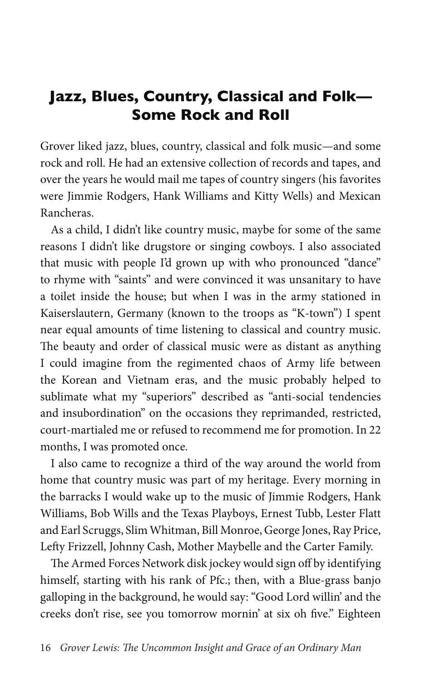## **Jazz, Blues, Country, Classical and Folk— Some Rock and Roll**

Grover liked jazz, blues, country, classical and folk music—and some rock and roll. He had an extensive collection of records and tapes, and over the years he would mail me tapes of country singers (his favorites were Jimmie Rodgers, Hank Williams and Kitty Wells) and Mexican Rancheras.

As a child, I didn't like country music, maybe for some of the same reasons I didn't like drugstore or singing cowboys. I also associated that music with people I'd grown up with who pronounced "dance" to rhyme with "saints" and were convinced it was unsanitary to have a toilet inside the house; but when I was in the army stationed in Kaiserslautern, Germany (known to the troops as "K-town") I spent near equal amounts of time listening to classical and country music. The beauty and order of classical music were as distant as anything I could imagine from the regimented chaos of Army life between the Korean and Vietnam eras, and the music probably helped to sublimate what my "superiors" described as "anti-social tendencies and insubordination" on the occasions they reprimanded, restricted, court-martialed me or refused to recommend me for promotion. In 22 months, I was promoted once.

I also came to recognize a third of the way around the world from home that country music was part of my heritage. Every morning in the barracks I would wake up to the music of Jimmie Rodgers, Hank Williams, Bob Wills and the Texas Playboys, Ernest Tubb, Lester Flatt and Earl Scruggs, Slim Whitman, Bill Monroe, George Jones, Ray Price, Lefty Frizzell, Johnny Cash, Mother Maybelle and the Carter Family.

The Armed Forces Network disk jockey would sign off by identifying himself, starting with his rank of Pfc.; then, with a Blue-grass banjo galloping in the background, he would say: "Good Lord willin' and the creeks don't rise, see you tomorrow mornin' at six oh five." Eighteen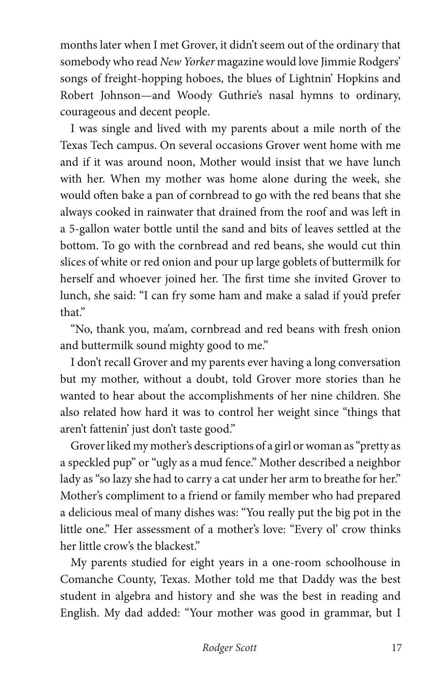months later when I met Grover, it didn't seem out of the ordinary that somebody who read *New Yorker* magazine would love Jimmie Rodgers' songs of freight-hopping hoboes, the blues of Lightnin' Hopkins and Robert Johnson—and Woody Guthrie's nasal hymns to ordinary, courageous and decent people.

I was single and lived with my parents about a mile north of the Texas Tech campus. On several occasions Grover went home with me and if it was around noon, Mother would insist that we have lunch with her. When my mother was home alone during the week, she would often bake a pan of cornbread to go with the red beans that she always cooked in rainwater that drained from the roof and was left in a 5-gallon water bottle until the sand and bits of leaves settled at the bottom. To go with the cornbread and red beans, she would cut thin slices of white or red onion and pour up large goblets of buttermilk for herself and whoever joined her. The first time she invited Grover to lunch, she said: "I can fry some ham and make a salad if you'd prefer that."

"No, thank you, ma'am, cornbread and red beans with fresh onion and buttermilk sound mighty good to me."

I don't recall Grover and my parents ever having a long conversation but my mother, without a doubt, told Grover more stories than he wanted to hear about the accomplishments of her nine children. She also related how hard it was to control her weight since "things that aren't fattenin' just don't taste good."

Grover liked my mother's descriptions of a girl or woman as "pretty as a speckled pup" or "ugly as a mud fence." Mother described a neighbor lady as "so lazy she had to carry a cat under her arm to breathe for her." Mother's compliment to a friend or family member who had prepared a delicious meal of many dishes was: "You really put the big pot in the little one." Her assessment of a mother's love: "Every ol' crow thinks her little crow's the blackest."

My parents studied for eight years in a one-room schoolhouse in Comanche County, Texas. Mother told me that Daddy was the best student in algebra and history and she was the best in reading and English. My dad added: "Your mother was good in grammar, but I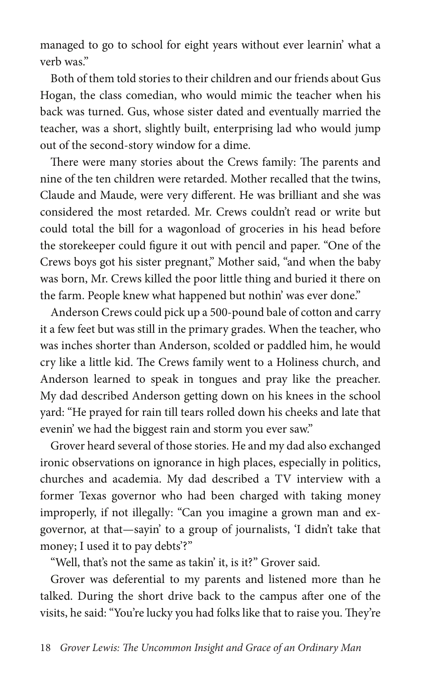managed to go to school for eight years without ever learnin' what a verb was."

Both of them told stories to their children and our friends about Gus Hogan, the class comedian, who would mimic the teacher when his back was turned. Gus, whose sister dated and eventually married the teacher, was a short, slightly built, enterprising lad who would jump out of the second-story window for a dime.

There were many stories about the Crews family: The parents and nine of the ten children were retarded. Mother recalled that the twins, Claude and Maude, were very different. He was brilliant and she was considered the most retarded. Mr. Crews couldn't read or write but could total the bill for a wagonload of groceries in his head before the storekeeper could figure it out with pencil and paper. "One of the Crews boys got his sister pregnant," Mother said, "and when the baby was born, Mr. Crews killed the poor little thing and buried it there on the farm. People knew what happened but nothin' was ever done."

Anderson Crews could pick up a 500-pound bale of cotton and carry it a few feet but was still in the primary grades. When the teacher, who was inches shorter than Anderson, scolded or paddled him, he would cry like a little kid. The Crews family went to a Holiness church, and Anderson learned to speak in tongues and pray like the preacher. My dad described Anderson getting down on his knees in the school yard: "He prayed for rain till tears rolled down his cheeks and late that evenin' we had the biggest rain and storm you ever saw."

Grover heard several of those stories. He and my dad also exchanged ironic observations on ignorance in high places, especially in politics, churches and academia. My dad described a TV interview with a former Texas governor who had been charged with taking money improperly, if not illegally: "Can you imagine a grown man and exgovernor, at that—sayin' to a group of journalists, 'I didn't take that money; I used it to pay debts'?"

"Well, that's not the same as takin' it, is it?" Grover said.

Grover was deferential to my parents and listened more than he talked. During the short drive back to the campus after one of the visits, he said: "You're lucky you had folks like that to raise you. They're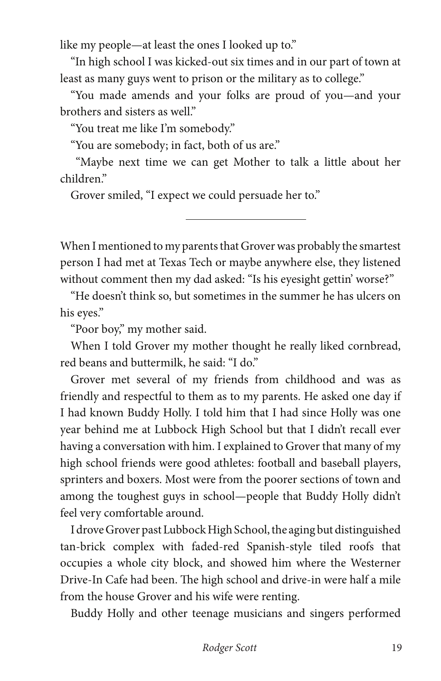like my people—at least the ones I looked up to."

"In high school I was kicked-out six times and in our part of town at least as many guys went to prison or the military as to college."

"You made amends and your folks are proud of you—and your brothers and sisters as well."

"You treat me like I'm somebody."

"You are somebody; in fact, both of us are."

 "Maybe next time we can get Mother to talk a little about her children."

Grover smiled, "I expect we could persuade her to."

When I mentioned to my parents that Grover was probably the smartest person I had met at Texas Tech or maybe anywhere else, they listened without comment then my dad asked: "Is his eyesight gettin' worse?"

"He doesn't think so, but sometimes in the summer he has ulcers on his eyes."

"Poor boy," my mother said.

When I told Grover my mother thought he really liked cornbread, red beans and buttermilk, he said: "I do."

Grover met several of my friends from childhood and was as friendly and respectful to them as to my parents. He asked one day if I had known Buddy Holly. I told him that I had since Holly was one year behind me at Lubbock High School but that I didn't recall ever having a conversation with him. I explained to Grover that many of my high school friends were good athletes: football and baseball players, sprinters and boxers. Most were from the poorer sections of town and among the toughest guys in school—people that Buddy Holly didn't feel very comfortable around.

I drove Grover past Lubbock High School, the aging but distinguished tan-brick complex with faded-red Spanish-style tiled roofs that occupies a whole city block, and showed him where the Westerner Drive-In Cafe had been. The high school and drive-in were half a mile from the house Grover and his wife were renting.

Buddy Holly and other teenage musicians and singers performed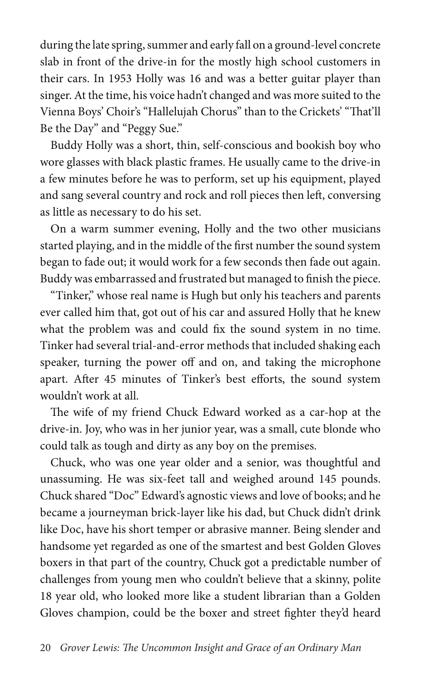during the late spring, summer and early fall on a ground-level concrete slab in front of the drive-in for the mostly high school customers in their cars. In 1953 Holly was 16 and was a better guitar player than singer. At the time, his voice hadn't changed and was more suited to the Vienna Boys' Choir's "Hallelujah Chorus" than to the Crickets' "That'll Be the Day" and "Peggy Sue."

Buddy Holly was a short, thin, self-conscious and bookish boy who wore glasses with black plastic frames. He usually came to the drive-in a few minutes before he was to perform, set up his equipment, played and sang several country and rock and roll pieces then left, conversing as little as necessary to do his set.

On a warm summer evening, Holly and the two other musicians started playing, and in the middle of the first number the sound system began to fade out; it would work for a few seconds then fade out again. Buddy was embarrassed and frustrated but managed to finish the piece.

"Tinker," whose real name is Hugh but only his teachers and parents ever called him that, got out of his car and assured Holly that he knew what the problem was and could fix the sound system in no time. Tinker had several trial-and-error methods that included shaking each speaker, turning the power off and on, and taking the microphone apart. After 45 minutes of Tinker's best efforts, the sound system wouldn't work at all.

The wife of my friend Chuck Edward worked as a car-hop at the drive-in. Joy, who was in her junior year, was a small, cute blonde who could talk as tough and dirty as any boy on the premises.

Chuck, who was one year older and a senior, was thoughtful and unassuming. He was six-feet tall and weighed around 145 pounds. Chuck shared "Doc" Edward's agnostic views and love of books; and he became a journeyman brick-layer like his dad, but Chuck didn't drink like Doc, have his short temper or abrasive manner. Being slender and handsome yet regarded as one of the smartest and best Golden Gloves boxers in that part of the country, Chuck got a predictable number of challenges from young men who couldn't believe that a skinny, polite 18 year old, who looked more like a student librarian than a Golden Gloves champion, could be the boxer and street fighter they'd heard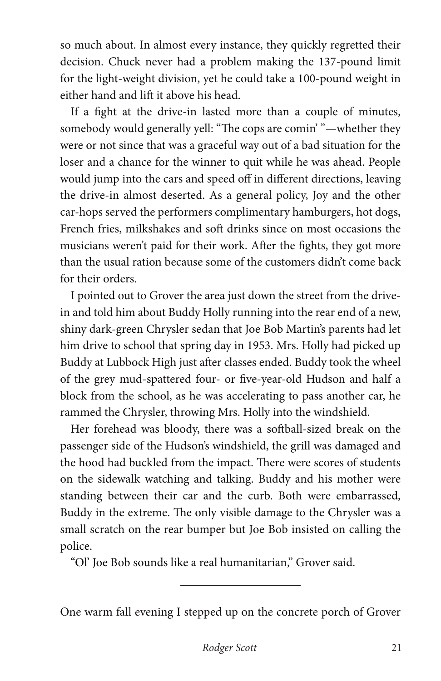so much about. In almost every instance, they quickly regretted their decision. Chuck never had a problem making the 137-pound limit for the light-weight division, yet he could take a 100-pound weight in either hand and lift it above his head.

If a fight at the drive-in lasted more than a couple of minutes, somebody would generally yell: "The cops are comin' "—whether they were or not since that was a graceful way out of a bad situation for the loser and a chance for the winner to quit while he was ahead. People would jump into the cars and speed off in different directions, leaving the drive-in almost deserted. As a general policy, Joy and the other car-hops served the performers complimentary hamburgers, hot dogs, French fries, milkshakes and soft drinks since on most occasions the musicians weren't paid for their work. After the fights, they got more than the usual ration because some of the customers didn't come back for their orders.

I pointed out to Grover the area just down the street from the drivein and told him about Buddy Holly running into the rear end of a new, shiny dark-green Chrysler sedan that Joe Bob Martin's parents had let him drive to school that spring day in 1953. Mrs. Holly had picked up Buddy at Lubbock High just after classes ended. Buddy took the wheel of the grey mud-spattered four- or five-year-old Hudson and half a block from the school, as he was accelerating to pass another car, he rammed the Chrysler, throwing Mrs. Holly into the windshield.

Her forehead was bloody, there was a softball-sized break on the passenger side of the Hudson's windshield, the grill was damaged and the hood had buckled from the impact. There were scores of students on the sidewalk watching and talking. Buddy and his mother were standing between their car and the curb. Both were embarrassed, Buddy in the extreme. The only visible damage to the Chrysler was a small scratch on the rear bumper but Joe Bob insisted on calling the police.

"Ol' Joe Bob sounds like a real humanitarian," Grover said.

One warm fall evening I stepped up on the concrete porch of Grover

 $\overline{a}$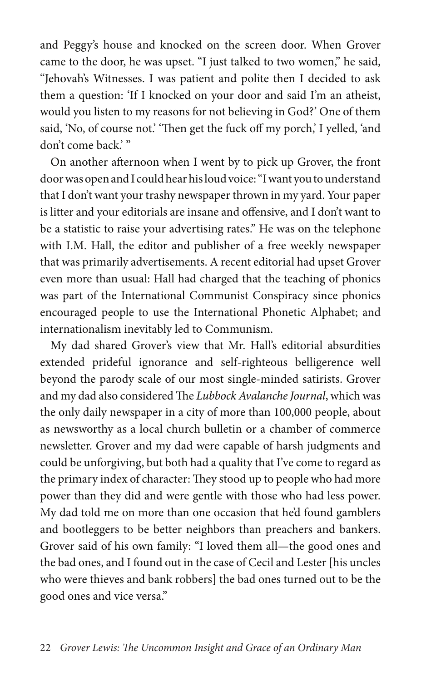and Peggy's house and knocked on the screen door. When Grover came to the door, he was upset. "I just talked to two women," he said, "Jehovah's Witnesses. I was patient and polite then I decided to ask them a question: 'If I knocked on your door and said I'm an atheist, would you listen to my reasons for not believing in God?' One of them said, 'No, of course not.' 'Then get the fuck off my porch,' I yelled, 'and don't come back.'"

On another afternoon when I went by to pick up Grover, the front door was open and I could hear his loud voice: "I want you to understand that I don't want your trashy newspaper thrown in my yard. Your paper is litter and your editorials are insane and offensive, and I don't want to be a statistic to raise your advertising rates." He was on the telephone with I.M. Hall, the editor and publisher of a free weekly newspaper that was primarily advertisements. A recent editorial had upset Grover even more than usual: Hall had charged that the teaching of phonics was part of the International Communist Conspiracy since phonics encouraged people to use the International Phonetic Alphabet; and internationalism inevitably led to Communism.

My dad shared Grover's view that Mr. Hall's editorial absurdities extended prideful ignorance and self-righteous belligerence well beyond the parody scale of our most single-minded satirists. Grover and my dad also considered The *Lubbock Avalanche Journal*, which was the only daily newspaper in a city of more than 100,000 people, about as newsworthy as a local church bulletin or a chamber of commerce newsletter. Grover and my dad were capable of harsh judgments and could be unforgiving, but both had a quality that I've come to regard as the primary index of character: They stood up to people who had more power than they did and were gentle with those who had less power. My dad told me on more than one occasion that he'd found gamblers and bootleggers to be better neighbors than preachers and bankers. Grover said of his own family: "I loved them all—the good ones and the bad ones, and I found out in the case of Cecil and Lester [his uncles who were thieves and bank robbers] the bad ones turned out to be the good ones and vice versa."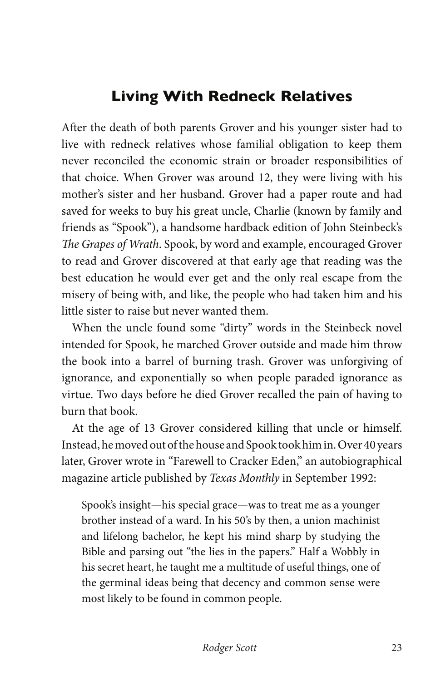## **Living With Redneck Relatives**

After the death of both parents Grover and his younger sister had to live with redneck relatives whose familial obligation to keep them never reconciled the economic strain or broader responsibilities of that choice. When Grover was around 12, they were living with his mother's sister and her husband. Grover had a paper route and had saved for weeks to buy his great uncle, Charlie (known by family and friends as "Spook"), a handsome hardback edition of John Steinbeck's *The Grapes of Wrath*. Spook, by word and example, encouraged Grover to read and Grover discovered at that early age that reading was the best education he would ever get and the only real escape from the misery of being with, and like, the people who had taken him and his little sister to raise but never wanted them.

When the uncle found some "dirty" words in the Steinbeck novel intended for Spook, he marched Grover outside and made him throw the book into a barrel of burning trash. Grover was unforgiving of ignorance, and exponentially so when people paraded ignorance as virtue. Two days before he died Grover recalled the pain of having to burn that book.

At the age of 13 Grover considered killing that uncle or himself. Instead, he moved out of the house and Spook took him in. Over 40 years later, Grover wrote in "Farewell to Cracker Eden," an autobiographical magazine article published by *Texas Monthly* in September 1992:

Spook's insight—his special grace—was to treat me as a younger brother instead of a ward. In his 50's by then, a union machinist and lifelong bachelor, he kept his mind sharp by studying the Bible and parsing out "the lies in the papers." Half a Wobbly in his secret heart, he taught me a multitude of useful things, one of the germinal ideas being that decency and common sense were most likely to be found in common people.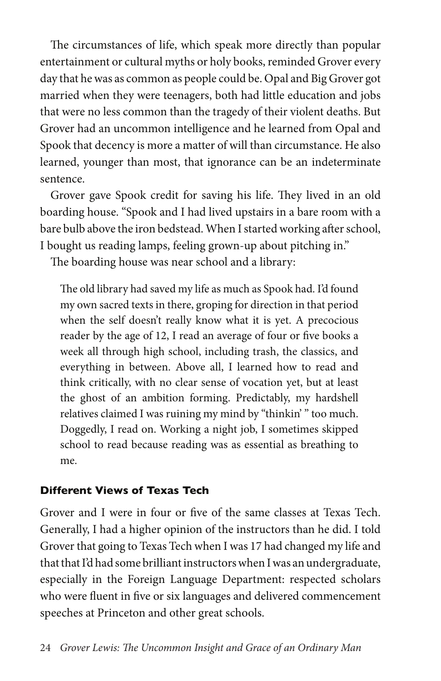The circumstances of life, which speak more directly than popular entertainment or cultural myths or holy books, reminded Grover every day that he was as common as people could be. Opal and Big Grover got married when they were teenagers, both had little education and jobs that were no less common than the tragedy of their violent deaths. But Grover had an uncommon intelligence and he learned from Opal and Spook that decency is more a matter of will than circumstance. He also learned, younger than most, that ignorance can be an indeterminate sentence.

Grover gave Spook credit for saving his life. They lived in an old boarding house. "Spook and I had lived upstairs in a bare room with a bare bulb above the iron bedstead. When I started working after school, I bought us reading lamps, feeling grown-up about pitching in."

The boarding house was near school and a library:

The old library had saved my life as much as Spook had. I'd found my own sacred texts in there, groping for direction in that period when the self doesn't really know what it is yet. A precocious reader by the age of 12, I read an average of four or five books a week all through high school, including trash, the classics, and everything in between. Above all, I learned how to read and think critically, with no clear sense of vocation yet, but at least the ghost of an ambition forming. Predictably, my hardshell relatives claimed I was ruining my mind by "thinkin' " too much. Doggedly, I read on. Working a night job, I sometimes skipped school to read because reading was as essential as breathing to me.

#### **Different Views of Texas Tech**

Grover and I were in four or five of the same classes at Texas Tech. Generally, I had a higher opinion of the instructors than he did. I told Grover that going to Texas Tech when I was 17 had changed my life and that that I'd had some brilliant instructors when I was an undergraduate, especially in the Foreign Language Department: respected scholars who were fluent in five or six languages and delivered commencement speeches at Princeton and other great schools.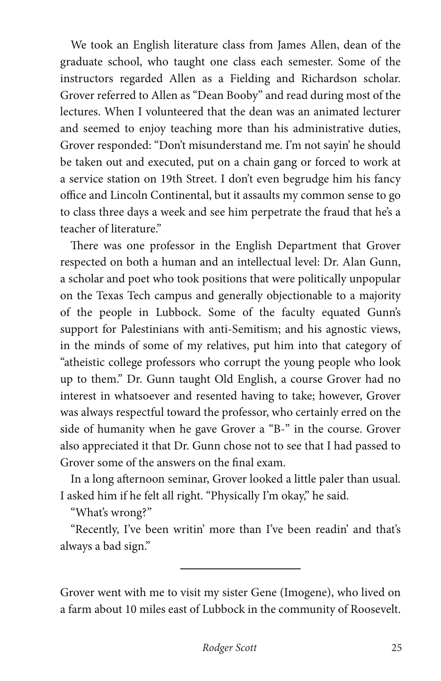We took an English literature class from James Allen, dean of the graduate school, who taught one class each semester. Some of the instructors regarded Allen as a Fielding and Richardson scholar. Grover referred to Allen as "Dean Booby" and read during most of the lectures. When I volunteered that the dean was an animated lecturer and seemed to enjoy teaching more than his administrative duties, Grover responded: "Don't misunderstand me. I'm not sayin' he should be taken out and executed, put on a chain gang or forced to work at a service station on 19th Street. I don't even begrudge him his fancy office and Lincoln Continental, but it assaults my common sense to go to class three days a week and see him perpetrate the fraud that he's a teacher of literature."

There was one professor in the English Department that Grover respected on both a human and an intellectual level: Dr. Alan Gunn, a scholar and poet who took positions that were politically unpopular on the Texas Tech campus and generally objectionable to a majority of the people in Lubbock. Some of the faculty equated Gunn's support for Palestinians with anti-Semitism; and his agnostic views, in the minds of some of my relatives, put him into that category of "atheistic college professors who corrupt the young people who look up to them." Dr. Gunn taught Old English, a course Grover had no interest in whatsoever and resented having to take; however, Grover was always respectful toward the professor, who certainly erred on the side of humanity when he gave Grover a "B-" in the course. Grover also appreciated it that Dr. Gunn chose not to see that I had passed to Grover some of the answers on the final exam.

In a long afternoon seminar, Grover looked a little paler than usual. I asked him if he felt all right. "Physically I'm okay," he said.

"What's wrong?"

"Recently, I've been writin' more than I've been readin' and that's always a bad sign."

Grover went with me to visit my sister Gene (Imogene), who lived on a farm about 10 miles east of Lubbock in the community of Roosevelt.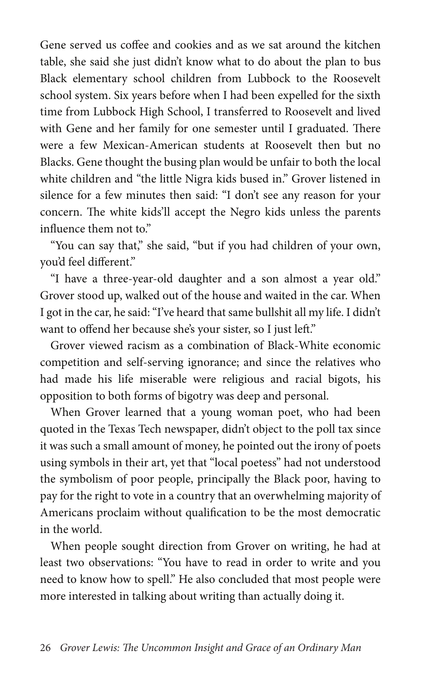Gene served us coffee and cookies and as we sat around the kitchen table, she said she just didn't know what to do about the plan to bus Black elementary school children from Lubbock to the Roosevelt school system. Six years before when I had been expelled for the sixth time from Lubbock High School, I transferred to Roosevelt and lived with Gene and her family for one semester until I graduated. There were a few Mexican-American students at Roosevelt then but no Blacks. Gene thought the busing plan would be unfair to both the local white children and "the little Nigra kids bused in." Grover listened in silence for a few minutes then said: "I don't see any reason for your concern. The white kids'll accept the Negro kids unless the parents influence them not to."

"You can say that," she said, "but if you had children of your own, you'd feel different."

"I have a three-year-old daughter and a son almost a year old." Grover stood up, walked out of the house and waited in the car. When I got in the car, he said: "I've heard that same bullshit all my life. I didn't want to offend her because she's your sister, so I just left."

Grover viewed racism as a combination of Black-White economic competition and self-serving ignorance; and since the relatives who had made his life miserable were religious and racial bigots, his opposition to both forms of bigotry was deep and personal.

When Grover learned that a young woman poet, who had been quoted in the Texas Tech newspaper, didn't object to the poll tax since it was such a small amount of money, he pointed out the irony of poets using symbols in their art, yet that "local poetess" had not understood the symbolism of poor people, principally the Black poor, having to pay for the right to vote in a country that an overwhelming majority of Americans proclaim without qualification to be the most democratic in the world.

When people sought direction from Grover on writing, he had at least two observations: "You have to read in order to write and you need to know how to spell." He also concluded that most people were more interested in talking about writing than actually doing it.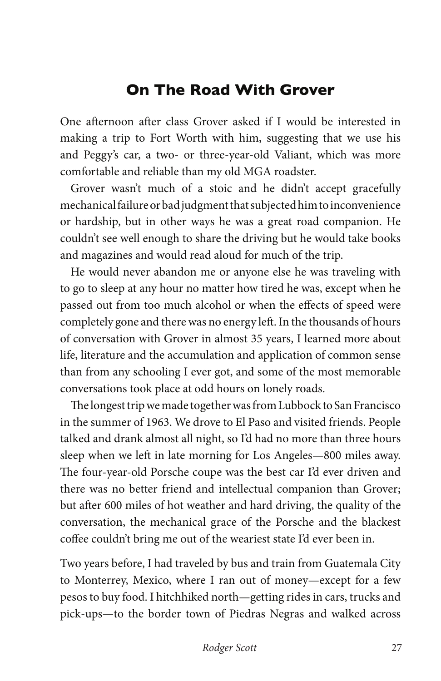## **On The Road With Grover**

One afternoon after class Grover asked if I would be interested in making a trip to Fort Worth with him, suggesting that we use his and Peggy's car, a two- or three-year-old Valiant, which was more comfortable and reliable than my old MGA roadster.

Grover wasn't much of a stoic and he didn't accept gracefully mechanical failure or bad judgment that subjected him to inconvenience or hardship, but in other ways he was a great road companion. He couldn't see well enough to share the driving but he would take books and magazines and would read aloud for much of the trip.

He would never abandon me or anyone else he was traveling with to go to sleep at any hour no matter how tired he was, except when he passed out from too much alcohol or when the effects of speed were completely gone and there was no energy left. In the thousands of hours of conversation with Grover in almost 35 years, I learned more about life, literature and the accumulation and application of common sense than from any schooling I ever got, and some of the most memorable conversations took place at odd hours on lonely roads.

The longest trip we made together was from Lubbock to San Francisco in the summer of 1963. We drove to El Paso and visited friends. People talked and drank almost all night, so I'd had no more than three hours sleep when we left in late morning for Los Angeles—800 miles away. The four-year-old Porsche coupe was the best car I'd ever driven and there was no better friend and intellectual companion than Grover; but after 600 miles of hot weather and hard driving, the quality of the conversation, the mechanical grace of the Porsche and the blackest coffee couldn't bring me out of the weariest state I'd ever been in.

Two years before, I had traveled by bus and train from Guatemala City to Monterrey, Mexico, where I ran out of money—except for a few pesos to buy food. I hitchhiked north—getting rides in cars, trucks and pick-ups—to the border town of Piedras Negras and walked across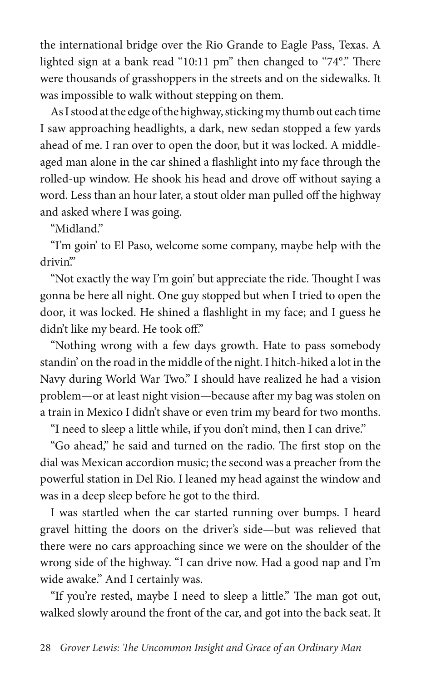the international bridge over the Rio Grande to Eagle Pass, Texas. A lighted sign at a bank read "10:11 pm" then changed to "74°." There were thousands of grasshoppers in the streets and on the sidewalks. It was impossible to walk without stepping on them.

As I stood at the edge of the highway, sticking my thumb out each time I saw approaching headlights, a dark, new sedan stopped a few yards ahead of me. I ran over to open the door, but it was locked. A middleaged man alone in the car shined a flashlight into my face through the rolled-up window. He shook his head and drove off without saying a word. Less than an hour later, a stout older man pulled off the highway and asked where I was going.

"Midland."

"I'm goin' to El Paso, welcome some company, maybe help with the drivin'."

"Not exactly the way I'm goin' but appreciate the ride. Thought I was gonna be here all night. One guy stopped but when I tried to open the door, it was locked. He shined a flashlight in my face; and I guess he didn't like my beard. He took off."

"Nothing wrong with a few days growth. Hate to pass somebody standin' on the road in the middle of the night. I hitch-hiked a lot in the Navy during World War Two." I should have realized he had a vision problem—or at least night vision—because after my bag was stolen on a train in Mexico I didn't shave or even trim my beard for two months.

"I need to sleep a little while, if you don't mind, then I can drive."

"Go ahead," he said and turned on the radio. The first stop on the dial was Mexican accordion music; the second was a preacher from the powerful station in Del Rio. I leaned my head against the window and was in a deep sleep before he got to the third.

I was startled when the car started running over bumps. I heard gravel hitting the doors on the driver's side—but was relieved that there were no cars approaching since we were on the shoulder of the wrong side of the highway. "I can drive now. Had a good nap and I'm wide awake." And I certainly was.

"If you're rested, maybe I need to sleep a little." The man got out, walked slowly around the front of the car, and got into the back seat. It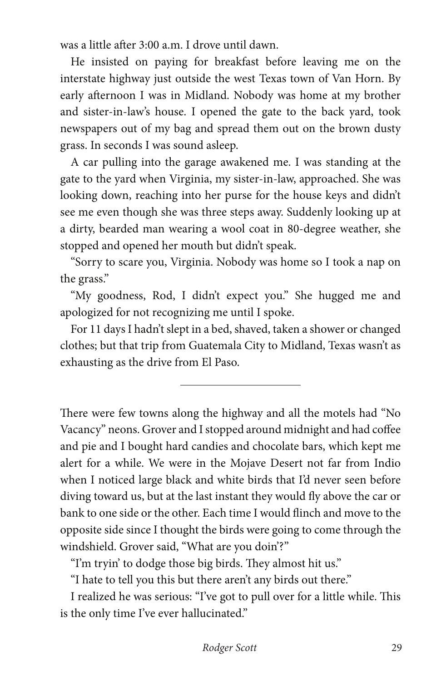was a little after 3:00 a.m. I drove until dawn.

He insisted on paying for breakfast before leaving me on the interstate highway just outside the west Texas town of Van Horn. By early afternoon I was in Midland. Nobody was home at my brother and sister-in-law's house. I opened the gate to the back yard, took newspapers out of my bag and spread them out on the brown dusty grass. In seconds I was sound asleep.

A car pulling into the garage awakened me. I was standing at the gate to the yard when Virginia, my sister-in-law, approached. She was looking down, reaching into her purse for the house keys and didn't see me even though she was three steps away. Suddenly looking up at a dirty, bearded man wearing a wool coat in 80-degree weather, she stopped and opened her mouth but didn't speak.

"Sorry to scare you, Virginia. Nobody was home so I took a nap on the grass."

"My goodness, Rod, I didn't expect you." She hugged me and apologized for not recognizing me until I spoke.

For 11 days I hadn't slept in a bed, shaved, taken a shower or changed clothes; but that trip from Guatemala City to Midland, Texas wasn't as exhausting as the drive from El Paso.

There were few towns along the highway and all the motels had "No Vacancy" neons. Grover and I stopped around midnight and had coffee and pie and I bought hard candies and chocolate bars, which kept me alert for a while. We were in the Mojave Desert not far from Indio when I noticed large black and white birds that I'd never seen before diving toward us, but at the last instant they would fly above the car or bank to one side or the other. Each time I would flinch and move to the opposite side since I thought the birds were going to come through the windshield. Grover said, "What are you doin'?"

"I'm tryin' to dodge those big birds. They almost hit us."

"I hate to tell you this but there aren't any birds out there."

I realized he was serious: "I've got to pull over for a little while. This is the only time I've ever hallucinated."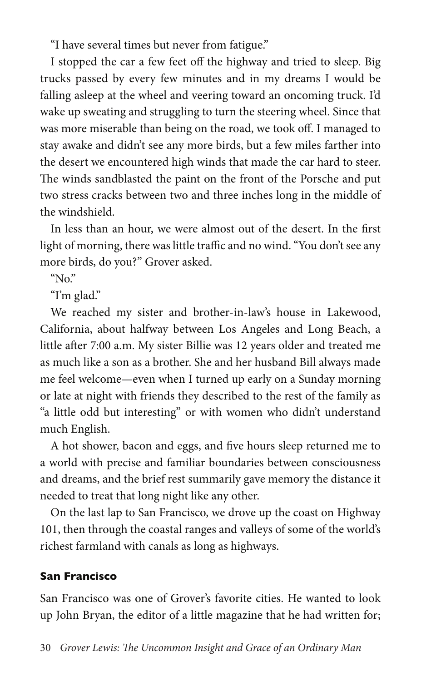"I have several times but never from fatigue."

I stopped the car a few feet off the highway and tried to sleep. Big trucks passed by every few minutes and in my dreams I would be falling asleep at the wheel and veering toward an oncoming truck. I'd wake up sweating and struggling to turn the steering wheel. Since that was more miserable than being on the road, we took off. I managed to stay awake and didn't see any more birds, but a few miles farther into the desert we encountered high winds that made the car hard to steer. The winds sandblasted the paint on the front of the Porsche and put two stress cracks between two and three inches long in the middle of the windshield.

In less than an hour, we were almost out of the desert. In the first light of morning, there was little traffic and no wind. "You don't see any more birds, do you?" Grover asked.

" $No$ "

"I'm glad."

We reached my sister and brother-in-law's house in Lakewood, California, about halfway between Los Angeles and Long Beach, a little after 7:00 a.m. My sister Billie was 12 years older and treated me as much like a son as a brother. She and her husband Bill always made me feel welcome—even when I turned up early on a Sunday morning or late at night with friends they described to the rest of the family as "a little odd but interesting" or with women who didn't understand much English.

A hot shower, bacon and eggs, and five hours sleep returned me to a world with precise and familiar boundaries between consciousness and dreams, and the brief rest summarily gave memory the distance it needed to treat that long night like any other.

On the last lap to San Francisco, we drove up the coast on Highway 101, then through the coastal ranges and valleys of some of the world's richest farmland with canals as long as highways.

## **San Francisco**

San Francisco was one of Grover's favorite cities. He wanted to look up John Bryan, the editor of a little magazine that he had written for;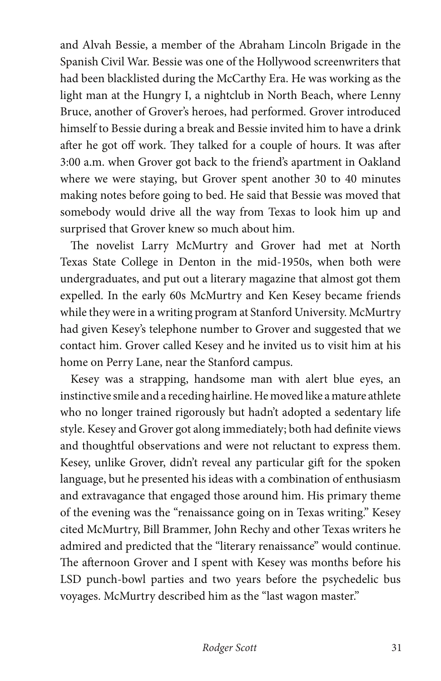and Alvah Bessie, a member of the Abraham Lincoln Brigade in the Spanish Civil War. Bessie was one of the Hollywood screenwriters that had been blacklisted during the McCarthy Era. He was working as the light man at the Hungry I, a nightclub in North Beach, where Lenny Bruce, another of Grover's heroes, had performed. Grover introduced himself to Bessie during a break and Bessie invited him to have a drink after he got off work. They talked for a couple of hours. It was after 3:00 a.m. when Grover got back to the friend's apartment in Oakland where we were staying, but Grover spent another 30 to 40 minutes making notes before going to bed. He said that Bessie was moved that somebody would drive all the way from Texas to look him up and surprised that Grover knew so much about him.

The novelist Larry McMurtry and Grover had met at North Texas State College in Denton in the mid-1950s, when both were undergraduates, and put out a literary magazine that almost got them expelled. In the early 60s McMurtry and Ken Kesey became friends while they were in a writing program at Stanford University. McMurtry had given Kesey's telephone number to Grover and suggested that we contact him. Grover called Kesey and he invited us to visit him at his home on Perry Lane, near the Stanford campus.

Kesey was a strapping, handsome man with alert blue eyes, an instinctive smile and a receding hairline. He moved like a mature athlete who no longer trained rigorously but hadn't adopted a sedentary life style. Kesey and Grover got along immediately; both had definite views and thoughtful observations and were not reluctant to express them. Kesey, unlike Grover, didn't reveal any particular gift for the spoken language, but he presented his ideas with a combination of enthusiasm and extravagance that engaged those around him. His primary theme of the evening was the "renaissance going on in Texas writing." Kesey cited McMurtry, Bill Brammer, John Rechy and other Texas writers he admired and predicted that the "literary renaissance" would continue. The afternoon Grover and I spent with Kesey was months before his LSD punch-bowl parties and two years before the psychedelic bus voyages. McMurtry described him as the "last wagon master."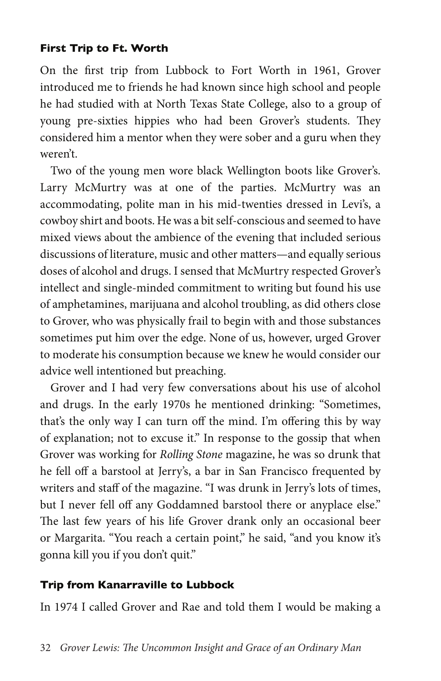#### **First Trip to Ft. Worth**

On the first trip from Lubbock to Fort Worth in 1961, Grover introduced me to friends he had known since high school and people he had studied with at North Texas State College, also to a group of young pre-sixties hippies who had been Grover's students. They considered him a mentor when they were sober and a guru when they weren't.

Two of the young men wore black Wellington boots like Grover's. Larry McMurtry was at one of the parties. McMurtry was an accommodating, polite man in his mid-twenties dressed in Levi's, a cowboy shirt and boots. He was a bit self-conscious and seemed to have mixed views about the ambience of the evening that included serious discussions of literature, music and other matters—and equally serious doses of alcohol and drugs. I sensed that McMurtry respected Grover's intellect and single-minded commitment to writing but found his use of amphetamines, marijuana and alcohol troubling, as did others close to Grover, who was physically frail to begin with and those substances sometimes put him over the edge. None of us, however, urged Grover to moderate his consumption because we knew he would consider our advice well intentioned but preaching.

Grover and I had very few conversations about his use of alcohol and drugs. In the early 1970s he mentioned drinking: "Sometimes, that's the only way I can turn off the mind. I'm offering this by way of explanation; not to excuse it." In response to the gossip that when Grover was working for *Rolling Stone* magazine, he was so drunk that he fell off a barstool at Jerry's, a bar in San Francisco frequented by writers and staff of the magazine. "I was drunk in Jerry's lots of times, but I never fell off any Goddamned barstool there or anyplace else." The last few years of his life Grover drank only an occasional beer or Margarita. "You reach a certain point," he said, "and you know it's gonna kill you if you don't quit."

#### **Trip from Kanarraville to Lubbock**

In 1974 I called Grover and Rae and told them I would be making a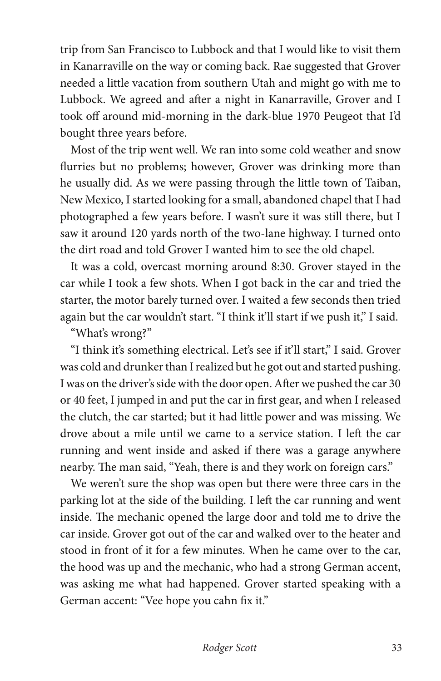trip from San Francisco to Lubbock and that I would like to visit them in Kanarraville on the way or coming back. Rae suggested that Grover needed a little vacation from southern Utah and might go with me to Lubbock. We agreed and after a night in Kanarraville, Grover and I took off around mid-morning in the dark-blue 1970 Peugeot that I'd bought three years before.

Most of the trip went well. We ran into some cold weather and snow flurries but no problems; however, Grover was drinking more than he usually did. As we were passing through the little town of Taiban, New Mexico, I started looking for a small, abandoned chapel that I had photographed a few years before. I wasn't sure it was still there, but I saw it around 120 yards north of the two-lane highway. I turned onto the dirt road and told Grover I wanted him to see the old chapel.

It was a cold, overcast morning around 8:30. Grover stayed in the car while I took a few shots. When I got back in the car and tried the starter, the motor barely turned over. I waited a few seconds then tried again but the car wouldn't start. "I think it'll start if we push it," I said.

"What's wrong?"

"I think it's something electrical. Let's see if it'll start," I said. Grover was cold and drunker than I realized but he got out and started pushing. I was on the driver's side with the door open. After we pushed the car 30 or 40 feet, I jumped in and put the car in first gear, and when I released the clutch, the car started; but it had little power and was missing. We drove about a mile until we came to a service station. I left the car running and went inside and asked if there was a garage anywhere nearby. The man said, "Yeah, there is and they work on foreign cars."

We weren't sure the shop was open but there were three cars in the parking lot at the side of the building. I left the car running and went inside. The mechanic opened the large door and told me to drive the car inside. Grover got out of the car and walked over to the heater and stood in front of it for a few minutes. When he came over to the car, the hood was up and the mechanic, who had a strong German accent, was asking me what had happened. Grover started speaking with a German accent: "Vee hope you cahn fix it."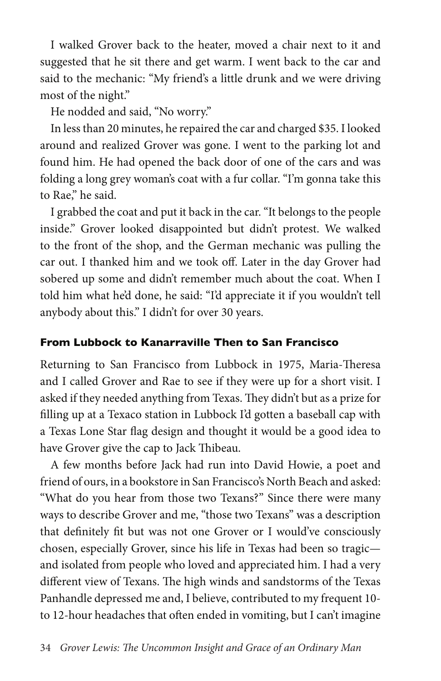I walked Grover back to the heater, moved a chair next to it and suggested that he sit there and get warm. I went back to the car and said to the mechanic: "My friend's a little drunk and we were driving most of the night."

He nodded and said, "No worry."

In less than 20 minutes, he repaired the car and charged \$35. I looked around and realized Grover was gone. I went to the parking lot and found him. He had opened the back door of one of the cars and was folding a long grey woman's coat with a fur collar. "I'm gonna take this to Rae," he said.

I grabbed the coat and put it back in the car. "It belongs to the people inside." Grover looked disappointed but didn't protest. We walked to the front of the shop, and the German mechanic was pulling the car out. I thanked him and we took off. Later in the day Grover had sobered up some and didn't remember much about the coat. When I told him what he'd done, he said: "I'd appreciate it if you wouldn't tell anybody about this." I didn't for over 30 years.

### **From Lubbock to Kanarraville Then to San Francisco**

Returning to San Francisco from Lubbock in 1975, Maria-Theresa and I called Grover and Rae to see if they were up for a short visit. I asked if they needed anything from Texas. They didn't but as a prize for filling up at a Texaco station in Lubbock I'd gotten a baseball cap with a Texas Lone Star flag design and thought it would be a good idea to have Grover give the cap to Jack Thibeau.

A few months before Jack had run into David Howie, a poet and friend of ours, in a bookstore in San Francisco's North Beach and asked: "What do you hear from those two Texans?" Since there were many ways to describe Grover and me, "those two Texans" was a description that definitely fit but was not one Grover or I would've consciously chosen, especially Grover, since his life in Texas had been so tragic and isolated from people who loved and appreciated him. I had a very different view of Texans. The high winds and sandstorms of the Texas Panhandle depressed me and, I believe, contributed to my frequent 10 to 12-hour headaches that often ended in vomiting, but I can't imagine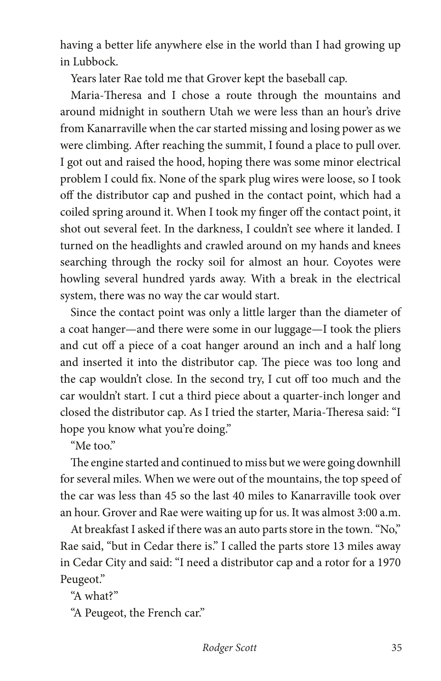having a better life anywhere else in the world than I had growing up in Lubbock.

Years later Rae told me that Grover kept the baseball cap.

Maria-Theresa and I chose a route through the mountains and around midnight in southern Utah we were less than an hour's drive from Kanarraville when the car started missing and losing power as we were climbing. After reaching the summit, I found a place to pull over. I got out and raised the hood, hoping there was some minor electrical problem I could fix. None of the spark plug wires were loose, so I took off the distributor cap and pushed in the contact point, which had a coiled spring around it. When I took my finger off the contact point, it shot out several feet. In the darkness, I couldn't see where it landed. I turned on the headlights and crawled around on my hands and knees searching through the rocky soil for almost an hour. Coyotes were howling several hundred yards away. With a break in the electrical system, there was no way the car would start.

Since the contact point was only a little larger than the diameter of a coat hanger—and there were some in our luggage—I took the pliers and cut off a piece of a coat hanger around an inch and a half long and inserted it into the distributor cap. The piece was too long and the cap wouldn't close. In the second try, I cut off too much and the car wouldn't start. I cut a third piece about a quarter-inch longer and closed the distributor cap. As I tried the starter, Maria-Theresa said: "I hope you know what you're doing."

"Me too."

The engine started and continued to miss but we were going downhill for several miles. When we were out of the mountains, the top speed of the car was less than 45 so the last 40 miles to Kanarraville took over an hour. Grover and Rae were waiting up for us. It was almost 3:00 a.m.

At breakfast I asked if there was an auto parts store in the town. "No," Rae said, "but in Cedar there is." I called the parts store 13 miles away in Cedar City and said: "I need a distributor cap and a rotor for a 1970 Peugeot."

"A what?"

"A Peugeot, the French car."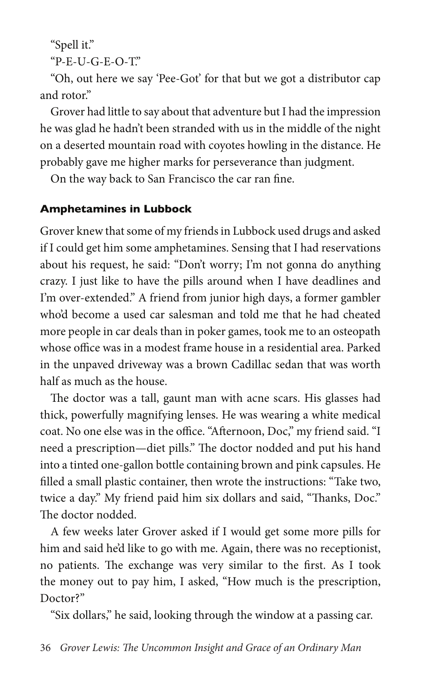"Spell it."

"P-E-U-G-E-O-T."

"Oh, out here we say 'Pee-Got' for that but we got a distributor cap and rotor."

Grover had little to say about that adventure but I had the impression he was glad he hadn't been stranded with us in the middle of the night on a deserted mountain road with coyotes howling in the distance. He probably gave me higher marks for perseverance than judgment.

On the way back to San Francisco the car ran fine.

### **Amphetamines in Lubbock**

Grover knew that some of my friends in Lubbock used drugs and asked if I could get him some amphetamines. Sensing that I had reservations about his request, he said: "Don't worry; I'm not gonna do anything crazy. I just like to have the pills around when I have deadlines and I'm over-extended." A friend from junior high days, a former gambler who'd become a used car salesman and told me that he had cheated more people in car deals than in poker games, took me to an osteopath whose office was in a modest frame house in a residential area. Parked in the unpaved driveway was a brown Cadillac sedan that was worth half as much as the house.

The doctor was a tall, gaunt man with acne scars. His glasses had thick, powerfully magnifying lenses. He was wearing a white medical coat. No one else was in the office. "Afternoon, Doc," my friend said. "I need a prescription—diet pills." The doctor nodded and put his hand into a tinted one-gallon bottle containing brown and pink capsules. He filled a small plastic container, then wrote the instructions: "Take two, twice a day." My friend paid him six dollars and said, "Thanks, Doc." The doctor nodded.

A few weeks later Grover asked if I would get some more pills for him and said he'd like to go with me. Again, there was no receptionist, no patients. The exchange was very similar to the first. As I took the money out to pay him, I asked, "How much is the prescription, Doctor?"

"Six dollars," he said, looking through the window at a passing car.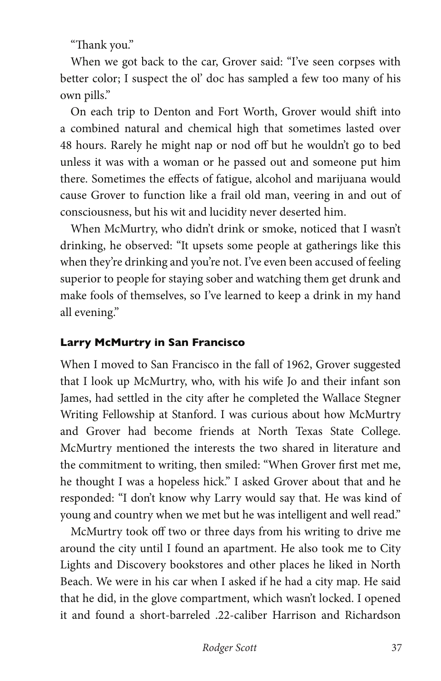"Thank you."

When we got back to the car, Grover said: "I've seen corpses with better color; I suspect the ol' doc has sampled a few too many of his own pills."

On each trip to Denton and Fort Worth, Grover would shift into a combined natural and chemical high that sometimes lasted over 48 hours. Rarely he might nap or nod off but he wouldn't go to bed unless it was with a woman or he passed out and someone put him there. Sometimes the effects of fatigue, alcohol and marijuana would cause Grover to function like a frail old man, veering in and out of consciousness, but his wit and lucidity never deserted him.

When McMurtry, who didn't drink or smoke, noticed that I wasn't drinking, he observed: "It upsets some people at gatherings like this when they're drinking and you're not. I've even been accused of feeling superior to people for staying sober and watching them get drunk and make fools of themselves, so I've learned to keep a drink in my hand all evening."

## **Larry McMurtry in San Francisco**

When I moved to San Francisco in the fall of 1962, Grover suggested that I look up McMurtry, who, with his wife Jo and their infant son James, had settled in the city after he completed the Wallace Stegner Writing Fellowship at Stanford. I was curious about how McMurtry and Grover had become friends at North Texas State College. McMurtry mentioned the interests the two shared in literature and the commitment to writing, then smiled: "When Grover first met me, he thought I was a hopeless hick." I asked Grover about that and he responded: "I don't know why Larry would say that. He was kind of young and country when we met but he was intelligent and well read."

McMurtry took off two or three days from his writing to drive me around the city until I found an apartment. He also took me to City Lights and Discovery bookstores and other places he liked in North Beach. We were in his car when I asked if he had a city map. He said that he did, in the glove compartment, which wasn't locked. I opened it and found a short-barreled .22-caliber Harrison and Richardson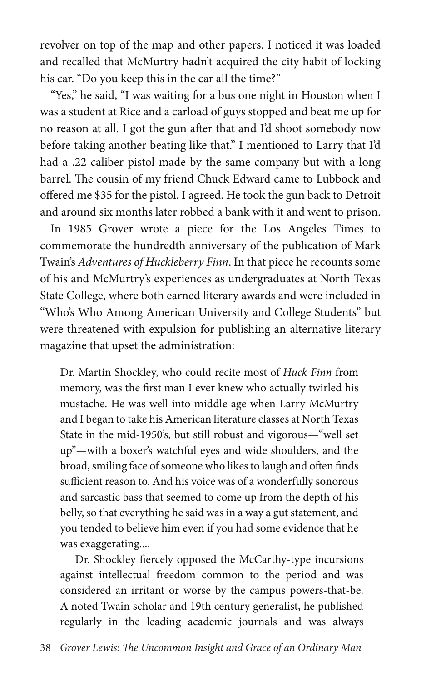revolver on top of the map and other papers. I noticed it was loaded and recalled that McMurtry hadn't acquired the city habit of locking his car. "Do you keep this in the car all the time?"

"Yes," he said, "I was waiting for a bus one night in Houston when I was a student at Rice and a carload of guys stopped and beat me up for no reason at all. I got the gun after that and I'd shoot somebody now before taking another beating like that." I mentioned to Larry that I'd had a .22 caliber pistol made by the same company but with a long barrel. The cousin of my friend Chuck Edward came to Lubbock and offered me \$35 for the pistol. I agreed. He took the gun back to Detroit and around six months later robbed a bank with it and went to prison.

In 1985 Grover wrote a piece for the Los Angeles Times to commemorate the hundredth anniversary of the publication of Mark Twain's *Adventures of Huckleberry Finn*. In that piece he recounts some of his and McMurtry's experiences as undergraduates at North Texas State College, where both earned literary awards and were included in "Who's Who Among American University and College Students" but were threatened with expulsion for publishing an alternative literary magazine that upset the administration:

Dr. Martin Shockley, who could recite most of *Huck Finn* from memory, was the first man I ever knew who actually twirled his mustache. He was well into middle age when Larry McMurtry and I began to take his American literature classes at North Texas State in the mid-1950's, but still robust and vigorous—"well set up"—with a boxer's watchful eyes and wide shoulders, and the broad, smiling face of someone who likes to laugh and often finds sufficient reason to. And his voice was of a wonderfully sonorous and sarcastic bass that seemed to come up from the depth of his belly, so that everything he said was in a way a gut statement, and you tended to believe him even if you had some evidence that he was exaggerating....

Dr. Shockley fiercely opposed the McCarthy-type incursions against intellectual freedom common to the period and was considered an irritant or worse by the campus powers-that-be. A noted Twain scholar and 19th century generalist, he published regularly in the leading academic journals and was always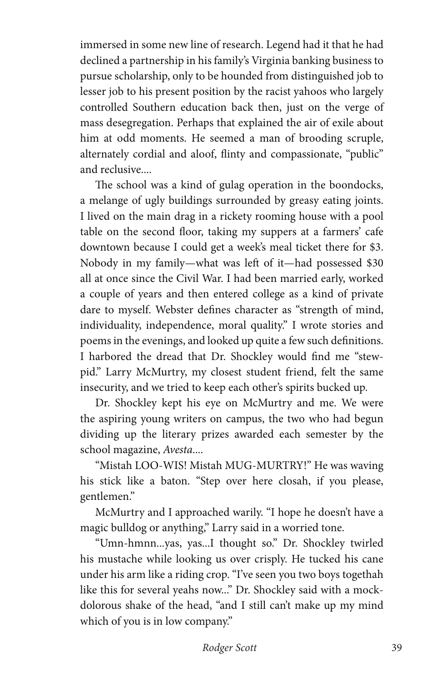immersed in some new line of research. Legend had it that he had declined a partnership in his family's Virginia banking business to pursue scholarship, only to be hounded from distinguished job to lesser job to his present position by the racist yahoos who largely controlled Southern education back then, just on the verge of mass desegregation. Perhaps that explained the air of exile about him at odd moments. He seemed a man of brooding scruple, alternately cordial and aloof, flinty and compassionate, "public" and reclusive....

The school was a kind of gulag operation in the boondocks, a melange of ugly buildings surrounded by greasy eating joints. I lived on the main drag in a rickety rooming house with a pool table on the second floor, taking my suppers at a farmers' cafe downtown because I could get a week's meal ticket there for \$3. Nobody in my family—what was left of it—had possessed \$30 all at once since the Civil War. I had been married early, worked a couple of years and then entered college as a kind of private dare to myself. Webster defines character as "strength of mind, individuality, independence, moral quality." I wrote stories and poems in the evenings, and looked up quite a few such definitions. I harbored the dread that Dr. Shockley would find me "stewpid." Larry McMurtry, my closest student friend, felt the same insecurity, and we tried to keep each other's spirits bucked up.

Dr. Shockley kept his eye on McMurtry and me. We were the aspiring young writers on campus, the two who had begun dividing up the literary prizes awarded each semester by the school magazine, *Avesta*....

"Mistah LOO-WIS! Mistah MUG-MURTRY!" He was waving his stick like a baton. "Step over here closah, if you please, gentlemen."

McMurtry and I approached warily. "I hope he doesn't have a magic bulldog or anything," Larry said in a worried tone.

"Umn-hmnn...yas, yas...I thought so." Dr. Shockley twirled his mustache while looking us over crisply. He tucked his cane under his arm like a riding crop. "I've seen you two boys togethah like this for several yeahs now..." Dr. Shockley said with a mockdolorous shake of the head, "and I still can't make up my mind which of you is in low company."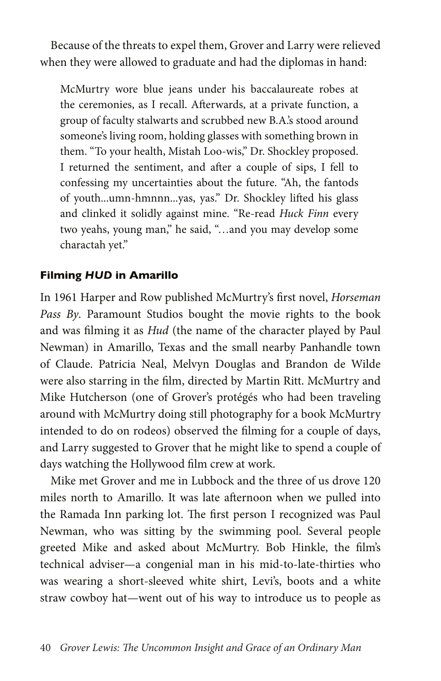Because of the threats to expel them, Grover and Larry were relieved when they were allowed to graduate and had the diplomas in hand:

McMurtry wore blue jeans under his baccalaureate robes at the ceremonies, as I recall. Afterwards, at a private function, a group of faculty stalwarts and scrubbed new B.A.'s stood around someone's living room, holding glasses with something brown in them. "To your health, Mistah Loo-wis," Dr. Shockley proposed. I returned the sentiment, and after a couple of sips, I fell to confessing my uncertainties about the future. "Ah, the fantods of youth...umn-hmnnn...yas, yas." Dr. Shockley lifted his glass and clinked it solidly against mine. "Re-read *Huck Finn* every two yeahs, young man," he said, "…and you may develop some charactah yet."

#### **Filming** *HUD* **in Amarillo**

In 1961 Harper and Row published McMurtry's first novel, *Horseman Pass By*. Paramount Studios bought the movie rights to the book and was filming it as *Hud* (the name of the character played by Paul Newman) in Amarillo, Texas and the small nearby Panhandle town of Claude. Patricia Neal, Melvyn Douglas and Brandon de Wilde were also starring in the film, directed by Martin Ritt. McMurtry and Mike Hutcherson (one of Grover's protégés who had been traveling around with McMurtry doing still photography for a book McMurtry intended to do on rodeos) observed the filming for a couple of days, and Larry suggested to Grover that he might like to spend a couple of days watching the Hollywood film crew at work.

Mike met Grover and me in Lubbock and the three of us drove 120 miles north to Amarillo. It was late afternoon when we pulled into the Ramada Inn parking lot. The first person I recognized was Paul Newman, who was sitting by the swimming pool. Several people greeted Mike and asked about McMurtry. Bob Hinkle, the film's technical adviser—a congenial man in his mid-to-late-thirties who was wearing a short-sleeved white shirt, Levi's, boots and a white straw cowboy hat—went out of his way to introduce us to people as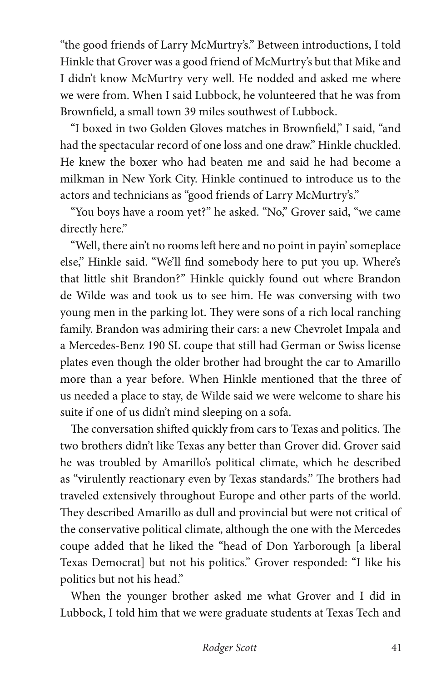"the good friends of Larry McMurtry's." Between introductions, I told Hinkle that Grover was a good friend of McMurtry's but that Mike and I didn't know McMurtry very well. He nodded and asked me where we were from. When I said Lubbock, he volunteered that he was from Brownfield, a small town 39 miles southwest of Lubbock.

"I boxed in two Golden Gloves matches in Brownfield," I said, "and had the spectacular record of one loss and one draw." Hinkle chuckled. He knew the boxer who had beaten me and said he had become a milkman in New York City. Hinkle continued to introduce us to the actors and technicians as "good friends of Larry McMurtry's."

"You boys have a room yet?" he asked. "No," Grover said, "we came directly here."

"Well, there ain't no rooms left here and no point in payin' someplace else," Hinkle said. "We'll find somebody here to put you up. Where's that little shit Brandon?" Hinkle quickly found out where Brandon de Wilde was and took us to see him. He was conversing with two young men in the parking lot. They were sons of a rich local ranching family. Brandon was admiring their cars: a new Chevrolet Impala and a Mercedes-Benz 190 SL coupe that still had German or Swiss license plates even though the older brother had brought the car to Amarillo more than a year before. When Hinkle mentioned that the three of us needed a place to stay, de Wilde said we were welcome to share his suite if one of us didn't mind sleeping on a sofa.

The conversation shifted quickly from cars to Texas and politics. The two brothers didn't like Texas any better than Grover did. Grover said he was troubled by Amarillo's political climate, which he described as "virulently reactionary even by Texas standards." The brothers had traveled extensively throughout Europe and other parts of the world. They described Amarillo as dull and provincial but were not critical of the conservative political climate, although the one with the Mercedes coupe added that he liked the "head of Don Yarborough [a liberal Texas Democrat] but not his politics." Grover responded: "I like his politics but not his head."

When the younger brother asked me what Grover and I did in Lubbock, I told him that we were graduate students at Texas Tech and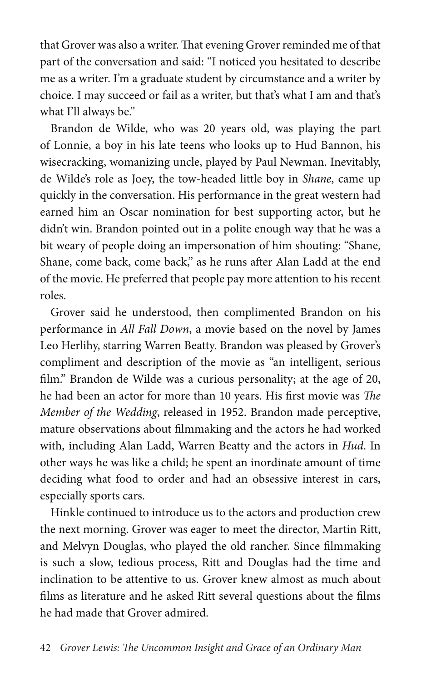that Grover was also a writer. That evening Grover reminded me of that part of the conversation and said: "I noticed you hesitated to describe me as a writer. I'm a graduate student by circumstance and a writer by choice. I may succeed or fail as a writer, but that's what I am and that's what I'll always be."

Brandon de Wilde, who was 20 years old, was playing the part of Lonnie, a boy in his late teens who looks up to Hud Bannon, his wisecracking, womanizing uncle, played by Paul Newman. Inevitably, de Wilde's role as Joey, the tow-headed little boy in *Shane*, came up quickly in the conversation. His performance in the great western had earned him an Oscar nomination for best supporting actor, but he didn't win. Brandon pointed out in a polite enough way that he was a bit weary of people doing an impersonation of him shouting: "Shane, Shane, come back, come back," as he runs after Alan Ladd at the end of the movie. He preferred that people pay more attention to his recent roles.

Grover said he understood, then complimented Brandon on his performance in *All Fall Down*, a movie based on the novel by James Leo Herlihy, starring Warren Beatty. Brandon was pleased by Grover's compliment and description of the movie as "an intelligent, serious film." Brandon de Wilde was a curious personality; at the age of 20, he had been an actor for more than 10 years. His first movie was *The Member of the Wedding*, released in 1952. Brandon made perceptive, mature observations about filmmaking and the actors he had worked with, including Alan Ladd, Warren Beatty and the actors in *Hud*. In other ways he was like a child; he spent an inordinate amount of time deciding what food to order and had an obsessive interest in cars, especially sports cars.

Hinkle continued to introduce us to the actors and production crew the next morning. Grover was eager to meet the director, Martin Ritt, and Melvyn Douglas, who played the old rancher. Since filmmaking is such a slow, tedious process, Ritt and Douglas had the time and inclination to be attentive to us. Grover knew almost as much about films as literature and he asked Ritt several questions about the films he had made that Grover admired.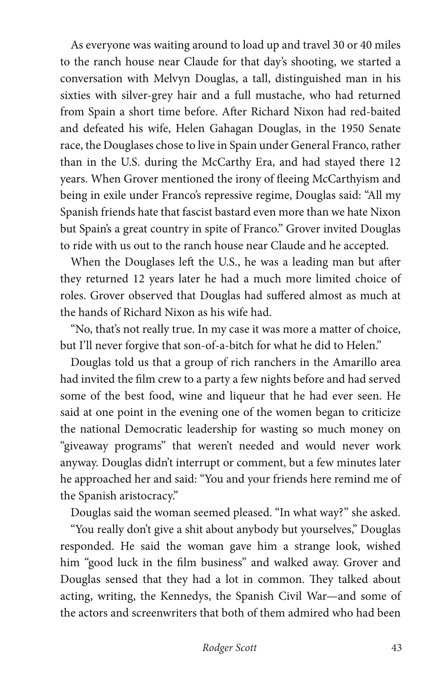As everyone was waiting around to load up and travel 30 or 40 miles to the ranch house near Claude for that day's shooting, we started a conversation with Melvyn Douglas, a tall, distinguished man in his sixties with silver-grey hair and a full mustache, who had returned from Spain a short time before. After Richard Nixon had red-baited and defeated his wife, Helen Gahagan Douglas, in the 1950 Senate race, the Douglases chose to live in Spain under General Franco, rather than in the U.S. during the McCarthy Era, and had stayed there 12 years. When Grover mentioned the irony of fleeing McCarthyism and being in exile under Franco's repressive regime, Douglas said: "All my Spanish friends hate that fascist bastard even more than we hate Nixon but Spain's a great country in spite of Franco." Grover invited Douglas to ride with us out to the ranch house near Claude and he accepted.

When the Douglases left the U.S., he was a leading man but after they returned 12 years later he had a much more limited choice of roles. Grover observed that Douglas had suffered almost as much at the hands of Richard Nixon as his wife had.

"No, that's not really true. In my case it was more a matter of choice, but I'll never forgive that son-of-a-bitch for what he did to Helen."

Douglas told us that a group of rich ranchers in the Amarillo area had invited the film crew to a party a few nights before and had served some of the best food, wine and liqueur that he had ever seen. He said at one point in the evening one of the women began to criticize the national Democratic leadership for wasting so much money on "giveaway programs" that weren't needed and would never work anyway. Douglas didn't interrupt or comment, but a few minutes later he approached her and said: "You and your friends here remind me of the Spanish aristocracy."

Douglas said the woman seemed pleased. "In what way?" she asked.

"You really don't give a shit about anybody but yourselves," Douglas responded. He said the woman gave him a strange look, wished him "good luck in the film business" and walked away. Grover and Douglas sensed that they had a lot in common. They talked about acting, writing, the Kennedys, the Spanish Civil War—and some of the actors and screenwriters that both of them admired who had been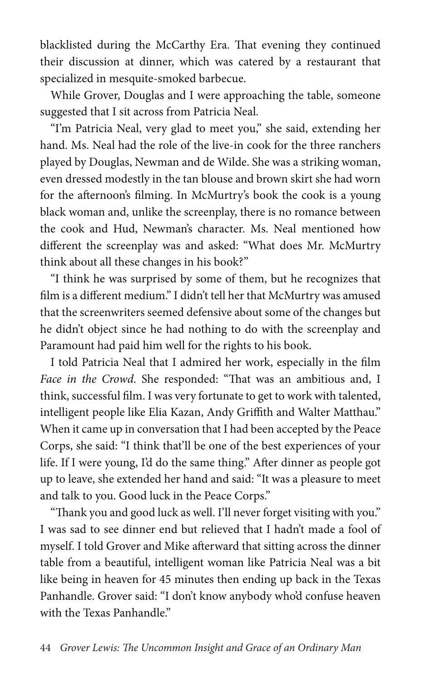blacklisted during the McCarthy Era. That evening they continued their discussion at dinner, which was catered by a restaurant that specialized in mesquite-smoked barbecue.

While Grover, Douglas and I were approaching the table, someone suggested that I sit across from Patricia Neal.

"I'm Patricia Neal, very glad to meet you," she said, extending her hand. Ms. Neal had the role of the live-in cook for the three ranchers played by Douglas, Newman and de Wilde. She was a striking woman, even dressed modestly in the tan blouse and brown skirt she had worn for the afternoon's filming. In McMurtry's book the cook is a young black woman and, unlike the screenplay, there is no romance between the cook and Hud, Newman's character. Ms. Neal mentioned how different the screenplay was and asked: "What does Mr. McMurtry think about all these changes in his book?"

"I think he was surprised by some of them, but he recognizes that film is a different medium." I didn't tell her that McMurtry was amused that the screenwriters seemed defensive about some of the changes but he didn't object since he had nothing to do with the screenplay and Paramount had paid him well for the rights to his book.

I told Patricia Neal that I admired her work, especially in the film *Face in the Crowd*. She responded: "That was an ambitious and, I think, successful film. I was very fortunate to get to work with talented, intelligent people like Elia Kazan, Andy Griffith and Walter Matthau." When it came up in conversation that I had been accepted by the Peace Corps, she said: "I think that'll be one of the best experiences of your life. If I were young, I'd do the same thing." After dinner as people got up to leave, she extended her hand and said: "It was a pleasure to meet and talk to you. Good luck in the Peace Corps."

"Thank you and good luck as well. I'll never forget visiting with you." I was sad to see dinner end but relieved that I hadn't made a fool of myself. I told Grover and Mike afterward that sitting across the dinner table from a beautiful, intelligent woman like Patricia Neal was a bit like being in heaven for 45 minutes then ending up back in the Texas Panhandle. Grover said: "I don't know anybody who'd confuse heaven with the Texas Panhandle."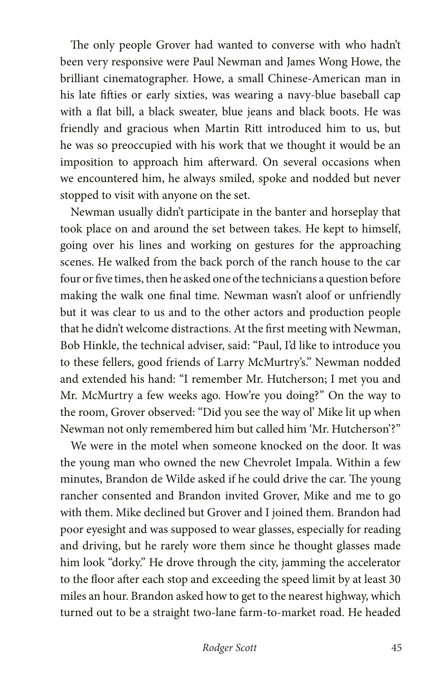The only people Grover had wanted to converse with who hadn't been very responsive were Paul Newman and James Wong Howe, the brilliant cinematographer. Howe, a small Chinese-American man in his late fifties or early sixties, was wearing a navy-blue baseball cap with a flat bill, a black sweater, blue jeans and black boots. He was friendly and gracious when Martin Ritt introduced him to us, but he was so preoccupied with his work that we thought it would be an imposition to approach him afterward. On several occasions when we encountered him, he always smiled, spoke and nodded but never stopped to visit with anyone on the set.

Newman usually didn't participate in the banter and horseplay that took place on and around the set between takes. He kept to himself, going over his lines and working on gestures for the approaching scenes. He walked from the back porch of the ranch house to the car four or five times, then he asked one of the technicians a question before making the walk one final time. Newman wasn't aloof or unfriendly but it was clear to us and to the other actors and production people that he didn't welcome distractions. At the first meeting with Newman, Bob Hinkle, the technical adviser, said: "Paul, I'd like to introduce you to these fellers, good friends of Larry McMurtry's." Newman nodded and extended his hand: "I remember Mr. Hutcherson; I met you and Mr. McMurtry a few weeks ago. How're you doing?" On the way to the room, Grover observed: "Did you see the way ol' Mike lit up when Newman not only remembered him but called him 'Mr. Hutcherson'?"

We were in the motel when someone knocked on the door. It was the young man who owned the new Chevrolet Impala. Within a few minutes, Brandon de Wilde asked if he could drive the car. The young rancher consented and Brandon invited Grover, Mike and me to go with them. Mike declined but Grover and I joined them. Brandon had poor eyesight and was supposed to wear glasses, especially for reading and driving, but he rarely wore them since he thought glasses made him look "dorky." He drove through the city, jamming the accelerator to the floor after each stop and exceeding the speed limit by at least 30 miles an hour. Brandon asked how to get to the nearest highway, which turned out to be a straight two-lane farm-to-market road. He headed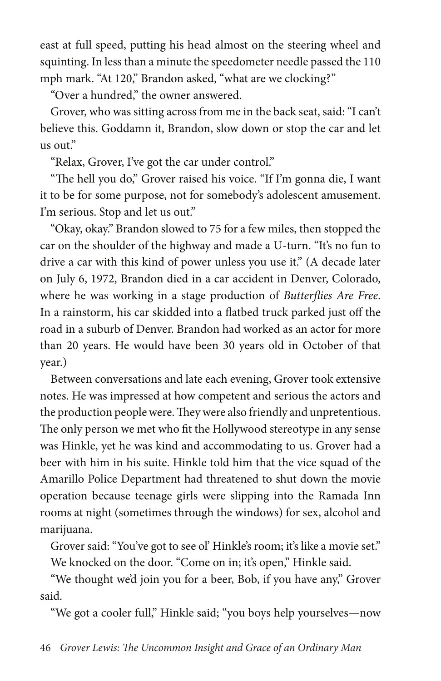east at full speed, putting his head almost on the steering wheel and squinting. In less than a minute the speedometer needle passed the 110 mph mark. "At 120," Brandon asked, "what are we clocking?"

"Over a hundred," the owner answered.

Grover, who was sitting across from me in the back seat, said: "I can't believe this. Goddamn it, Brandon, slow down or stop the car and let us out."

"Relax, Grover, I've got the car under control."

"The hell you do," Grover raised his voice. "If I'm gonna die, I want it to be for some purpose, not for somebody's adolescent amusement. I'm serious. Stop and let us out."

"Okay, okay." Brandon slowed to 75 for a few miles, then stopped the car on the shoulder of the highway and made a U-turn. "It's no fun to drive a car with this kind of power unless you use it." (A decade later on July 6, 1972, Brandon died in a car accident in Denver, Colorado, where he was working in a stage production of *Butterflies Are Free*. In a rainstorm, his car skidded into a flatbed truck parked just off the road in a suburb of Denver. Brandon had worked as an actor for more than 20 years. He would have been 30 years old in October of that year.)

Between conversations and late each evening, Grover took extensive notes. He was impressed at how competent and serious the actors and the production people were. They were also friendly and unpretentious. The only person we met who fit the Hollywood stereotype in any sense was Hinkle, yet he was kind and accommodating to us. Grover had a beer with him in his suite. Hinkle told him that the vice squad of the Amarillo Police Department had threatened to shut down the movie operation because teenage girls were slipping into the Ramada Inn rooms at night (sometimes through the windows) for sex, alcohol and marijuana.

Grover said: "You've got to see ol' Hinkle's room; it's like a movie set." We knocked on the door. "Come on in; it's open," Hinkle said.

"We thought we'd join you for a beer, Bob, if you have any," Grover said.

"We got a cooler full," Hinkle said; "you boys help yourselves—now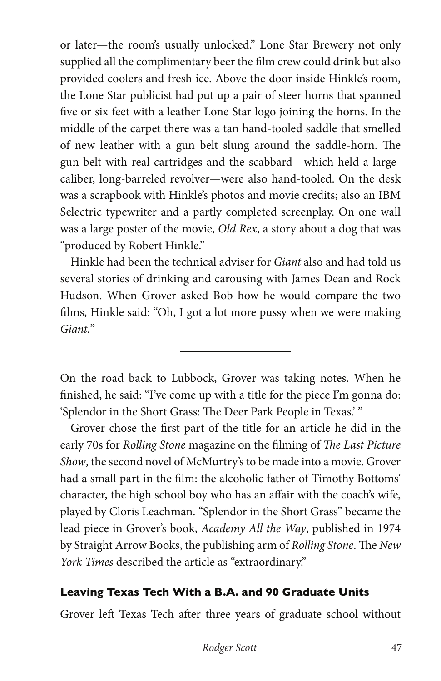or later—the room's usually unlocked." Lone Star Brewery not only supplied all the complimentary beer the film crew could drink but also provided coolers and fresh ice. Above the door inside Hinkle's room, the Lone Star publicist had put up a pair of steer horns that spanned five or six feet with a leather Lone Star logo joining the horns. In the middle of the carpet there was a tan hand-tooled saddle that smelled of new leather with a gun belt slung around the saddle-horn. The gun belt with real cartridges and the scabbard—which held a largecaliber, long-barreled revolver—were also hand-tooled. On the desk was a scrapbook with Hinkle's photos and movie credits; also an IBM Selectric typewriter and a partly completed screenplay. On one wall was a large poster of the movie, *Old Rex*, a story about a dog that was "produced by Robert Hinkle."

Hinkle had been the technical adviser for *Giant* also and had told us several stories of drinking and carousing with James Dean and Rock Hudson. When Grover asked Bob how he would compare the two films, Hinkle said: "Oh, I got a lot more pussy when we were making *Giant.*"

On the road back to Lubbock, Grover was taking notes. When he finished, he said: "I've come up with a title for the piece I'm gonna do: 'Splendor in the Short Grass: The Deer Park People in Texas.' "

 $\overline{a}$ 

Grover chose the first part of the title for an article he did in the early 70s for *Rolling Stone* magazine on the filming of *The Last Picture Show*, the second novel of McMurtry's to be made into a movie. Grover had a small part in the film: the alcoholic father of Timothy Bottoms' character, the high school boy who has an affair with the coach's wife, played by Cloris Leachman. "Splendor in the Short Grass" became the lead piece in Grover's book, *Academy All the Way*, published in 1974 by Straight Arrow Books, the publishing arm of *Rolling Stone*. The *New York Times* described the article as "extraordinary."

### **Leaving Texas Tech With a B.A. and 90 Graduate Units**

Grover left Texas Tech after three years of graduate school without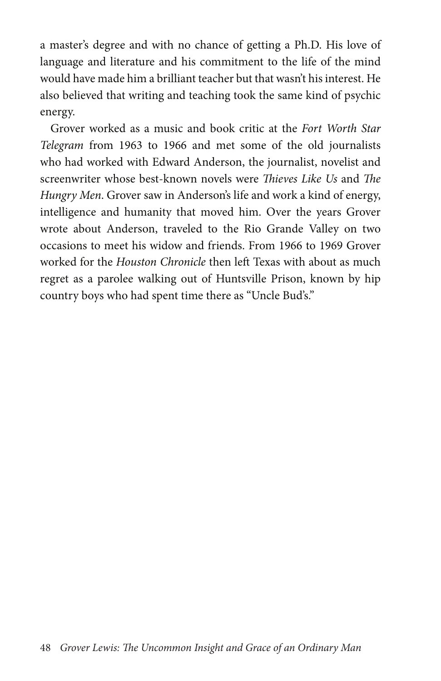a master's degree and with no chance of getting a Ph.D. His love of language and literature and his commitment to the life of the mind would have made him a brilliant teacher but that wasn't his interest. He also believed that writing and teaching took the same kind of psychic energy.

Grover worked as a music and book critic at the *Fort Worth Star Telegram* from 1963 to 1966 and met some of the old journalists who had worked with Edward Anderson, the journalist, novelist and screenwriter whose best-known novels were *Thieves Like Us* and *The Hungry Men*. Grover saw in Anderson's life and work a kind of energy, intelligence and humanity that moved him. Over the years Grover wrote about Anderson, traveled to the Rio Grande Valley on two occasions to meet his widow and friends. From 1966 to 1969 Grover worked for the *Houston Chronicle* then left Texas with about as much regret as a parolee walking out of Huntsville Prison, known by hip country boys who had spent time there as "Uncle Bud's."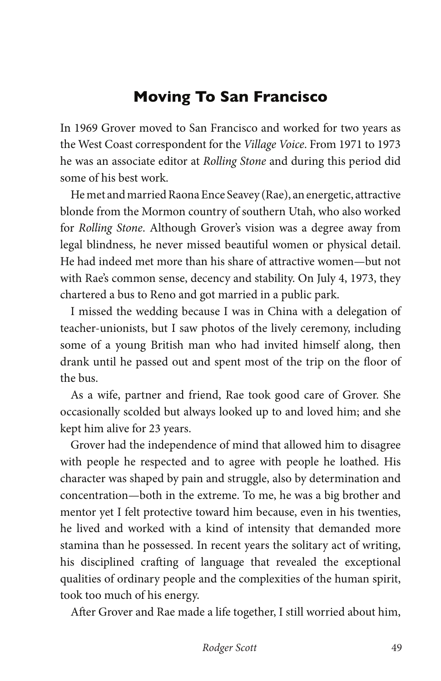## **Moving To San Francisco**

In 1969 Grover moved to San Francisco and worked for two years as the West Coast correspondent for the *Village Voice*. From 1971 to 1973 he was an associate editor at *Rolling Stone* and during this period did some of his best work.

He met and married Raona Ence Seavey (Rae), an energetic, attractive blonde from the Mormon country of southern Utah, who also worked for *Rolling Stone*. Although Grover's vision was a degree away from legal blindness, he never missed beautiful women or physical detail. He had indeed met more than his share of attractive women—but not with Rae's common sense, decency and stability. On July 4, 1973, they chartered a bus to Reno and got married in a public park.

I missed the wedding because I was in China with a delegation of teacher-unionists, but I saw photos of the lively ceremony, including some of a young British man who had invited himself along, then drank until he passed out and spent most of the trip on the floor of the bus.

As a wife, partner and friend, Rae took good care of Grover. She occasionally scolded but always looked up to and loved him; and she kept him alive for 23 years.

Grover had the independence of mind that allowed him to disagree with people he respected and to agree with people he loathed. His character was shaped by pain and struggle, also by determination and concentration—both in the extreme. To me, he was a big brother and mentor yet I felt protective toward him because, even in his twenties, he lived and worked with a kind of intensity that demanded more stamina than he possessed. In recent years the solitary act of writing, his disciplined crafting of language that revealed the exceptional qualities of ordinary people and the complexities of the human spirit, took too much of his energy.

After Grover and Rae made a life together, I still worried about him,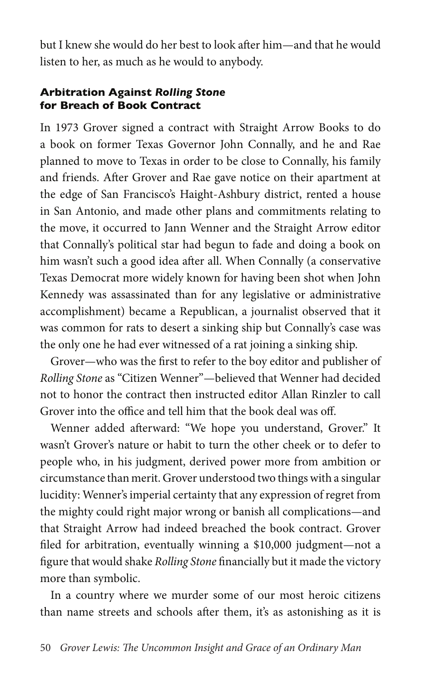but I knew she would do her best to look after him—and that he would listen to her, as much as he would to anybody.

#### **Arbitration Against** *Rolling Stone* **for Breach of Book Contract**

In 1973 Grover signed a contract with Straight Arrow Books to do a book on former Texas Governor John Connally, and he and Rae planned to move to Texas in order to be close to Connally, his family and friends. After Grover and Rae gave notice on their apartment at the edge of San Francisco's Haight-Ashbury district, rented a house in San Antonio, and made other plans and commitments relating to the move, it occurred to Jann Wenner and the Straight Arrow editor that Connally's political star had begun to fade and doing a book on him wasn't such a good idea after all. When Connally (a conservative Texas Democrat more widely known for having been shot when John Kennedy was assassinated than for any legislative or administrative accomplishment) became a Republican, a journalist observed that it was common for rats to desert a sinking ship but Connally's case was the only one he had ever witnessed of a rat joining a sinking ship.

Grover—who was the first to refer to the boy editor and publisher of *Rolling Stone* as "Citizen Wenner"—believed that Wenner had decided not to honor the contract then instructed editor Allan Rinzler to call Grover into the office and tell him that the book deal was off.

Wenner added afterward: "We hope you understand, Grover." It wasn't Grover's nature or habit to turn the other cheek or to defer to people who, in his judgment, derived power more from ambition or circumstance than merit. Grover understood two things with a singular lucidity: Wenner's imperial certainty that any expression of regret from the mighty could right major wrong or banish all complications—and that Straight Arrow had indeed breached the book contract. Grover filed for arbitration, eventually winning a \$10,000 judgment—not a figure that would shake *Rolling Stone* financially but it made the victory more than symbolic.

In a country where we murder some of our most heroic citizens than name streets and schools after them, it's as astonishing as it is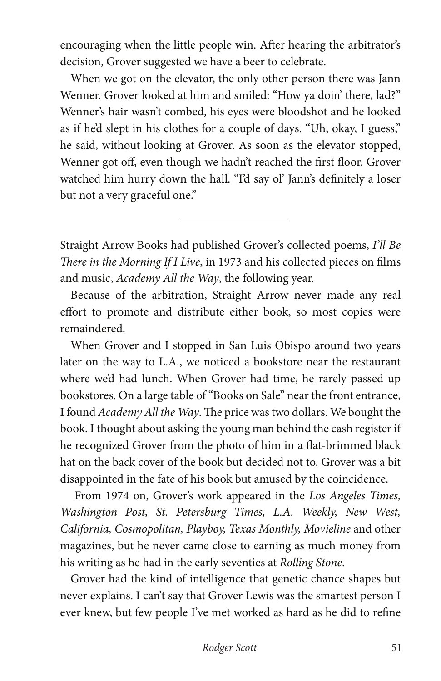encouraging when the little people win. After hearing the arbitrator's decision, Grover suggested we have a beer to celebrate.

When we got on the elevator, the only other person there was Jann Wenner. Grover looked at him and smiled: "How ya doin' there, lad?" Wenner's hair wasn't combed, his eyes were bloodshot and he looked as if he'd slept in his clothes for a couple of days. "Uh, okay, I guess," he said, without looking at Grover. As soon as the elevator stopped, Wenner got off, even though we hadn't reached the first floor. Grover watched him hurry down the hall. "I'd say ol' Jann's definitely a loser but not a very graceful one."

Straight Arrow Books had published Grover's collected poems, *I'll Be There in the Morning If I Live*, in 1973 and his collected pieces on films and music, *Academy All the Way*, the following year.

 $\overline{a}$ 

Because of the arbitration, Straight Arrow never made any real effort to promote and distribute either book, so most copies were remaindered.

When Grover and I stopped in San Luis Obispo around two years later on the way to L.A., we noticed a bookstore near the restaurant where we'd had lunch. When Grover had time, he rarely passed up bookstores. On a large table of "Books on Sale" near the front entrance, I found *Academy All the Way*. The price was two dollars. We bought the book. I thought about asking the young man behind the cash register if he recognized Grover from the photo of him in a flat-brimmed black hat on the back cover of the book but decided not to. Grover was a bit disappointed in the fate of his book but amused by the coincidence.

 From 1974 on, Grover's work appeared in the *Los Angeles Times, Washington Post, St. Petersburg Times, L.A. Weekly, New West, California, Cosmopolitan, Playboy, Texas Monthly, Movieline* and other magazines, but he never came close to earning as much money from his writing as he had in the early seventies at *Rolling Stone*.

Grover had the kind of intelligence that genetic chance shapes but never explains. I can't say that Grover Lewis was the smartest person I ever knew, but few people I've met worked as hard as he did to refine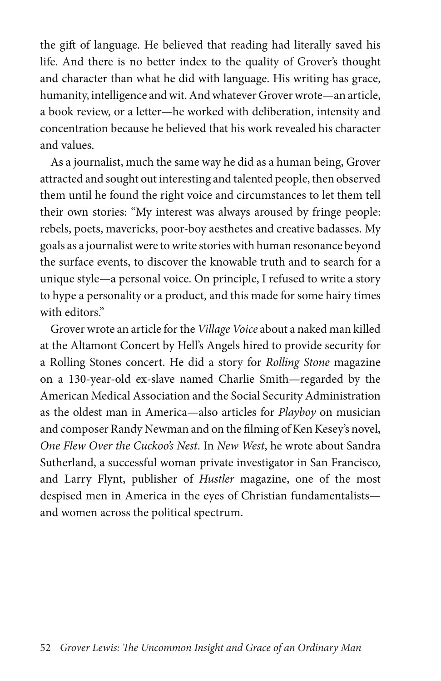the gift of language. He believed that reading had literally saved his life. And there is no better index to the quality of Grover's thought and character than what he did with language. His writing has grace, humanity, intelligence and wit. And whatever Grover wrote—an article, a book review, or a letter—he worked with deliberation, intensity and concentration because he believed that his work revealed his character and values.

As a journalist, much the same way he did as a human being, Grover attracted and sought out interesting and talented people, then observed them until he found the right voice and circumstances to let them tell their own stories: "My interest was always aroused by fringe people: rebels, poets, mavericks, poor-boy aesthetes and creative badasses. My goals as a journalist were to write stories with human resonance beyond the surface events, to discover the knowable truth and to search for a unique style—a personal voice. On principle, I refused to write a story to hype a personality or a product, and this made for some hairy times with editors."

Grover wrote an article for the *Village Voice* about a naked man killed at the Altamont Concert by Hell's Angels hired to provide security for a Rolling Stones concert. He did a story for *Rolling Stone* magazine on a 130-year-old ex-slave named Charlie Smith—regarded by the American Medical Association and the Social Security Administration as the oldest man in America—also articles for *Playboy* on musician and composer Randy Newman and on the filming of Ken Kesey's novel, *One Flew Over the Cuckoo's Nest*. In *New West*, he wrote about Sandra Sutherland, a successful woman private investigator in San Francisco, and Larry Flynt, publisher of *Hustler* magazine, one of the most despised men in America in the eyes of Christian fundamentalists and women across the political spectrum.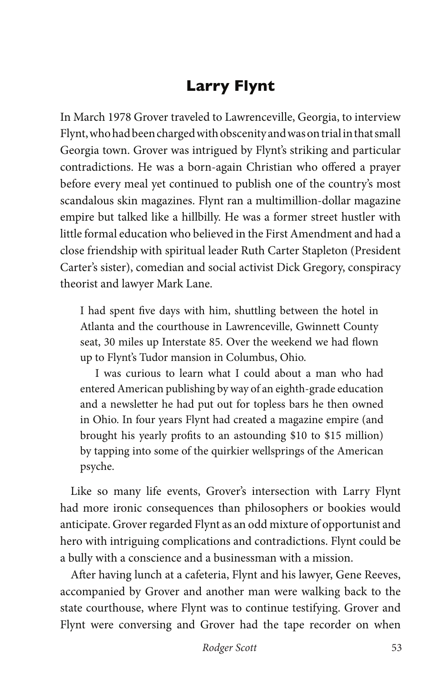# **Larry Flynt**

In March 1978 Grover traveled to Lawrenceville, Georgia, to interview Flynt, who had been charged with obscenity and was on trial in that small Georgia town. Grover was intrigued by Flynt's striking and particular contradictions. He was a born-again Christian who offered a prayer before every meal yet continued to publish one of the country's most scandalous skin magazines. Flynt ran a multimillion-dollar magazine empire but talked like a hillbilly. He was a former street hustler with little formal education who believed in the First Amendment and had a close friendship with spiritual leader Ruth Carter Stapleton (President Carter's sister), comedian and social activist Dick Gregory, conspiracy theorist and lawyer Mark Lane.

I had spent five days with him, shuttling between the hotel in Atlanta and the courthouse in Lawrenceville, Gwinnett County seat, 30 miles up Interstate 85. Over the weekend we had flown up to Flynt's Tudor mansion in Columbus, Ohio.

I was curious to learn what I could about a man who had entered American publishing by way of an eighth-grade education and a newsletter he had put out for topless bars he then owned in Ohio. In four years Flynt had created a magazine empire (and brought his yearly profits to an astounding \$10 to \$15 million) by tapping into some of the quirkier wellsprings of the American psyche.

Like so many life events, Grover's intersection with Larry Flynt had more ironic consequences than philosophers or bookies would anticipate. Grover regarded Flynt as an odd mixture of opportunist and hero with intriguing complications and contradictions. Flynt could be a bully with a conscience and a businessman with a mission.

After having lunch at a cafeteria, Flynt and his lawyer, Gene Reeves, accompanied by Grover and another man were walking back to the state courthouse, where Flynt was to continue testifying. Grover and Flynt were conversing and Grover had the tape recorder on when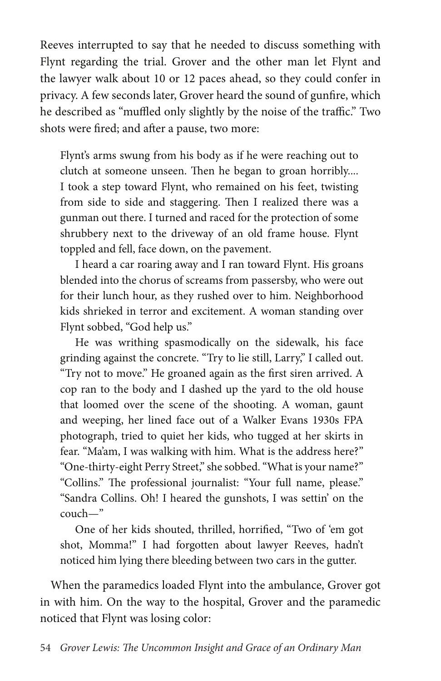Reeves interrupted to say that he needed to discuss something with Flynt regarding the trial. Grover and the other man let Flynt and the lawyer walk about 10 or 12 paces ahead, so they could confer in privacy. A few seconds later, Grover heard the sound of gunfire, which he described as "muffled only slightly by the noise of the traffic." Two shots were fired; and after a pause, two more:

Flynt's arms swung from his body as if he were reaching out to clutch at someone unseen. Then he began to groan horribly.... I took a step toward Flynt, who remained on his feet, twisting from side to side and staggering. Then I realized there was a gunman out there. I turned and raced for the protection of some shrubbery next to the driveway of an old frame house. Flynt toppled and fell, face down, on the pavement.

I heard a car roaring away and I ran toward Flynt. His groans blended into the chorus of screams from passersby, who were out for their lunch hour, as they rushed over to him. Neighborhood kids shrieked in terror and excitement. A woman standing over Flynt sobbed, "God help us."

He was writhing spasmodically on the sidewalk, his face grinding against the concrete. "Try to lie still, Larry," I called out. "Try not to move." He groaned again as the first siren arrived. A cop ran to the body and I dashed up the yard to the old house that loomed over the scene of the shooting. A woman, gaunt and weeping, her lined face out of a Walker Evans 1930s FPA photograph, tried to quiet her kids, who tugged at her skirts in fear. "Ma'am, I was walking with him. What is the address here?" "One-thirty-eight Perry Street," she sobbed. "What is your name?" "Collins." The professional journalist: "Your full name, please." "Sandra Collins. Oh! I heared the gunshots, I was settin' on the couch—"

One of her kids shouted, thrilled, horrified, "Two of 'em got shot, Momma!" I had forgotten about lawyer Reeves, hadn't noticed him lying there bleeding between two cars in the gutter.

When the paramedics loaded Flynt into the ambulance, Grover got in with him. On the way to the hospital, Grover and the paramedic noticed that Flynt was losing color: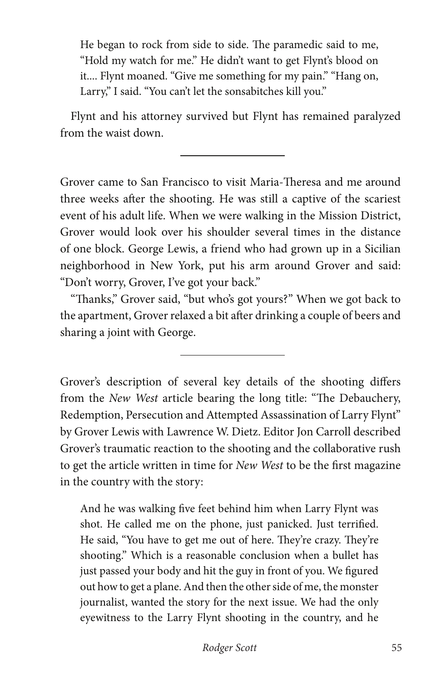He began to rock from side to side. The paramedic said to me, "Hold my watch for me." He didn't want to get Flynt's blood on it.... Flynt moaned. "Give me something for my pain." "Hang on, Larry," I said. "You can't let the sonsabitches kill you."

Flynt and his attorney survived but Flynt has remained paralyzed from the waist down.

 $\overline{a}$ 

 $\overline{a}$ 

Grover came to San Francisco to visit Maria-Theresa and me around three weeks after the shooting. He was still a captive of the scariest event of his adult life. When we were walking in the Mission District, Grover would look over his shoulder several times in the distance of one block. George Lewis, a friend who had grown up in a Sicilian neighborhood in New York, put his arm around Grover and said: "Don't worry, Grover, I've got your back."

"Thanks," Grover said, "but who's got yours?" When we got back to the apartment, Grover relaxed a bit after drinking a couple of beers and sharing a joint with George.

Grover's description of several key details of the shooting differs from the *New West* article bearing the long title: "The Debauchery, Redemption, Persecution and Attempted Assassination of Larry Flynt" by Grover Lewis with Lawrence W. Dietz. Editor Jon Carroll described Grover's traumatic reaction to the shooting and the collaborative rush to get the article written in time for *New West* to be the first magazine in the country with the story:

And he was walking five feet behind him when Larry Flynt was shot. He called me on the phone, just panicked. Just terrified. He said, "You have to get me out of here. They're crazy. They're shooting." Which is a reasonable conclusion when a bullet has just passed your body and hit the guy in front of you. We figured out how to get a plane. And then the other side of me, the monster journalist, wanted the story for the next issue. We had the only eyewitness to the Larry Flynt shooting in the country, and he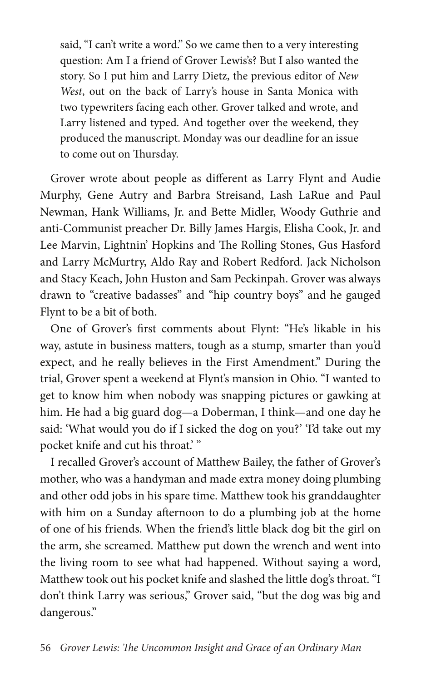said, "I can't write a word." So we came then to a very interesting question: Am I a friend of Grover Lewis's? But I also wanted the story. So I put him and Larry Dietz, the previous editor of *New West*, out on the back of Larry's house in Santa Monica with two typewriters facing each other. Grover talked and wrote, and Larry listened and typed. And together over the weekend, they produced the manuscript. Monday was our deadline for an issue to come out on Thursday.

Grover wrote about people as different as Larry Flynt and Audie Murphy, Gene Autry and Barbra Streisand, Lash LaRue and Paul Newman, Hank Williams, Jr. and Bette Midler, Woody Guthrie and anti-Communist preacher Dr. Billy James Hargis, Elisha Cook, Jr. and Lee Marvin, Lightnin' Hopkins and The Rolling Stones, Gus Hasford and Larry McMurtry, Aldo Ray and Robert Redford. Jack Nicholson and Stacy Keach, John Huston and Sam Peckinpah. Grover was always drawn to "creative badasses" and "hip country boys" and he gauged Flynt to be a bit of both.

One of Grover's first comments about Flynt: "He's likable in his way, astute in business matters, tough as a stump, smarter than you'd expect, and he really believes in the First Amendment." During the trial, Grover spent a weekend at Flynt's mansion in Ohio. "I wanted to get to know him when nobody was snapping pictures or gawking at him. He had a big guard dog—a Doberman, I think—and one day he said: 'What would you do if I sicked the dog on you?' 'I'd take out my pocket knife and cut his throat.' "

I recalled Grover's account of Matthew Bailey, the father of Grover's mother, who was a handyman and made extra money doing plumbing and other odd jobs in his spare time. Matthew took his granddaughter with him on a Sunday afternoon to do a plumbing job at the home of one of his friends. When the friend's little black dog bit the girl on the arm, she screamed. Matthew put down the wrench and went into the living room to see what had happened. Without saying a word, Matthew took out his pocket knife and slashed the little dog's throat. "I don't think Larry was serious," Grover said, "but the dog was big and dangerous."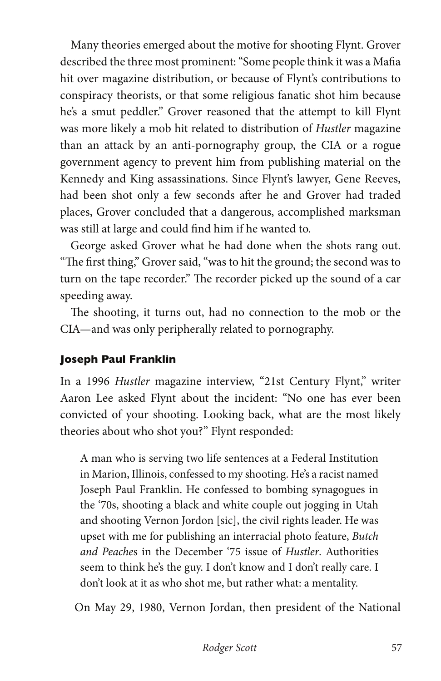Many theories emerged about the motive for shooting Flynt. Grover described the three most prominent: "Some people think it was a Mafia hit over magazine distribution, or because of Flynt's contributions to conspiracy theorists, or that some religious fanatic shot him because he's a smut peddler." Grover reasoned that the attempt to kill Flynt was more likely a mob hit related to distribution of *Hustler* magazine than an attack by an anti-pornography group, the CIA or a rogue government agency to prevent him from publishing material on the Kennedy and King assassinations. Since Flynt's lawyer, Gene Reeves, had been shot only a few seconds after he and Grover had traded places, Grover concluded that a dangerous, accomplished marksman was still at large and could find him if he wanted to.

George asked Grover what he had done when the shots rang out. "The first thing," Grover said, "was to hit the ground; the second was to turn on the tape recorder." The recorder picked up the sound of a car speeding away.

The shooting, it turns out, had no connection to the mob or the CIA—and was only peripherally related to pornography.

### **Joseph Paul Franklin**

In a 1996 *Hustler* magazine interview, "21st Century Flynt," writer Aaron Lee asked Flynt about the incident: "No one has ever been convicted of your shooting. Looking back, what are the most likely theories about who shot you?" Flynt responded:

A man who is serving two life sentences at a Federal Institution in Marion, Illinois, confessed to my shooting. He's a racist named Joseph Paul Franklin. He confessed to bombing synagogues in the '70s, shooting a black and white couple out jogging in Utah and shooting Vernon Jordon [sic], the civil rights leader. He was upset with me for publishing an interracial photo feature, *Butch and Peache*s in the December '75 issue of *Hustler*. Authorities seem to think he's the guy. I don't know and I don't really care. I don't look at it as who shot me, but rather what: a mentality.

On May 29, 1980, Vernon Jordan, then president of the National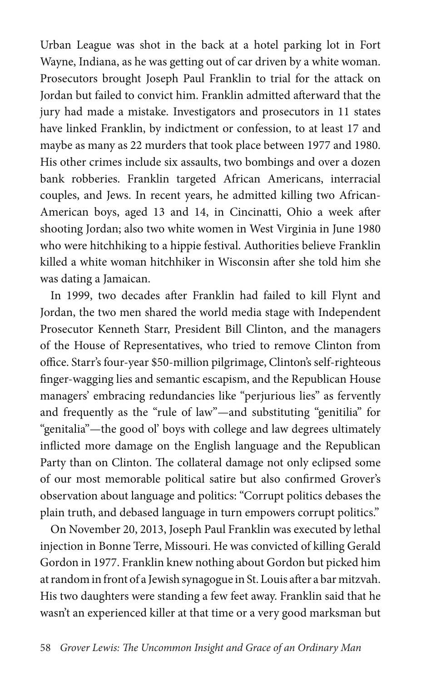Urban League was shot in the back at a hotel parking lot in Fort Wayne, Indiana, as he was getting out of car driven by a white woman. Prosecutors brought Joseph Paul Franklin to trial for the attack on Jordan but failed to convict him. Franklin admitted afterward that the jury had made a mistake. Investigators and prosecutors in 11 states have linked Franklin, by indictment or confession, to at least 17 and maybe as many as 22 murders that took place between 1977 and 1980. His other crimes include six assaults, two bombings and over a dozen bank robberies. Franklin targeted African Americans, interracial couples, and Jews. In recent years, he admitted killing two African-American boys, aged 13 and 14, in Cincinatti, Ohio a week after shooting Jordan; also two white women in West Virginia in June 1980 who were hitchhiking to a hippie festival. Authorities believe Franklin killed a white woman hitchhiker in Wisconsin after she told him she was dating a Jamaican.

In 1999, two decades after Franklin had failed to kill Flynt and Jordan, the two men shared the world media stage with Independent Prosecutor Kenneth Starr, President Bill Clinton, and the managers of the House of Representatives, who tried to remove Clinton from office. Starr's four-year \$50-million pilgrimage, Clinton's self-righteous finger-wagging lies and semantic escapism, and the Republican House managers' embracing redundancies like "perjurious lies" as fervently and frequently as the "rule of law"—and substituting "genitilia" for "genitalia"—the good ol' boys with college and law degrees ultimately inflicted more damage on the English language and the Republican Party than on Clinton. The collateral damage not only eclipsed some of our most memorable political satire but also confirmed Grover's observation about language and politics: "Corrupt politics debases the plain truth, and debased language in turn empowers corrupt politics."

On November 20, 2013, Joseph Paul Franklin was executed by lethal injection in Bonne Terre, Missouri. He was convicted of killing Gerald Gordon in 1977. Franklin knew nothing about Gordon but picked him at random in front of a Jewish synagogue in St. Louis after a bar mitzvah. His two daughters were standing a few feet away. Franklin said that he wasn't an experienced killer at that time or a very good marksman but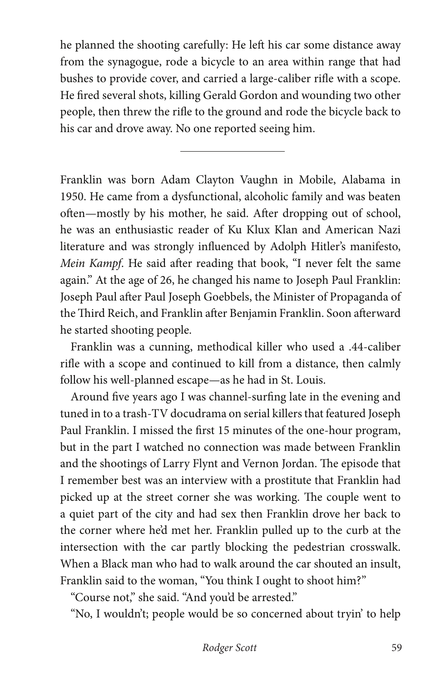he planned the shooting carefully: He left his car some distance away from the synagogue, rode a bicycle to an area within range that had bushes to provide cover, and carried a large-caliber rifle with a scope. He fired several shots, killing Gerald Gordon and wounding two other people, then threw the rifle to the ground and rode the bicycle back to his car and drove away. No one reported seeing him.

 $\overline{a}$ 

Franklin was born Adam Clayton Vaughn in Mobile, Alabama in 1950. He came from a dysfunctional, alcoholic family and was beaten often—mostly by his mother, he said. After dropping out of school, he was an enthusiastic reader of Ku Klux Klan and American Nazi literature and was strongly influenced by Adolph Hitler's manifesto, *Mein Kampf*. He said after reading that book, "I never felt the same again." At the age of 26, he changed his name to Joseph Paul Franklin: Joseph Paul after Paul Joseph Goebbels, the Minister of Propaganda of the Third Reich, and Franklin after Benjamin Franklin. Soon afterward he started shooting people.

Franklin was a cunning, methodical killer who used a .44-caliber rifle with a scope and continued to kill from a distance, then calmly follow his well-planned escape—as he had in St. Louis.

Around five years ago I was channel-surfing late in the evening and tuned in to a trash-TV docudrama on serial killers that featured Joseph Paul Franklin. I missed the first 15 minutes of the one-hour program, but in the part I watched no connection was made between Franklin and the shootings of Larry Flynt and Vernon Jordan. The episode that I remember best was an interview with a prostitute that Franklin had picked up at the street corner she was working. The couple went to a quiet part of the city and had sex then Franklin drove her back to the corner where he'd met her. Franklin pulled up to the curb at the intersection with the car partly blocking the pedestrian crosswalk. When a Black man who had to walk around the car shouted an insult, Franklin said to the woman, "You think I ought to shoot him?"

"Course not," she said. "And you'd be arrested."

"No, I wouldn't; people would be so concerned about tryin' to help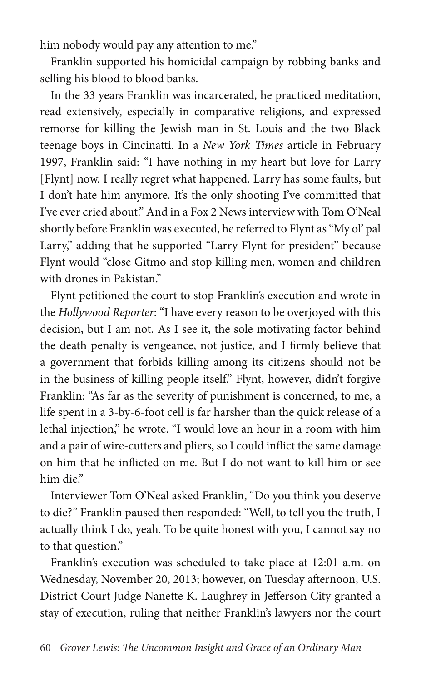him nobody would pay any attention to me."

Franklin supported his homicidal campaign by robbing banks and selling his blood to blood banks.

In the 33 years Franklin was incarcerated, he practiced meditation, read extensively, especially in comparative religions, and expressed remorse for killing the Jewish man in St. Louis and the two Black teenage boys in Cincinatti. In a *New York Times* article in February 1997, Franklin said: "I have nothing in my heart but love for Larry [Flynt] now. I really regret what happened. Larry has some faults, but I don't hate him anymore. It's the only shooting I've committed that I've ever cried about." And in a Fox 2 News interview with Tom O'Neal shortly before Franklin was executed, he referred to Flynt as "My ol' pal Larry," adding that he supported "Larry Flynt for president" because Flynt would "close Gitmo and stop killing men, women and children with drones in Pakistan."

Flynt petitioned the court to stop Franklin's execution and wrote in the *Hollywood Reporter*: "I have every reason to be overjoyed with this decision, but I am not. As I see it, the sole motivating factor behind the death penalty is vengeance, not justice, and I firmly believe that a government that forbids killing among its citizens should not be in the business of killing people itself." Flynt, however, didn't forgive Franklin: "As far as the severity of punishment is concerned, to me, a life spent in a 3-by-6-foot cell is far harsher than the quick release of a lethal injection," he wrote. "I would love an hour in a room with him and a pair of wire-cutters and pliers, so I could inflict the same damage on him that he inflicted on me. But I do not want to kill him or see him die."

Interviewer Tom O'Neal asked Franklin, "Do you think you deserve to die?" Franklin paused then responded: "Well, to tell you the truth, I actually think I do, yeah. To be quite honest with you, I cannot say no to that question."

Franklin's execution was scheduled to take place at 12:01 a.m. on Wednesday, November 20, 2013; however, on Tuesday afternoon, U.S. District Court Judge Nanette K. Laughrey in Jefferson City granted a stay of execution, ruling that neither Franklin's lawyers nor the court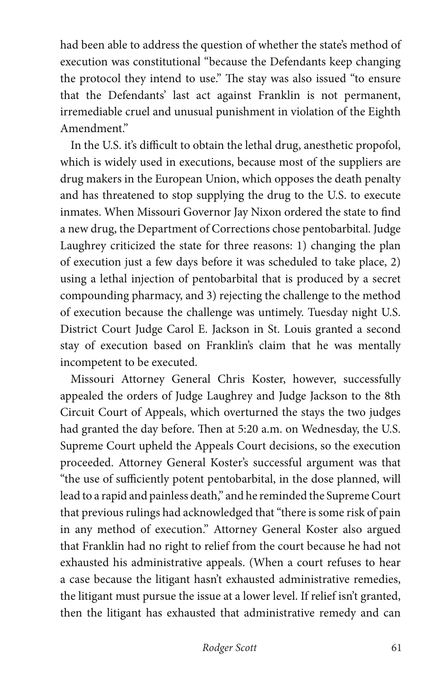had been able to address the question of whether the state's method of execution was constitutional "because the Defendants keep changing the protocol they intend to use." The stay was also issued "to ensure that the Defendants' last act against Franklin is not permanent, irremediable cruel and unusual punishment in violation of the Eighth Amendment."

In the U.S. it's difficult to obtain the lethal drug, anesthetic propofol, which is widely used in executions, because most of the suppliers are drug makers in the European Union, which opposes the death penalty and has threatened to stop supplying the drug to the U.S. to execute inmates. When Missouri Governor Jay Nixon ordered the state to find a new drug, the Department of Corrections chose pentobarbital. Judge Laughrey criticized the state for three reasons: 1) changing the plan of execution just a few days before it was scheduled to take place, 2) using a lethal injection of pentobarbital that is produced by a secret compounding pharmacy, and 3) rejecting the challenge to the method of execution because the challenge was untimely. Tuesday night U.S. District Court Judge Carol E. Jackson in St. Louis granted a second stay of execution based on Franklin's claim that he was mentally incompetent to be executed.

Missouri Attorney General Chris Koster, however, successfully appealed the orders of Judge Laughrey and Judge Jackson to the 8th Circuit Court of Appeals, which overturned the stays the two judges had granted the day before. Then at 5:20 a.m. on Wednesday, the U.S. Supreme Court upheld the Appeals Court decisions, so the execution proceeded. Attorney General Koster's successful argument was that "the use of sufficiently potent pentobarbital, in the dose planned, will lead to a rapid and painless death," and he reminded the Supreme Court that previous rulings had acknowledged that "there is some risk of pain in any method of execution." Attorney General Koster also argued that Franklin had no right to relief from the court because he had not exhausted his administrative appeals. (When a court refuses to hear a case because the litigant hasn't exhausted administrative remedies, the litigant must pursue the issue at a lower level. If relief isn't granted, then the litigant has exhausted that administrative remedy and can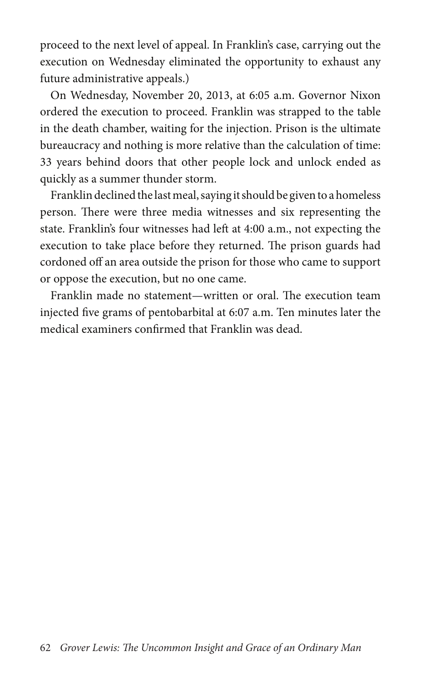proceed to the next level of appeal. In Franklin's case, carrying out the execution on Wednesday eliminated the opportunity to exhaust any future administrative appeals.)

On Wednesday, November 20, 2013, at 6:05 a.m. Governor Nixon ordered the execution to proceed. Franklin was strapped to the table in the death chamber, waiting for the injection. Prison is the ultimate bureaucracy and nothing is more relative than the calculation of time: 33 years behind doors that other people lock and unlock ended as quickly as a summer thunder storm.

Franklin declined the last meal, saying it should be given to a homeless person. There were three media witnesses and six representing the state. Franklin's four witnesses had left at 4:00 a.m., not expecting the execution to take place before they returned. The prison guards had cordoned off an area outside the prison for those who came to support or oppose the execution, but no one came.

Franklin made no statement—written or oral. The execution team injected five grams of pentobarbital at 6:07 a.m. Ten minutes later the medical examiners confirmed that Franklin was dead.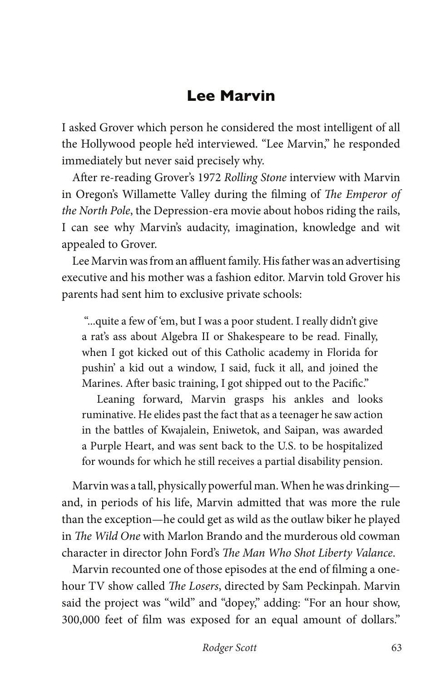## **Lee Marvin**

I asked Grover which person he considered the most intelligent of all the Hollywood people he'd interviewed. "Lee Marvin," he responded immediately but never said precisely why.

After re-reading Grover's 1972 *Rolling Stone* interview with Marvin in Oregon's Willamette Valley during the filming of *The Emperor of the North Pole*, the Depression-era movie about hobos riding the rails, I can see why Marvin's audacity, imagination, knowledge and wit appealed to Grover.

Lee Marvin was from an affluent family. His father was an advertising executive and his mother was a fashion editor. Marvin told Grover his parents had sent him to exclusive private schools:

 "...quite a few of 'em, but I was a poor student. I really didn't give a rat's ass about Algebra II or Shakespeare to be read. Finally, when I got kicked out of this Catholic academy in Florida for pushin' a kid out a window, I said, fuck it all, and joined the Marines. After basic training, I got shipped out to the Pacific."

Leaning forward, Marvin grasps his ankles and looks ruminative. He elides past the fact that as a teenager he saw action in the battles of Kwajalein, Eniwetok, and Saipan, was awarded a Purple Heart, and was sent back to the U.S. to be hospitalized for wounds for which he still receives a partial disability pension.

Marvin was a tall, physically powerful man. When he was drinking and, in periods of his life, Marvin admitted that was more the rule than the exception—he could get as wild as the outlaw biker he played in *The Wild One* with Marlon Brando and the murderous old cowman character in director John Ford's *The Man Who Shot Liberty Valance*.

Marvin recounted one of those episodes at the end of filming a onehour TV show called *The Losers*, directed by Sam Peckinpah. Marvin said the project was "wild" and "dopey," adding: "For an hour show, 300,000 feet of film was exposed for an equal amount of dollars."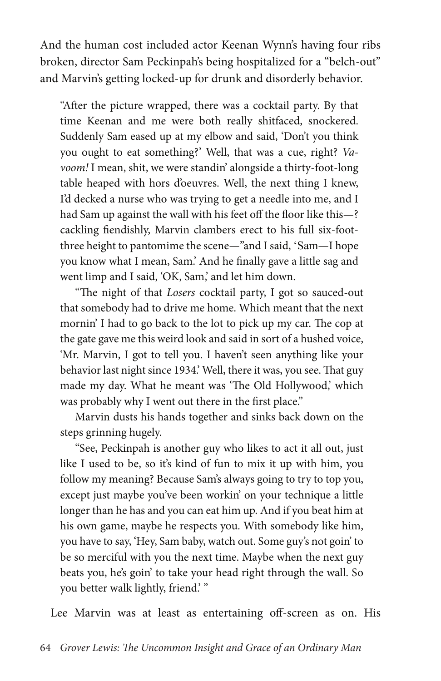And the human cost included actor Keenan Wynn's having four ribs broken, director Sam Peckinpah's being hospitalized for a "belch-out" and Marvin's getting locked-up for drunk and disorderly behavior.

"After the picture wrapped, there was a cocktail party. By that time Keenan and me were both really shitfaced, snockered. Suddenly Sam eased up at my elbow and said, 'Don't you think you ought to eat something?' Well, that was a cue, right? *Vavoom!* I mean, shit, we were standin' alongside a thirty-foot-long table heaped with hors d'oeuvres. Well, the next thing I knew, I'd decked a nurse who was trying to get a needle into me, and I had Sam up against the wall with his feet off the floor like this—? cackling fiendishly, Marvin clambers erect to his full six-footthree height to pantomime the scene—"and I said, 'Sam—I hope you know what I mean, Sam.' And he finally gave a little sag and went limp and I said, 'OK, Sam,' and let him down.

"The night of that *Losers* cocktail party, I got so sauced-out that somebody had to drive me home. Which meant that the next mornin' I had to go back to the lot to pick up my car. The cop at the gate gave me this weird look and said in sort of a hushed voice, 'Mr. Marvin, I got to tell you. I haven't seen anything like your behavior last night since 1934.' Well, there it was, you see. That guy made my day. What he meant was 'The Old Hollywood,' which was probably why I went out there in the first place."

Marvin dusts his hands together and sinks back down on the steps grinning hugely.

"See, Peckinpah is another guy who likes to act it all out, just like I used to be, so it's kind of fun to mix it up with him, you follow my meaning? Because Sam's always going to try to top you, except just maybe you've been workin' on your technique a little longer than he has and you can eat him up. And if you beat him at his own game, maybe he respects you. With somebody like him, you have to say, 'Hey, Sam baby, watch out. Some guy's not goin' to be so merciful with you the next time. Maybe when the next guy beats you, he's goin' to take your head right through the wall. So you better walk lightly, friend.'"

Lee Marvin was at least as entertaining off-screen as on. His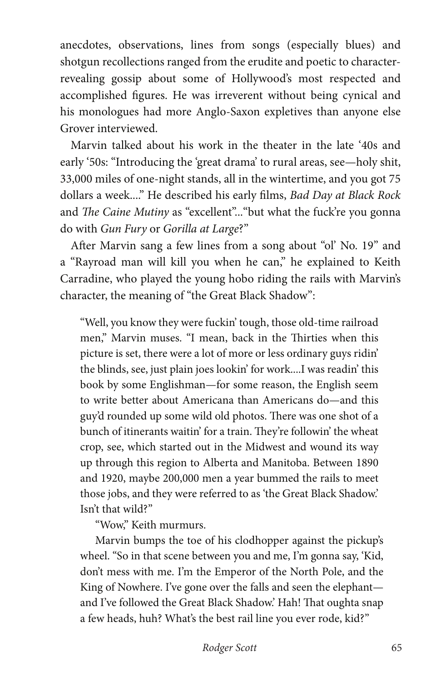anecdotes, observations, lines from songs (especially blues) and shotgun recollections ranged from the erudite and poetic to characterrevealing gossip about some of Hollywood's most respected and accomplished figures. He was irreverent without being cynical and his monologues had more Anglo-Saxon expletives than anyone else Grover interviewed.

Marvin talked about his work in the theater in the late '40s and early '50s: "Introducing the 'great drama' to rural areas, see—holy shit, 33,000 miles of one-night stands, all in the wintertime, and you got 75 dollars a week...." He described his early films, *Bad Day at Black Rock* and *The Caine Mutiny* as "excellent"..."but what the fuck're you gonna do with *Gun Fury* or *Gorilla at Large*?"

After Marvin sang a few lines from a song about "ol' No. 19" and a "Rayroad man will kill you when he can," he explained to Keith Carradine, who played the young hobo riding the rails with Marvin's character, the meaning of "the Great Black Shadow":

"Well, you know they were fuckin' tough, those old-time railroad men," Marvin muses. "I mean, back in the Thirties when this picture is set, there were a lot of more or less ordinary guys ridin' the blinds, see, just plain joes lookin' for work....I was readin' this book by some Englishman—for some reason, the English seem to write better about Americana than Americans do—and this guy'd rounded up some wild old photos. There was one shot of a bunch of itinerants waitin' for a train. They're followin' the wheat crop, see, which started out in the Midwest and wound its way up through this region to Alberta and Manitoba. Between 1890 and 1920, maybe 200,000 men a year bummed the rails to meet those jobs, and they were referred to as 'the Great Black Shadow.' Isn't that wild?"

"Wow," Keith murmurs.

Marvin bumps the toe of his clodhopper against the pickup's wheel. "So in that scene between you and me, I'm gonna say, 'Kid, don't mess with me. I'm the Emperor of the North Pole, and the King of Nowhere. I've gone over the falls and seen the elephant and I've followed the Great Black Shadow.' Hah! That oughta snap a few heads, huh? What's the best rail line you ever rode, kid?"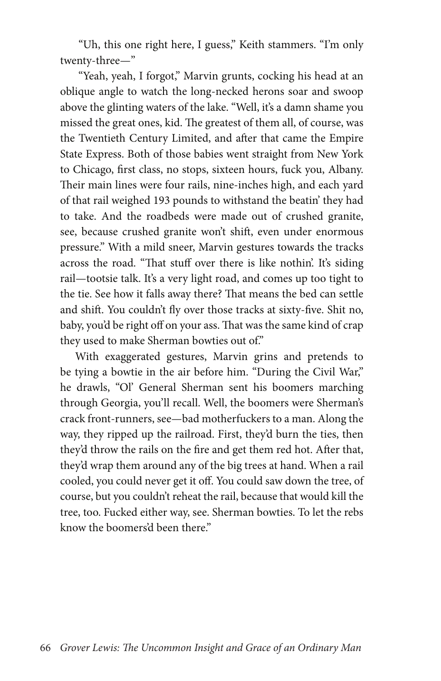"Uh, this one right here, I guess," Keith stammers. "I'm only twenty-three—"

 "Yeah, yeah, I forgot," Marvin grunts, cocking his head at an oblique angle to watch the long-necked herons soar and swoop above the glinting waters of the lake. "Well, it's a damn shame you missed the great ones, kid. The greatest of them all, of course, was the Twentieth Century Limited, and after that came the Empire State Express. Both of those babies went straight from New York to Chicago, first class, no stops, sixteen hours, fuck you, Albany. Their main lines were four rails, nine-inches high, and each yard of that rail weighed 193 pounds to withstand the beatin' they had to take. And the roadbeds were made out of crushed granite, see, because crushed granite won't shift, even under enormous pressure." With a mild sneer, Marvin gestures towards the tracks across the road. "That stuff over there is like nothin'. It's siding rail—tootsie talk. It's a very light road, and comes up too tight to the tie. See how it falls away there? That means the bed can settle and shift. You couldn't fly over those tracks at sixty-five. Shit no, baby, you'd be right off on your ass. That was the same kind of crap they used to make Sherman bowties out of."

With exaggerated gestures, Marvin grins and pretends to be tying a bowtie in the air before him. "During the Civil War," he drawls, "Ol' General Sherman sent his boomers marching through Georgia, you'll recall. Well, the boomers were Sherman's crack front-runners, see—bad motherfuckers to a man. Along the way, they ripped up the railroad. First, they'd burn the ties, then they'd throw the rails on the fire and get them red hot. After that, they'd wrap them around any of the big trees at hand. When a rail cooled, you could never get it off. You could saw down the tree, of course, but you couldn't reheat the rail, because that would kill the tree, too. Fucked either way, see. Sherman bowties. To let the rebs know the boomers'd been there."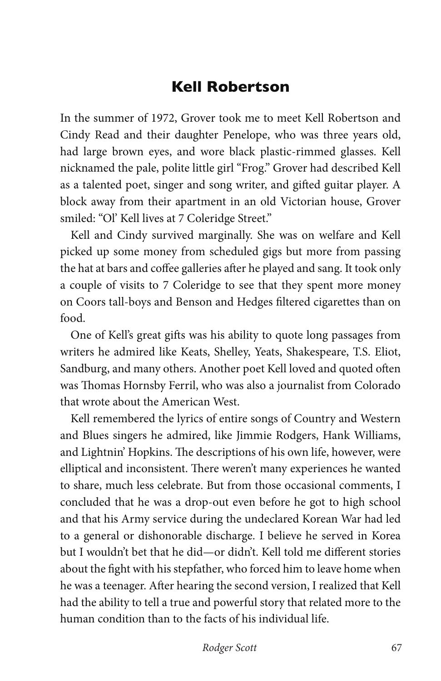## **Kell Robertson**

In the summer of 1972, Grover took me to meet Kell Robertson and Cindy Read and their daughter Penelope, who was three years old, had large brown eyes, and wore black plastic-rimmed glasses. Kell nicknamed the pale, polite little girl "Frog." Grover had described Kell as a talented poet, singer and song writer, and gifted guitar player. A block away from their apartment in an old Victorian house, Grover smiled: "Ol' Kell lives at 7 Coleridge Street."

Kell and Cindy survived marginally. She was on welfare and Kell picked up some money from scheduled gigs but more from passing the hat at bars and coffee galleries after he played and sang. It took only a couple of visits to 7 Coleridge to see that they spent more money on Coors tall-boys and Benson and Hedges filtered cigarettes than on food.

One of Kell's great gifts was his ability to quote long passages from writers he admired like Keats, Shelley, Yeats, Shakespeare, T.S. Eliot, Sandburg, and many others. Another poet Kell loved and quoted often was Thomas Hornsby Ferril, who was also a journalist from Colorado that wrote about the American West.

Kell remembered the lyrics of entire songs of Country and Western and Blues singers he admired, like Jimmie Rodgers, Hank Williams, and Lightnin' Hopkins. The descriptions of his own life, however, were elliptical and inconsistent. There weren't many experiences he wanted to share, much less celebrate. But from those occasional comments, I concluded that he was a drop-out even before he got to high school and that his Army service during the undeclared Korean War had led to a general or dishonorable discharge. I believe he served in Korea but I wouldn't bet that he did—or didn't. Kell told me different stories about the fight with his stepfather, who forced him to leave home when he was a teenager. After hearing the second version, I realized that Kell had the ability to tell a true and powerful story that related more to the human condition than to the facts of his individual life.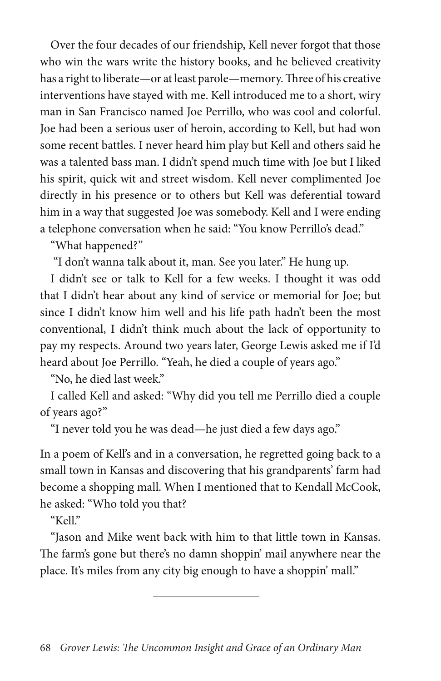Over the four decades of our friendship, Kell never forgot that those who win the wars write the history books, and he believed creativity has a right to liberate—or at least parole—memory. Three of his creative interventions have stayed with me. Kell introduced me to a short, wiry man in San Francisco named Joe Perrillo, who was cool and colorful. Joe had been a serious user of heroin, according to Kell, but had won some recent battles. I never heard him play but Kell and others said he was a talented bass man. I didn't spend much time with Joe but I liked his spirit, quick wit and street wisdom. Kell never complimented Joe directly in his presence or to others but Kell was deferential toward him in a way that suggested Joe was somebody. Kell and I were ending a telephone conversation when he said: "You know Perrillo's dead."

"What happened?"

"I don't wanna talk about it, man. See you later." He hung up.

I didn't see or talk to Kell for a few weeks. I thought it was odd that I didn't hear about any kind of service or memorial for Joe; but since I didn't know him well and his life path hadn't been the most conventional, I didn't think much about the lack of opportunity to pay my respects. Around two years later, George Lewis asked me if I'd heard about Joe Perrillo. "Yeah, he died a couple of years ago."

"No, he died last week."

I called Kell and asked: "Why did you tell me Perrillo died a couple of years ago?"

"I never told you he was dead—he just died a few days ago."

In a poem of Kell's and in a conversation, he regretted going back to a small town in Kansas and discovering that his grandparents' farm had become a shopping mall. When I mentioned that to Kendall McCook, he asked: "Who told you that?

 $K$ ell"

"Jason and Mike went back with him to that little town in Kansas. The farm's gone but there's no damn shoppin' mail anywhere near the place. It's miles from any city big enough to have a shoppin' mall."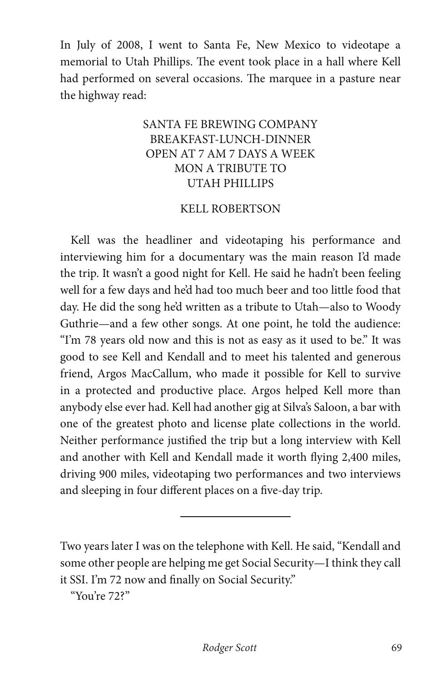In July of 2008, I went to Santa Fe, New Mexico to videotape a memorial to Utah Phillips. The event took place in a hall where Kell had performed on several occasions. The marquee in a pasture near the highway read:

### SANTA FE BREWING COMPANY BREAKFAST-LUNCH-DINNER OPEN AT 7 AM 7 DAYS A WEEK MON A TRIBUTE TO UTAH PHILLIPS

#### KELL ROBERTSON

Kell was the headliner and videotaping his performance and interviewing him for a documentary was the main reason I'd made the trip. It wasn't a good night for Kell. He said he hadn't been feeling well for a few days and he'd had too much beer and too little food that day. He did the song he'd written as a tribute to Utah—also to Woody Guthrie—and a few other songs. At one point, he told the audience: "I'm 78 years old now and this is not as easy as it used to be." It was good to see Kell and Kendall and to meet his talented and generous friend, Argos MacCallum, who made it possible for Kell to survive in a protected and productive place. Argos helped Kell more than anybody else ever had. Kell had another gig at Silva's Saloon, a bar with one of the greatest photo and license plate collections in the world. Neither performance justified the trip but a long interview with Kell and another with Kell and Kendall made it worth flying 2,400 miles, driving 900 miles, videotaping two performances and two interviews and sleeping in four different places on a five-day trip.

Two years later I was on the telephone with Kell. He said, "Kendall and some other people are helping me get Social Security—I think they call it SSI. I'm 72 now and finally on Social Security."

 $\overline{a}$ 

"You're 72?"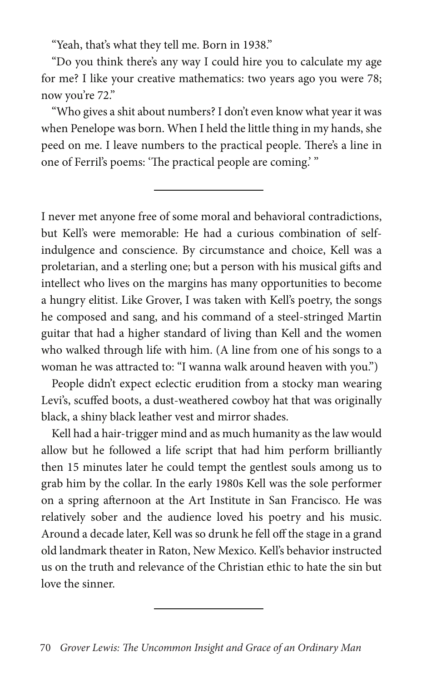"Yeah, that's what they tell me. Born in 1938."

"Do you think there's any way I could hire you to calculate my age for me? I like your creative mathematics: two years ago you were 78; now you're 72."

"Who gives a shit about numbers? I don't even know what year it was when Penelope was born. When I held the little thing in my hands, she peed on me. I leave numbers to the practical people. There's a line in one of Ferril's poems: 'The practical people are coming.' "

I never met anyone free of some moral and behavioral contradictions, but Kell's were memorable: He had a curious combination of selfindulgence and conscience. By circumstance and choice, Kell was a proletarian, and a sterling one; but a person with his musical gifts and intellect who lives on the margins has many opportunities to become a hungry elitist. Like Grover, I was taken with Kell's poetry, the songs he composed and sang, and his command of a steel-stringed Martin guitar that had a higher standard of living than Kell and the women who walked through life with him. (A line from one of his songs to a woman he was attracted to: "I wanna walk around heaven with you.")

People didn't expect eclectic erudition from a stocky man wearing Levi's, scuffed boots, a dust-weathered cowboy hat that was originally black, a shiny black leather vest and mirror shades.

Kell had a hair-trigger mind and as much humanity as the law would allow but he followed a life script that had him perform brilliantly then 15 minutes later he could tempt the gentlest souls among us to grab him by the collar. In the early 1980s Kell was the sole performer on a spring afternoon at the Art Institute in San Francisco. He was relatively sober and the audience loved his poetry and his music. Around a decade later, Kell was so drunk he fell off the stage in a grand old landmark theater in Raton, New Mexico. Kell's behavior instructed us on the truth and relevance of the Christian ethic to hate the sin but love the sinner.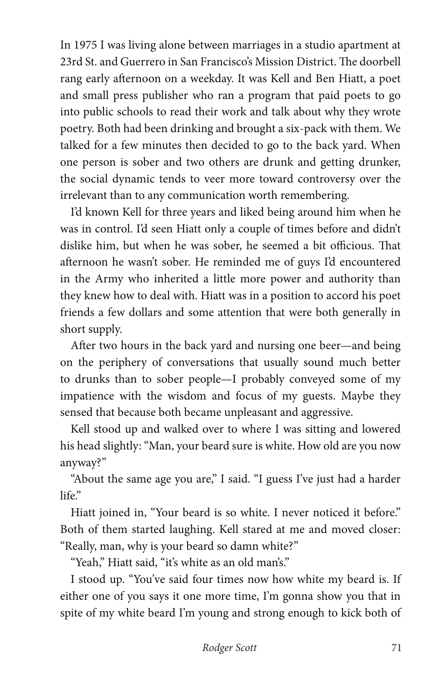In 1975 I was living alone between marriages in a studio apartment at 23rd St. and Guerrero in San Francisco's Mission District. The doorbell rang early afternoon on a weekday. It was Kell and Ben Hiatt, a poet and small press publisher who ran a program that paid poets to go into public schools to read their work and talk about why they wrote poetry. Both had been drinking and brought a six-pack with them. We talked for a few minutes then decided to go to the back yard. When one person is sober and two others are drunk and getting drunker, the social dynamic tends to veer more toward controversy over the irrelevant than to any communication worth remembering.

I'd known Kell for three years and liked being around him when he was in control. I'd seen Hiatt only a couple of times before and didn't dislike him, but when he was sober, he seemed a bit officious. That afternoon he wasn't sober. He reminded me of guys I'd encountered in the Army who inherited a little more power and authority than they knew how to deal with. Hiatt was in a position to accord his poet friends a few dollars and some attention that were both generally in short supply.

After two hours in the back yard and nursing one beer—and being on the periphery of conversations that usually sound much better to drunks than to sober people—I probably conveyed some of my impatience with the wisdom and focus of my guests. Maybe they sensed that because both became unpleasant and aggressive.

Kell stood up and walked over to where I was sitting and lowered his head slightly: "Man, your beard sure is white. How old are you now anyway?"

"About the same age you are," I said. "I guess I've just had a harder life."

Hiatt joined in, "Your beard is so white. I never noticed it before." Both of them started laughing. Kell stared at me and moved closer: "Really, man, why is your beard so damn white?"

"Yeah," Hiatt said, "it's white as an old man's."

I stood up. "You've said four times now how white my beard is. If either one of you says it one more time, I'm gonna show you that in spite of my white beard I'm young and strong enough to kick both of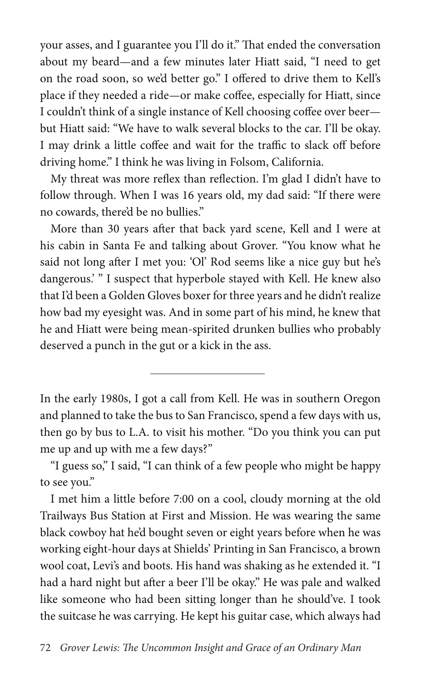your asses, and I guarantee you I'll do it." That ended the conversation about my beard—and a few minutes later Hiatt said, "I need to get on the road soon, so we'd better go." I offered to drive them to Kell's place if they needed a ride—or make coffee, especially for Hiatt, since I couldn't think of a single instance of Kell choosing coffee over beer but Hiatt said: "We have to walk several blocks to the car. I'll be okay. I may drink a little coffee and wait for the traffic to slack off before driving home." I think he was living in Folsom, California.

My threat was more reflex than reflection. I'm glad I didn't have to follow through. When I was 16 years old, my dad said: "If there were no cowards, there'd be no bullies."

More than 30 years after that back yard scene, Kell and I were at his cabin in Santa Fe and talking about Grover. "You know what he said not long after I met you: 'Ol' Rod seems like a nice guy but he's dangerous.' " I suspect that hyperbole stayed with Kell. He knew also that I'd been a Golden Gloves boxer for three years and he didn't realize how bad my eyesight was. And in some part of his mind, he knew that he and Hiatt were being mean-spirited drunken bullies who probably deserved a punch in the gut or a kick in the ass.

In the early 1980s, I got a call from Kell. He was in southern Oregon and planned to take the bus to San Francisco, spend a few days with us, then go by bus to L.A. to visit his mother. "Do you think you can put me up and up with me a few days?"

"I guess so," I said, "I can think of a few people who might be happy to see you."

I met him a little before 7:00 on a cool, cloudy morning at the old Trailways Bus Station at First and Mission. He was wearing the same black cowboy hat he'd bought seven or eight years before when he was working eight-hour days at Shields' Printing in San Francisco, a brown wool coat, Levi's and boots. His hand was shaking as he extended it. "I had a hard night but after a beer I'll be okay." He was pale and walked like someone who had been sitting longer than he should've. I took the suitcase he was carrying. He kept his guitar case, which always had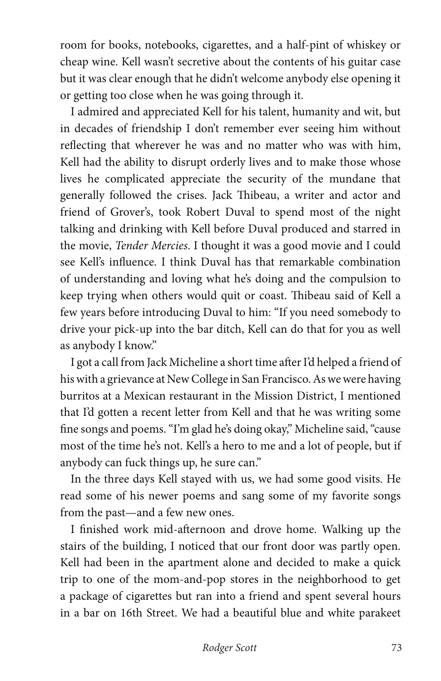room for books, notebooks, cigarettes, and a half-pint of whiskey or cheap wine. Kell wasn't secretive about the contents of his guitar case but it was clear enough that he didn't welcome anybody else opening it or getting too close when he was going through it.

I admired and appreciated Kell for his talent, humanity and wit, but in decades of friendship I don't remember ever seeing him without reflecting that wherever he was and no matter who was with him, Kell had the ability to disrupt orderly lives and to make those whose lives he complicated appreciate the security of the mundane that generally followed the crises. Jack Thibeau, a writer and actor and friend of Grover's, took Robert Duval to spend most of the night talking and drinking with Kell before Duval produced and starred in the movie, *Tender Mercies*. I thought it was a good movie and I could see Kell's influence. I think Duval has that remarkable combination of understanding and loving what he's doing and the compulsion to keep trying when others would quit or coast. Thibeau said of Kell a few years before introducing Duval to him: "If you need somebody to drive your pick-up into the bar ditch, Kell can do that for you as well as anybody I know."

I got a call from Jack Micheline a short time after I'd helped a friend of his with a grievance at New College in San Francisco. As we were having burritos at a Mexican restaurant in the Mission District, I mentioned that I'd gotten a recent letter from Kell and that he was writing some fine songs and poems. "I'm glad he's doing okay," Micheline said, "cause most of the time he's not. Kell's a hero to me and a lot of people, but if anybody can fuck things up, he sure can."

In the three days Kell stayed with us, we had some good visits. He read some of his newer poems and sang some of my favorite songs from the past—and a few new ones.

I finished work mid-afternoon and drove home. Walking up the stairs of the building, I noticed that our front door was partly open. Kell had been in the apartment alone and decided to make a quick trip to one of the mom-and-pop stores in the neighborhood to get a package of cigarettes but ran into a friend and spent several hours in a bar on 16th Street. We had a beautiful blue and white parakeet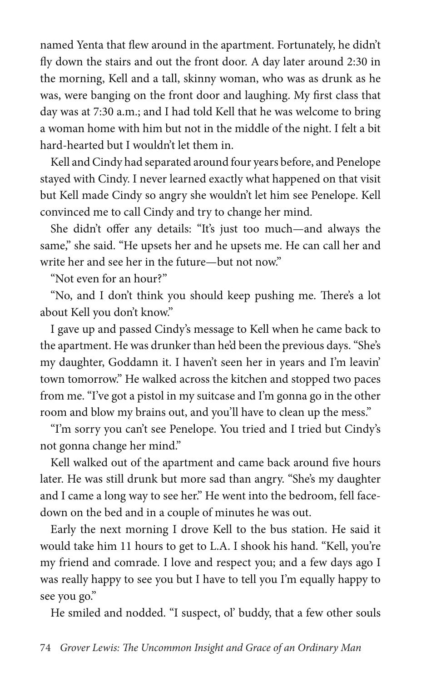named Yenta that flew around in the apartment. Fortunately, he didn't fly down the stairs and out the front door. A day later around 2:30 in the morning, Kell and a tall, skinny woman, who was as drunk as he was, were banging on the front door and laughing. My first class that day was at 7:30 a.m.; and I had told Kell that he was welcome to bring a woman home with him but not in the middle of the night. I felt a bit hard-hearted but I wouldn't let them in.

Kell and Cindy had separated around four years before, and Penelope stayed with Cindy. I never learned exactly what happened on that visit but Kell made Cindy so angry she wouldn't let him see Penelope. Kell convinced me to call Cindy and try to change her mind.

She didn't offer any details: "It's just too much—and always the same," she said. "He upsets her and he upsets me. He can call her and write her and see her in the future—but not now."

"Not even for an hour?"

"No, and I don't think you should keep pushing me. There's a lot about Kell you don't know."

I gave up and passed Cindy's message to Kell when he came back to the apartment. He was drunker than he'd been the previous days. "She's my daughter, Goddamn it. I haven't seen her in years and I'm leavin' town tomorrow." He walked across the kitchen and stopped two paces from me. "I've got a pistol in my suitcase and I'm gonna go in the other room and blow my brains out, and you'll have to clean up the mess."

"I'm sorry you can't see Penelope. You tried and I tried but Cindy's not gonna change her mind."

Kell walked out of the apartment and came back around five hours later. He was still drunk but more sad than angry. "She's my daughter and I came a long way to see her." He went into the bedroom, fell facedown on the bed and in a couple of minutes he was out.

Early the next morning I drove Kell to the bus station. He said it would take him 11 hours to get to L.A. I shook his hand. "Kell, you're my friend and comrade. I love and respect you; and a few days ago I was really happy to see you but I have to tell you I'm equally happy to see you go."

He smiled and nodded. "I suspect, ol' buddy, that a few other souls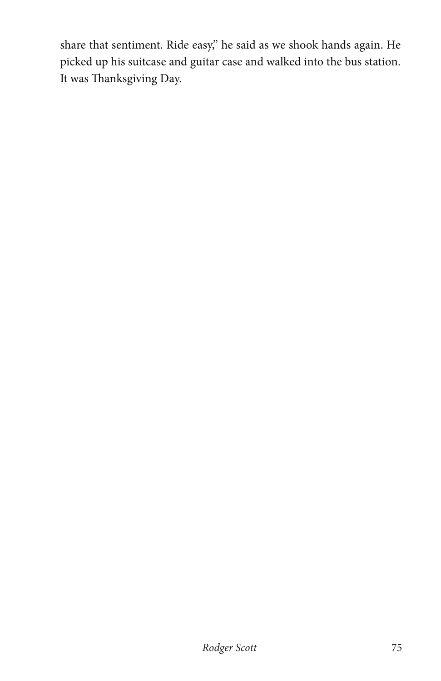share that sentiment. Ride easy," he said as we shook hands again. He picked up his suitcase and guitar case and walked into the bus station. It was Thanksgiving Day.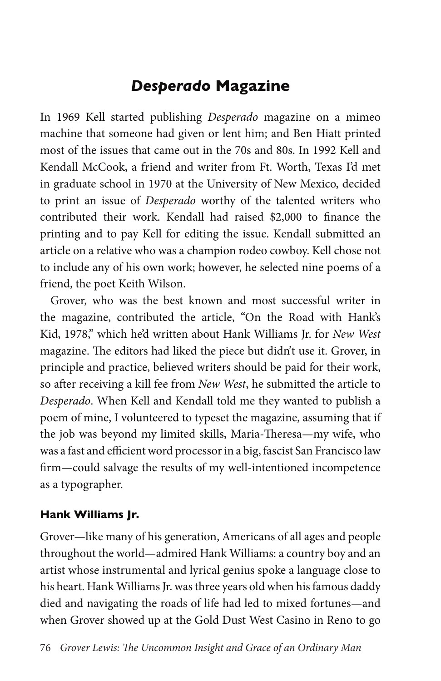## *Desperado* **Magazine**

In 1969 Kell started publishing *Desperado* magazine on a mimeo machine that someone had given or lent him; and Ben Hiatt printed most of the issues that came out in the 70s and 80s. In 1992 Kell and Kendall McCook, a friend and writer from Ft. Worth, Texas I'd met in graduate school in 1970 at the University of New Mexico, decided to print an issue of *Desperado* worthy of the talented writers who contributed their work. Kendall had raised \$2,000 to finance the printing and to pay Kell for editing the issue. Kendall submitted an article on a relative who was a champion rodeo cowboy. Kell chose not to include any of his own work; however, he selected nine poems of a friend, the poet Keith Wilson.

Grover, who was the best known and most successful writer in the magazine, contributed the article, "On the Road with Hank's Kid, 1978," which he'd written about Hank Williams Jr. for *New West*  magazine. The editors had liked the piece but didn't use it. Grover, in principle and practice, believed writers should be paid for their work, so after receiving a kill fee from *New West*, he submitted the article to *Desperado*. When Kell and Kendall told me they wanted to publish a poem of mine, I volunteered to typeset the magazine, assuming that if the job was beyond my limited skills, Maria-Theresa—my wife, who was a fast and efficient word processor in a big, fascist San Francisco law firm—could salvage the results of my well-intentioned incompetence as a typographer.

### **Hank Williams Jr.**

Grover—like many of his generation, Americans of all ages and people throughout the world—admired Hank Williams: a country boy and an artist whose instrumental and lyrical genius spoke a language close to his heart. Hank Williams Jr. was three years old when his famous daddy died and navigating the roads of life had led to mixed fortunes—and when Grover showed up at the Gold Dust West Casino in Reno to go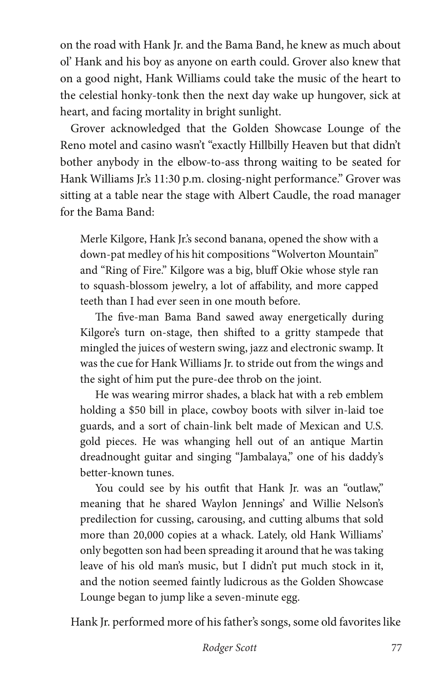on the road with Hank Jr. and the Bama Band, he knew as much about ol' Hank and his boy as anyone on earth could. Grover also knew that on a good night, Hank Williams could take the music of the heart to the celestial honky-tonk then the next day wake up hungover, sick at heart, and facing mortality in bright sunlight.

Grover acknowledged that the Golden Showcase Lounge of the Reno motel and casino wasn't "exactly Hillbilly Heaven but that didn't bother anybody in the elbow-to-ass throng waiting to be seated for Hank Williams Jr.'s 11:30 p.m. closing-night performance." Grover was sitting at a table near the stage with Albert Caudle, the road manager for the Bama Band:

Merle Kilgore, Hank Jr.'s second banana, opened the show with a down-pat medley of his hit compositions "Wolverton Mountain" and "Ring of Fire." Kilgore was a big, bluff Okie whose style ran to squash-blossom jewelry, a lot of affability, and more capped teeth than I had ever seen in one mouth before.

The five-man Bama Band sawed away energetically during Kilgore's turn on-stage, then shifted to a gritty stampede that mingled the juices of western swing, jazz and electronic swamp. It was the cue for Hank Williams Jr. to stride out from the wings and the sight of him put the pure-dee throb on the joint.

He was wearing mirror shades, a black hat with a reb emblem holding a \$50 bill in place, cowboy boots with silver in-laid toe guards, and a sort of chain-link belt made of Mexican and U.S. gold pieces. He was whanging hell out of an antique Martin dreadnought guitar and singing "Jambalaya," one of his daddy's better-known tunes.

You could see by his outfit that Hank Jr. was an "outlaw," meaning that he shared Waylon Jennings' and Willie Nelson's predilection for cussing, carousing, and cutting albums that sold more than 20,000 copies at a whack. Lately, old Hank Williams' only begotten son had been spreading it around that he was taking leave of his old man's music, but I didn't put much stock in it, and the notion seemed faintly ludicrous as the Golden Showcase Lounge began to jump like a seven-minute egg.

Hank Jr. performed more of his father's songs, some old favorites like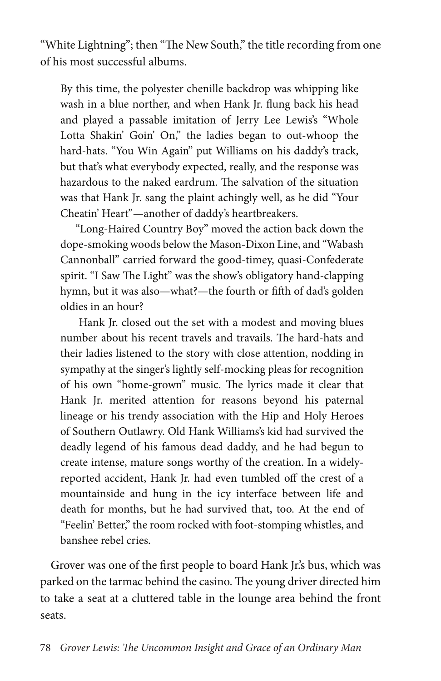"White Lightning"; then "The New South," the title recording from one of his most successful albums.

By this time, the polyester chenille backdrop was whipping like wash in a blue norther, and when Hank Jr. flung back his head and played a passable imitation of Jerry Lee Lewis's "Whole Lotta Shakin' Goin' On," the ladies began to out-whoop the hard-hats. "You Win Again" put Williams on his daddy's track, but that's what everybody expected, really, and the response was hazardous to the naked eardrum. The salvation of the situation was that Hank Jr. sang the plaint achingly well, as he did "Your Cheatin' Heart"—another of daddy's heartbreakers.

"Long-Haired Country Boy" moved the action back down the dope-smoking woods below the Mason-Dixon Line, and "Wabash Cannonball" carried forward the good-timey, quasi-Confederate spirit. "I Saw The Light" was the show's obligatory hand-clapping hymn, but it was also—what?—the fourth or fifth of dad's golden oldies in an hour?

 Hank Jr. closed out the set with a modest and moving blues number about his recent travels and travails. The hard-hats and their ladies listened to the story with close attention, nodding in sympathy at the singer's lightly self-mocking pleas for recognition of his own "home-grown" music. The lyrics made it clear that Hank Jr. merited attention for reasons beyond his paternal lineage or his trendy association with the Hip and Holy Heroes of Southern Outlawry. Old Hank Williams's kid had survived the deadly legend of his famous dead daddy, and he had begun to create intense, mature songs worthy of the creation. In a widelyreported accident, Hank Jr. had even tumbled off the crest of a mountainside and hung in the icy interface between life and death for months, but he had survived that, too. At the end of "Feelin' Better," the room rocked with foot-stomping whistles, and banshee rebel cries.

Grover was one of the first people to board Hank Jr.'s bus, which was parked on the tarmac behind the casino. The young driver directed him to take a seat at a cluttered table in the lounge area behind the front seats.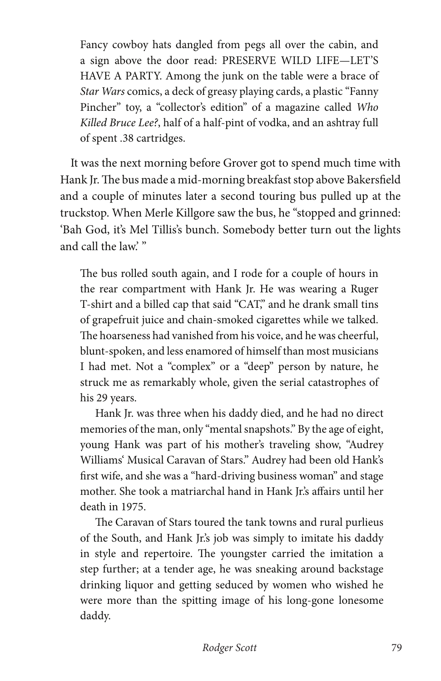Fancy cowboy hats dangled from pegs all over the cabin, and a sign above the door read: PRESERVE WILD LIFE—LET'S HAVE A PARTY. Among the junk on the table were a brace of *Star Wars* comics, a deck of greasy playing cards, a plastic "Fanny Pincher" toy, a "collector's edition" of a magazine called *Who Killed Bruce Lee?*, half of a half-pint of vodka, and an ashtray full of spent .38 cartridges.

It was the next morning before Grover got to spend much time with Hank Jr. The bus made a mid-morning breakfast stop above Bakersfield and a couple of minutes later a second touring bus pulled up at the truckstop. When Merle Killgore saw the bus, he "stopped and grinned: 'Bah God, it's Mel Tillis's bunch. Somebody better turn out the lights and call the law.' "

The bus rolled south again, and I rode for a couple of hours in the rear compartment with Hank Jr. He was wearing a Ruger T-shirt and a billed cap that said "CAT," and he drank small tins of grapefruit juice and chain-smoked cigarettes while we talked. The hoarseness had vanished from his voice, and he was cheerful, blunt-spoken, and less enamored of himself than most musicians I had met. Not a "complex" or a "deep" person by nature, he struck me as remarkably whole, given the serial catastrophes of his 29 years.

Hank Jr. was three when his daddy died, and he had no direct memories of the man, only "mental snapshots." By the age of eight, young Hank was part of his mother's traveling show, "Audrey Williams' Musical Caravan of Stars." Audrey had been old Hank's first wife, and she was a "hard-driving business woman" and stage mother. She took a matriarchal hand in Hank Jr.'s affairs until her death in 1975.

The Caravan of Stars toured the tank towns and rural purlieus of the South, and Hank Jr.'s job was simply to imitate his daddy in style and repertoire. The youngster carried the imitation a step further; at a tender age, he was sneaking around backstage drinking liquor and getting seduced by women who wished he were more than the spitting image of his long-gone lonesome daddy.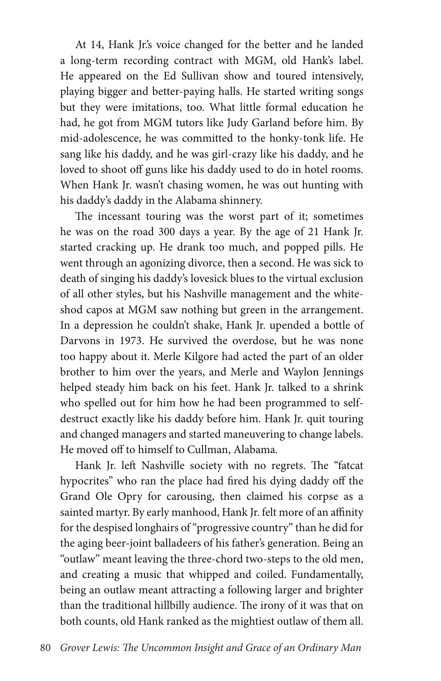At 14, Hank Jr.'s voice changed for the better and he landed a long-term recording contract with MGM, old Hank's label. He appeared on the Ed Sullivan show and toured intensively, playing bigger and better-paying halls. He started writing songs but they were imitations, too. What little formal education he had, he got from MGM tutors like Judy Garland before him. By mid-adolescence, he was committed to the honky-tonk life. He sang like his daddy, and he was girl-crazy like his daddy, and he loved to shoot off guns like his daddy used to do in hotel rooms. When Hank Jr. wasn't chasing women, he was out hunting with his daddy's daddy in the Alabama shinnery.

The incessant touring was the worst part of it; sometimes he was on the road 300 days a year. By the age of 21 Hank Jr. started cracking up. He drank too much, and popped pills. He went through an agonizing divorce, then a second. He was sick to death of singing his daddy's lovesick blues to the virtual exclusion of all other styles, but his Nashville management and the whiteshod capos at MGM saw nothing but green in the arrangement. In a depression he couldn't shake, Hank Jr. upended a bottle of Darvons in 1973. He survived the overdose, but he was none too happy about it. Merle Kilgore had acted the part of an older brother to him over the years, and Merle and Waylon Jennings helped steady him back on his feet. Hank Jr. talked to a shrink who spelled out for him how he had been programmed to selfdestruct exactly like his daddy before him. Hank Jr. quit touring and changed managers and started maneuvering to change labels. He moved off to himself to Cullman, Alabama.

Hank Jr. left Nashville society with no regrets. The "fatcat hypocrites" who ran the place had fired his dying daddy off the Grand Ole Opry for carousing, then claimed his corpse as a sainted martyr. By early manhood, Hank Jr. felt more of an affinity for the despised longhairs of "progressive country" than he did for the aging beer-joint balladeers of his father's generation. Being an "outlaw" meant leaving the three-chord two-steps to the old men, and creating a music that whipped and coiled. Fundamentally, being an outlaw meant attracting a following larger and brighter than the traditional hillbilly audience. The irony of it was that on both counts, old Hank ranked as the mightiest outlaw of them all.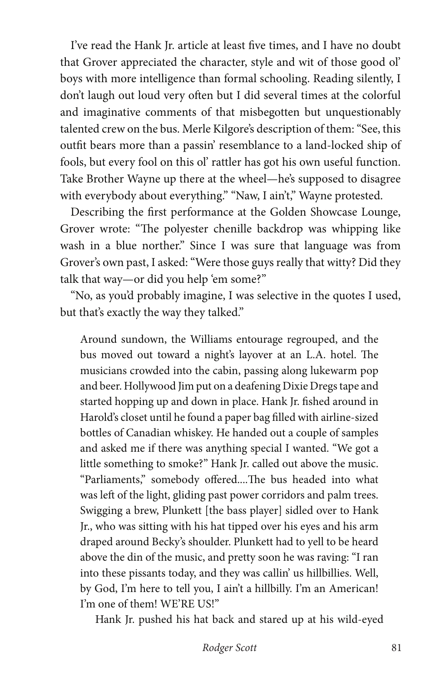I've read the Hank Jr. article at least five times, and I have no doubt that Grover appreciated the character, style and wit of those good ol' boys with more intelligence than formal schooling. Reading silently, I don't laugh out loud very often but I did several times at the colorful and imaginative comments of that misbegotten but unquestionably talented crew on the bus. Merle Kilgore's description of them: "See, this outfit bears more than a passin' resemblance to a land-locked ship of fools, but every fool on this ol' rattler has got his own useful function. Take Brother Wayne up there at the wheel—he's supposed to disagree with everybody about everything." "Naw, I ain't," Wayne protested.

Describing the first performance at the Golden Showcase Lounge, Grover wrote: "The polyester chenille backdrop was whipping like wash in a blue norther." Since I was sure that language was from Grover's own past, I asked: "Were those guys really that witty? Did they talk that way—or did you help 'em some?"

"No, as you'd probably imagine, I was selective in the quotes I used, but that's exactly the way they talked."

Around sundown, the Williams entourage regrouped, and the bus moved out toward a night's layover at an L.A. hotel. The musicians crowded into the cabin, passing along lukewarm pop and beer. Hollywood Jim put on a deafening Dixie Dregs tape and started hopping up and down in place. Hank Jr. fished around in Harold's closet until he found a paper bag filled with airline-sized bottles of Canadian whiskey. He handed out a couple of samples and asked me if there was anything special I wanted. "We got a little something to smoke?" Hank Jr. called out above the music. "Parliaments," somebody offered....The bus headed into what was left of the light, gliding past power corridors and palm trees. Swigging a brew, Plunkett [the bass player] sidled over to Hank Jr., who was sitting with his hat tipped over his eyes and his arm draped around Becky's shoulder. Plunkett had to yell to be heard above the din of the music, and pretty soon he was raving: "I ran into these pissants today, and they was callin' us hillbillies. Well, by God, I'm here to tell you, I ain't a hillbilly. I'm an American! I'm one of them! WE'RE US!"

Hank Jr. pushed his hat back and stared up at his wild-eyed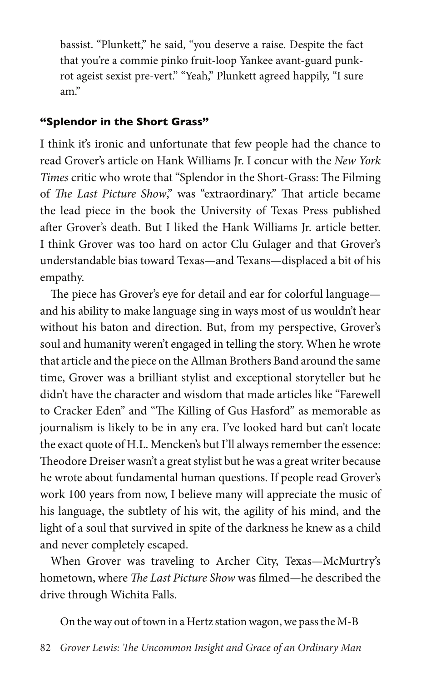bassist. "Plunkett," he said, "you deserve a raise. Despite the fact that you're a commie pinko fruit-loop Yankee avant-guard punkrot ageist sexist pre-vert." "Yeah," Plunkett agreed happily, "I sure am."

#### **"Splendor in the Short Grass"**

I think it's ironic and unfortunate that few people had the chance to read Grover's article on Hank Williams Jr. I concur with the *New York Times* critic who wrote that "Splendor in the Short-Grass: The Filming of *The Last Picture Show*," was "extraordinary." That article became the lead piece in the book the University of Texas Press published after Grover's death. But I liked the Hank Williams Jr. article better. I think Grover was too hard on actor Clu Gulager and that Grover's understandable bias toward Texas—and Texans—displaced a bit of his empathy.

The piece has Grover's eye for detail and ear for colorful language and his ability to make language sing in ways most of us wouldn't hear without his baton and direction. But, from my perspective, Grover's soul and humanity weren't engaged in telling the story. When he wrote that article and the piece on the Allman Brothers Band around the same time, Grover was a brilliant stylist and exceptional storyteller but he didn't have the character and wisdom that made articles like "Farewell to Cracker Eden" and "The Killing of Gus Hasford" as memorable as journalism is likely to be in any era. I've looked hard but can't locate the exact quote of H.L. Mencken's but I'll always remember the essence: Theodore Dreiser wasn't a great stylist but he was a great writer because he wrote about fundamental human questions. If people read Grover's work 100 years from now, I believe many will appreciate the music of his language, the subtlety of his wit, the agility of his mind, and the light of a soul that survived in spite of the darkness he knew as a child and never completely escaped.

When Grover was traveling to Archer City, Texas—McMurtry's hometown, where *The Last Picture Show* was filmed—he described the drive through Wichita Falls.

On the way out of town in a Hertz station wagon, we pass the M-B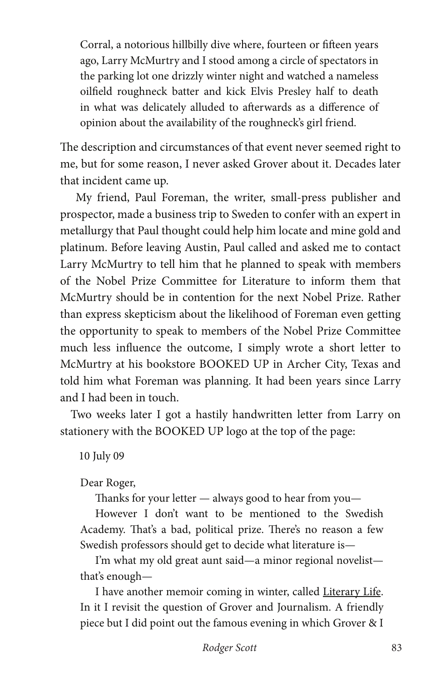Corral, a notorious hillbilly dive where, fourteen or fifteen years ago, Larry McMurtry and I stood among a circle of spectators in the parking lot one drizzly winter night and watched a nameless oilfield roughneck batter and kick Elvis Presley half to death in what was delicately alluded to afterwards as a difference of opinion about the availability of the roughneck's girl friend.

The description and circumstances of that event never seemed right to me, but for some reason, I never asked Grover about it. Decades later that incident came up.

 My friend, Paul Foreman, the writer, small-press publisher and prospector, made a business trip to Sweden to confer with an expert in metallurgy that Paul thought could help him locate and mine gold and platinum. Before leaving Austin, Paul called and asked me to contact Larry McMurtry to tell him that he planned to speak with members of the Nobel Prize Committee for Literature to inform them that McMurtry should be in contention for the next Nobel Prize. Rather than express skepticism about the likelihood of Foreman even getting the opportunity to speak to members of the Nobel Prize Committee much less influence the outcome, I simply wrote a short letter to McMurtry at his bookstore BOOKED UP in Archer City, Texas and told him what Foreman was planning. It had been years since Larry and I had been in touch.

Two weeks later I got a hastily handwritten letter from Larry on stationery with the BOOKED UP logo at the top of the page:

10 July 09

Dear Roger,

Thanks for your letter — always good to hear from you—

However I don't want to be mentioned to the Swedish Academy. That's a bad, political prize. There's no reason a few Swedish professors should get to decide what literature is—

I'm what my old great aunt said—a minor regional novelist that's enough—

I have another memoir coming in winter, called Literary Life. In it I revisit the question of Grover and Journalism. A friendly piece but I did point out the famous evening in which Grover & I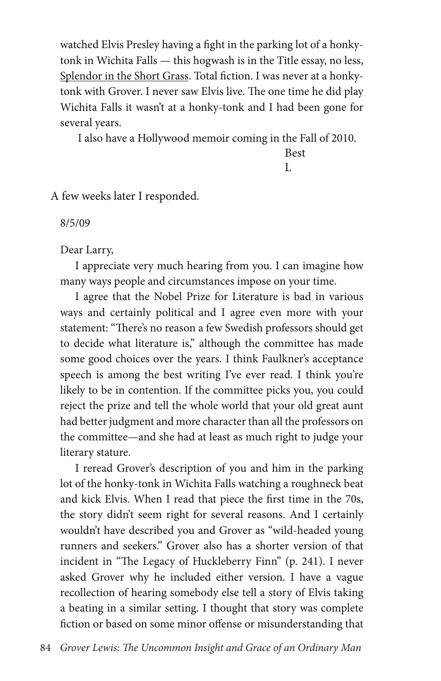watched Elvis Presley having a fight in the parking lot of a honkytonk in Wichita Falls — this hogwash is in the Title essay, no less, Splendor in the Short Grass. Total fiction. I was never at a honkytonk with Grover. I never saw Elvis live. The one time he did play Wichita Falls it wasn't at a honky-tonk and I had been gone for several years.

I also have a Hollywood memoir coming in the Fall of 2010.

Best

L

A few weeks later I responded.

8/5/09

Dear Larry,

I appreciate very much hearing from you. I can imagine how many ways people and circumstances impose on your time.

I agree that the Nobel Prize for Literature is bad in various ways and certainly political and I agree even more with your statement: "There's no reason a few Swedish professors should get to decide what literature is," although the committee has made some good choices over the years. I think Faulkner's acceptance speech is among the best writing I've ever read. I think you're likely to be in contention. If the committee picks you, you could reject the prize and tell the whole world that your old great aunt had better judgment and more character than all the professors on the committee—and she had at least as much right to judge your literary stature.

I reread Grover's description of you and him in the parking lot of the honky-tonk in Wichita Falls watching a roughneck beat and kick Elvis. When I read that piece the first time in the 70s, the story didn't seem right for several reasons. And I certainly wouldn't have described you and Grover as "wild-headed young runners and seekers." Grover also has a shorter version of that incident in "The Legacy of Huckleberry Finn" (p. 241). I never asked Grover why he included either version. I have a vague recollection of hearing somebody else tell a story of Elvis taking a beating in a similar setting. I thought that story was complete fiction or based on some minor offense or misunderstanding that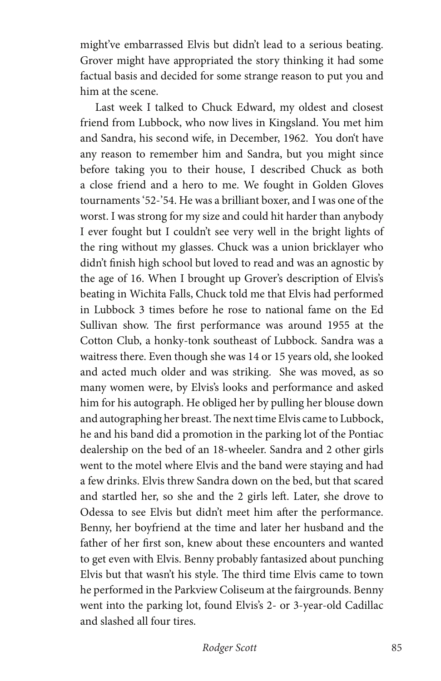might've embarrassed Elvis but didn't lead to a serious beating. Grover might have appropriated the story thinking it had some factual basis and decided for some strange reason to put you and him at the scene.

Last week I talked to Chuck Edward, my oldest and closest friend from Lubbock, who now lives in Kingsland. You met him and Sandra, his second wife, in December, 1962. You don't have any reason to remember him and Sandra, but you might since before taking you to their house, I described Chuck as both a close friend and a hero to me. We fought in Golden Gloves tournaments '52-'54. He was a brilliant boxer, and I was one of the worst. I was strong for my size and could hit harder than anybody I ever fought but I couldn't see very well in the bright lights of the ring without my glasses. Chuck was a union bricklayer who didn't finish high school but loved to read and was an agnostic by the age of 16. When I brought up Grover's description of Elvis's beating in Wichita Falls, Chuck told me that Elvis had performed in Lubbock 3 times before he rose to national fame on the Ed Sullivan show. The first performance was around 1955 at the Cotton Club, a honky-tonk southeast of Lubbock. Sandra was a waitress there. Even though she was 14 or 15 years old, she looked and acted much older and was striking. She was moved, as so many women were, by Elvis's looks and performance and asked him for his autograph. He obliged her by pulling her blouse down and autographing her breast. The next time Elvis came to Lubbock, he and his band did a promotion in the parking lot of the Pontiac dealership on the bed of an 18-wheeler. Sandra and 2 other girls went to the motel where Elvis and the band were staying and had a few drinks. Elvis threw Sandra down on the bed, but that scared and startled her, so she and the 2 girls left. Later, she drove to Odessa to see Elvis but didn't meet him after the performance. Benny, her boyfriend at the time and later her husband and the father of her first son, knew about these encounters and wanted to get even with Elvis. Benny probably fantasized about punching Elvis but that wasn't his style. The third time Elvis came to town he performed in the Parkview Coliseum at the fairgrounds. Benny went into the parking lot, found Elvis's 2- or 3-year-old Cadillac and slashed all four tires.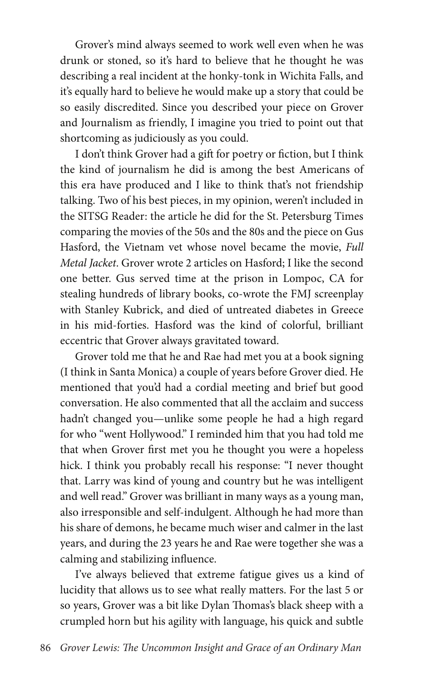Grover's mind always seemed to work well even when he was drunk or stoned, so it's hard to believe that he thought he was describing a real incident at the honky-tonk in Wichita Falls, and it's equally hard to believe he would make up a story that could be so easily discredited. Since you described your piece on Grover and Journalism as friendly, I imagine you tried to point out that shortcoming as judiciously as you could.

I don't think Grover had a gift for poetry or fiction, but I think the kind of journalism he did is among the best Americans of this era have produced and I like to think that's not friendship talking. Two of his best pieces, in my opinion, weren't included in the SITSG Reader: the article he did for the St. Petersburg Times comparing the movies of the 50s and the 80s and the piece on Gus Hasford, the Vietnam vet whose novel became the movie, *Full Metal Jacket*. Grover wrote 2 articles on Hasford; I like the second one better. Gus served time at the prison in Lompoc, CA for stealing hundreds of library books, co-wrote the FMJ screenplay with Stanley Kubrick, and died of untreated diabetes in Greece in his mid-forties. Hasford was the kind of colorful, brilliant eccentric that Grover always gravitated toward.

Grover told me that he and Rae had met you at a book signing (I think in Santa Monica) a couple of years before Grover died. He mentioned that you'd had a cordial meeting and brief but good conversation. He also commented that all the acclaim and success hadn't changed you—unlike some people he had a high regard for who "went Hollywood." I reminded him that you had told me that when Grover first met you he thought you were a hopeless hick. I think you probably recall his response: "I never thought that. Larry was kind of young and country but he was intelligent and well read." Grover was brilliant in many ways as a young man, also irresponsible and self-indulgent. Although he had more than his share of demons, he became much wiser and calmer in the last years, and during the 23 years he and Rae were together she was a calming and stabilizing influence.

I've always believed that extreme fatigue gives us a kind of lucidity that allows us to see what really matters. For the last 5 or so years, Grover was a bit like Dylan Thomas's black sheep with a crumpled horn but his agility with language, his quick and subtle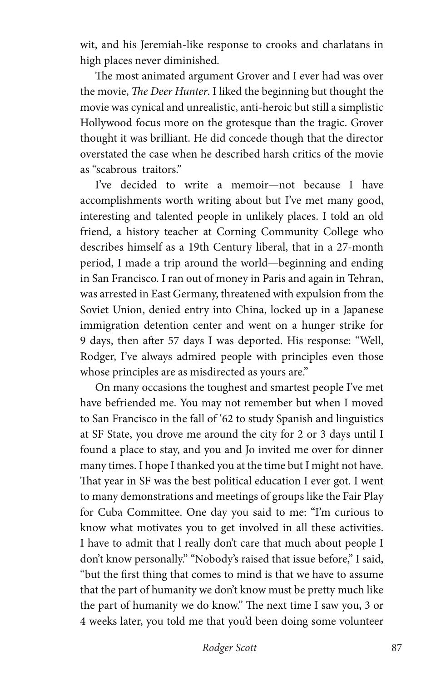wit, and his Jeremiah-like response to crooks and charlatans in high places never diminished.

The most animated argument Grover and I ever had was over the movie, *The Deer Hunter*. I liked the beginning but thought the movie was cynical and unrealistic, anti-heroic but still a simplistic Hollywood focus more on the grotesque than the tragic. Grover thought it was brilliant. He did concede though that the director overstated the case when he described harsh critics of the movie as "scabrous traitors."

I've decided to write a memoir—not because I have accomplishments worth writing about but I've met many good, interesting and talented people in unlikely places. I told an old friend, a history teacher at Corning Community College who describes himself as a 19th Century liberal, that in a 27-month period, I made a trip around the world—beginning and ending in San Francisco. I ran out of money in Paris and again in Tehran, was arrested in East Germany, threatened with expulsion from the Soviet Union, denied entry into China, locked up in a Japanese immigration detention center and went on a hunger strike for 9 days, then after 57 days I was deported. His response: "Well, Rodger, I've always admired people with principles even those whose principles are as misdirected as yours are."

On many occasions the toughest and smartest people I've met have befriended me. You may not remember but when I moved to San Francisco in the fall of '62 to study Spanish and linguistics at SF State, you drove me around the city for 2 or 3 days until I found a place to stay, and you and Jo invited me over for dinner many times. I hope I thanked you at the time but I might not have. That year in SF was the best political education I ever got. I went to many demonstrations and meetings of groups like the Fair Play for Cuba Committee. One day you said to me: "I'm curious to know what motivates you to get involved in all these activities. I have to admit that l really don't care that much about people I don't know personally." "Nobody's raised that issue before," I said, "but the first thing that comes to mind is that we have to assume that the part of humanity we don't know must be pretty much like the part of humanity we do know." The next time I saw you, 3 or 4 weeks later, you told me that you'd been doing some volunteer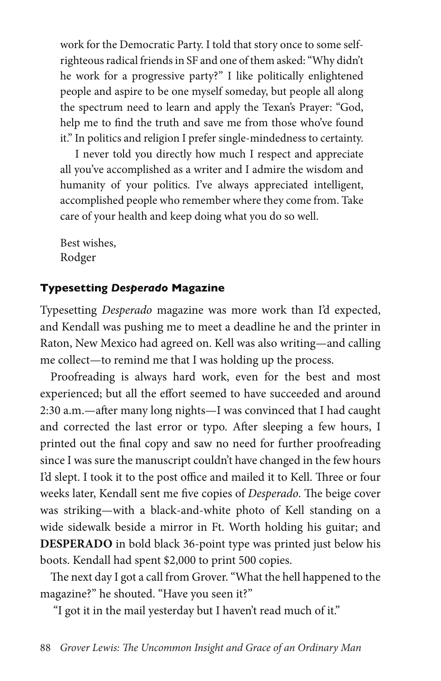work for the Democratic Party. I told that story once to some selfrighteous radical friends in SF and one of them asked: "Why didn't he work for a progressive party?" I like politically enlightened people and aspire to be one myself someday, but people all along the spectrum need to learn and apply the Texan's Prayer: "God, help me to find the truth and save me from those who've found it." In politics and religion I prefer single-mindedness to certainty.

I never told you directly how much I respect and appreciate all you've accomplished as a writer and I admire the wisdom and humanity of your politics. I've always appreciated intelligent, accomplished people who remember where they come from. Take care of your health and keep doing what you do so well.

Best wishes, Rodger

#### **Typesetting** *Desperado* **Magazine**

Typesetting *Desperado* magazine was more work than I'd expected, and Kendall was pushing me to meet a deadline he and the printer in Raton, New Mexico had agreed on. Kell was also writing—and calling me collect—to remind me that I was holding up the process.

Proofreading is always hard work, even for the best and most experienced; but all the effort seemed to have succeeded and around 2:30 a.m.—after many long nights—I was convinced that I had caught and corrected the last error or typo. After sleeping a few hours, I printed out the final copy and saw no need for further proofreading since I was sure the manuscript couldn't have changed in the few hours I'd slept. I took it to the post office and mailed it to Kell. Three or four weeks later, Kendall sent me five copies of *Desperado*. The beige cover was striking—with a black-and-white photo of Kell standing on a wide sidewalk beside a mirror in Ft. Worth holding his guitar; and **DESPERADO** in bold black 36-point type was printed just below his boots. Kendall had spent \$2,000 to print 500 copies.

The next day I got a call from Grover. "What the hell happened to the magazine?" he shouted. "Have you seen it?"

"I got it in the mail yesterday but I haven't read much of it."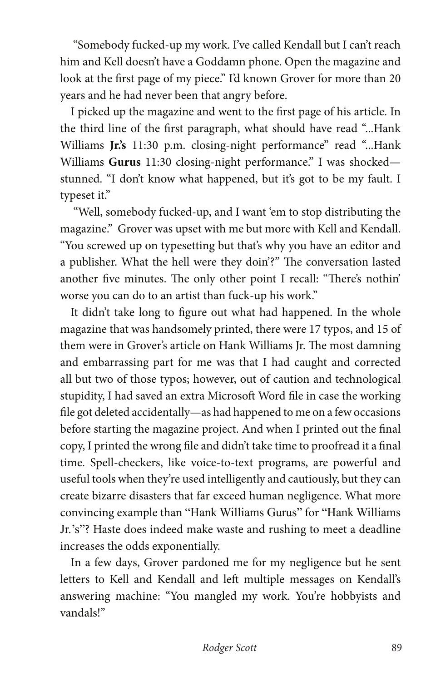"Somebody fucked-up my work. I've called Kendall but I can't reach him and Kell doesn't have a Goddamn phone. Open the magazine and look at the first page of my piece." I'd known Grover for more than 20 years and he had never been that angry before.

I picked up the magazine and went to the first page of his article. In the third line of the first paragraph, what should have read "...Hank Williams **Jr.'s** 11:30 p.m. closing-night performance" read "...Hank Williams **Gurus** 11:30 closing-night performance." I was shocked stunned. "I don't know what happened, but it's got to be my fault. I typeset it."

 "Well, somebody fucked-up, and I want 'em to stop distributing the magazine." Grover was upset with me but more with Kell and Kendall. "You screwed up on typesetting but that's why you have an editor and a publisher. What the hell were they doin'?" The conversation lasted another five minutes. The only other point I recall: "There's nothin' worse you can do to an artist than fuck-up his work."

It didn't take long to figure out what had happened. In the whole magazine that was handsomely printed, there were 17 typos, and 15 of them were in Grover's article on Hank Williams Jr. The most damning and embarrassing part for me was that I had caught and corrected all but two of those typos; however, out of caution and technological stupidity, I had saved an extra Microsoft Word file in case the working file got deleted accidentally—as had happened to me on a few occasions before starting the magazine project. And when I printed out the final copy, I printed the wrong file and didn't take time to proofread it a final time. Spell-checkers, like voice-to-text programs, are powerful and useful tools when they're used intelligently and cautiously, but they can create bizarre disasters that far exceed human negligence. What more convincing example than "Hank Williams Gurus" for "Hank Williams Jr.'s"? Haste does indeed make waste and rushing to meet a deadline increases the odds exponentially.

In a few days, Grover pardoned me for my negligence but he sent letters to Kell and Kendall and left multiple messages on Kendall's answering machine: "You mangled my work. You're hobbyists and vandals!"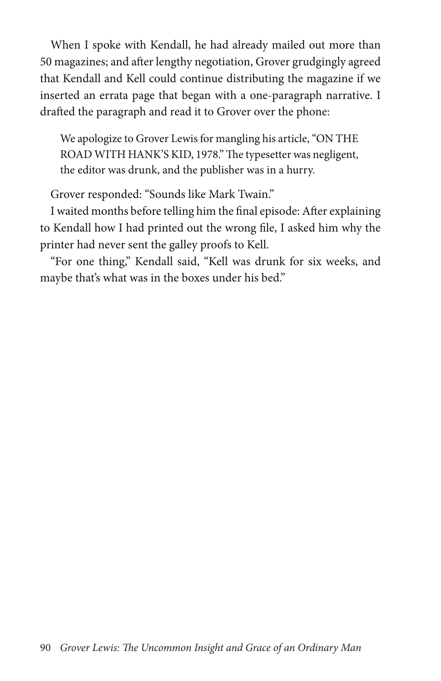When I spoke with Kendall, he had already mailed out more than 50 magazines; and after lengthy negotiation, Grover grudgingly agreed that Kendall and Kell could continue distributing the magazine if we inserted an errata page that began with a one-paragraph narrative. I drafted the paragraph and read it to Grover over the phone:

We apologize to Grover Lewis for mangling his article, "ON THE ROAD WITH HANK'S KID, 1978." The typesetter was negligent, the editor was drunk, and the publisher was in a hurry.

Grover responded: "Sounds like Mark Twain."

I waited months before telling him the final episode: After explaining to Kendall how I had printed out the wrong file, I asked him why the printer had never sent the galley proofs to Kell.

"For one thing," Kendall said, "Kell was drunk for six weeks, and maybe that's what was in the boxes under his bed."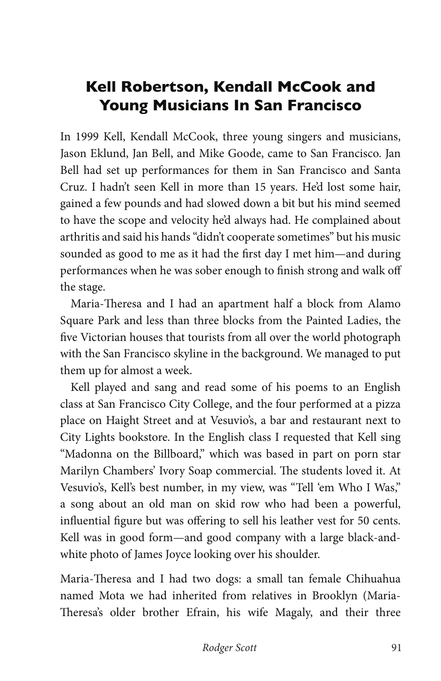# **Kell Robertson, Kendall McCook and Young Musicians In San Francisco**

In 1999 Kell, Kendall McCook, three young singers and musicians, Jason Eklund, Jan Bell, and Mike Goode, came to San Francisco. Jan Bell had set up performances for them in San Francisco and Santa Cruz. I hadn't seen Kell in more than 15 years. He'd lost some hair, gained a few pounds and had slowed down a bit but his mind seemed to have the scope and velocity he'd always had. He complained about arthritis and said his hands "didn't cooperate sometimes" but his music sounded as good to me as it had the first day I met him—and during performances when he was sober enough to finish strong and walk off the stage.

Maria-Theresa and I had an apartment half a block from Alamo Square Park and less than three blocks from the Painted Ladies, the five Victorian houses that tourists from all over the world photograph with the San Francisco skyline in the background. We managed to put them up for almost a week.

Kell played and sang and read some of his poems to an English class at San Francisco City College, and the four performed at a pizza place on Haight Street and at Vesuvio's, a bar and restaurant next to City Lights bookstore. In the English class I requested that Kell sing "Madonna on the Billboard," which was based in part on porn star Marilyn Chambers' Ivory Soap commercial. The students loved it. At Vesuvio's, Kell's best number, in my view, was "Tell 'em Who I Was," a song about an old man on skid row who had been a powerful, influential figure but was offering to sell his leather vest for 50 cents. Kell was in good form—and good company with a large black-andwhite photo of James Joyce looking over his shoulder.

Maria-Theresa and I had two dogs: a small tan female Chihuahua named Mota we had inherited from relatives in Brooklyn (Maria-Theresa's older brother Efrain, his wife Magaly, and their three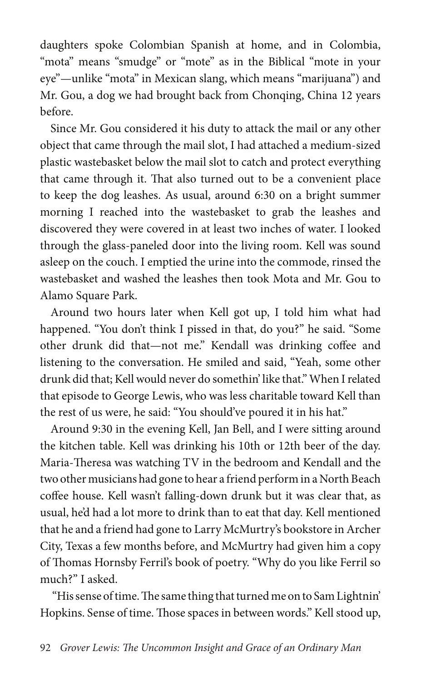daughters spoke Colombian Spanish at home, and in Colombia, "mota" means "smudge" or "mote" as in the Biblical "mote in your eye"—unlike "mota" in Mexican slang, which means "marijuana") and Mr. Gou, a dog we had brought back from Chonqing, China 12 years before.

Since Mr. Gou considered it his duty to attack the mail or any other object that came through the mail slot, I had attached a medium-sized plastic wastebasket below the mail slot to catch and protect everything that came through it. That also turned out to be a convenient place to keep the dog leashes. As usual, around 6:30 on a bright summer morning I reached into the wastebasket to grab the leashes and discovered they were covered in at least two inches of water. I looked through the glass-paneled door into the living room. Kell was sound asleep on the couch. I emptied the urine into the commode, rinsed the wastebasket and washed the leashes then took Mota and Mr. Gou to Alamo Square Park.

Around two hours later when Kell got up, I told him what had happened. "You don't think I pissed in that, do you?" he said. "Some other drunk did that—not me." Kendall was drinking coffee and listening to the conversation. He smiled and said, "Yeah, some other drunk did that; Kell would never do somethin' like that." When I related that episode to George Lewis, who was less charitable toward Kell than the rest of us were, he said: "You should've poured it in his hat."

Around 9:30 in the evening Kell, Jan Bell, and I were sitting around the kitchen table. Kell was drinking his 10th or 12th beer of the day. Maria-Theresa was watching TV in the bedroom and Kendall and the two other musicians had gone to hear a friend perform in a North Beach coffee house. Kell wasn't falling-down drunk but it was clear that, as usual, he'd had a lot more to drink than to eat that day. Kell mentioned that he and a friend had gone to Larry McMurtry's bookstore in Archer City, Texas a few months before, and McMurtry had given him a copy of Thomas Hornsby Ferril's book of poetry. "Why do you like Ferril so much?" I asked.

 "His sense of time. The same thing that turned me on to Sam Lightnin' Hopkins. Sense of time. Those spaces in between words." Kell stood up,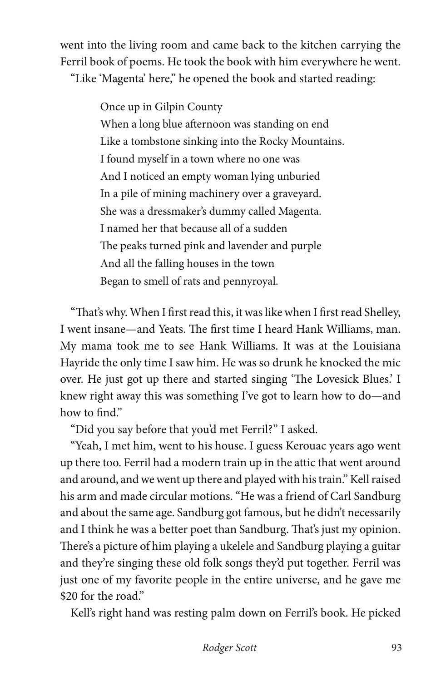went into the living room and came back to the kitchen carrying the Ferril book of poems. He took the book with him everywhere he went. "Like 'Magenta' here," he opened the book and started reading:

> Once up in Gilpin County When a long blue afternoon was standing on end Like a tombstone sinking into the Rocky Mountains. I found myself in a town where no one was And I noticed an empty woman lying unburied In a pile of mining machinery over a graveyard. She was a dressmaker's dummy called Magenta. I named her that because all of a sudden The peaks turned pink and lavender and purple And all the falling houses in the town Began to smell of rats and pennyroyal.

"That's why. When I first read this, it was like when I first read Shelley, I went insane—and Yeats. The first time I heard Hank Williams, man. My mama took me to see Hank Williams. It was at the Louisiana Hayride the only time I saw him. He was so drunk he knocked the mic over. He just got up there and started singing 'The Lovesick Blues.' I knew right away this was something I've got to learn how to do—and how to find."

"Did you say before that you'd met Ferril?" I asked.

"Yeah, I met him, went to his house. I guess Kerouac years ago went up there too. Ferril had a modern train up in the attic that went around and around, and we went up there and played with his train." Kell raised his arm and made circular motions. "He was a friend of Carl Sandburg and about the same age. Sandburg got famous, but he didn't necessarily and I think he was a better poet than Sandburg. That's just my opinion. There's a picture of him playing a ukelele and Sandburg playing a guitar and they're singing these old folk songs they'd put together. Ferril was just one of my favorite people in the entire universe, and he gave me \$20 for the road."

Kell's right hand was resting palm down on Ferril's book. He picked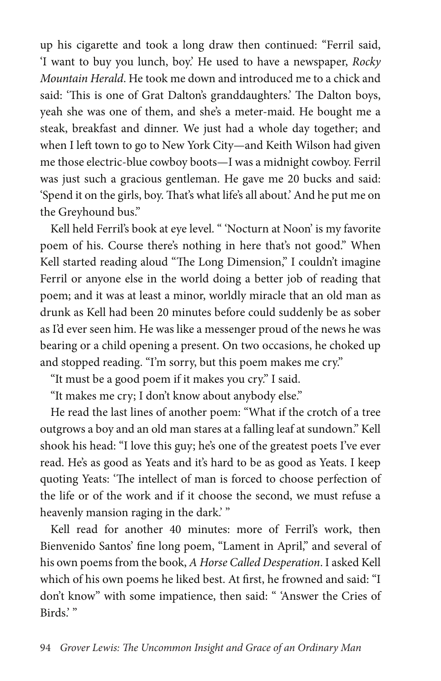up his cigarette and took a long draw then continued: "Ferril said, 'I want to buy you lunch, boy.' He used to have a newspaper, *Rocky Mountain Herald*. He took me down and introduced me to a chick and said: 'This is one of Grat Dalton's granddaughters.' The Dalton boys, yeah she was one of them, and she's a meter-maid. He bought me a steak, breakfast and dinner. We just had a whole day together; and when I left town to go to New York City—and Keith Wilson had given me those electric-blue cowboy boots—I was a midnight cowboy. Ferril was just such a gracious gentleman. He gave me 20 bucks and said: 'Spend it on the girls, boy. That's what life's all about.' And he put me on the Greyhound bus."

Kell held Ferril's book at eye level. " 'Nocturn at Noon' is my favorite poem of his. Course there's nothing in here that's not good." When Kell started reading aloud "The Long Dimension," I couldn't imagine Ferril or anyone else in the world doing a better job of reading that poem; and it was at least a minor, worldly miracle that an old man as drunk as Kell had been 20 minutes before could suddenly be as sober as I'd ever seen him. He was like a messenger proud of the news he was bearing or a child opening a present. On two occasions, he choked up and stopped reading. "I'm sorry, but this poem makes me cry."

"It must be a good poem if it makes you cry." I said.

"It makes me cry; I don't know about anybody else."

He read the last lines of another poem: "What if the crotch of a tree outgrows a boy and an old man stares at a falling leaf at sundown." Kell shook his head: "I love this guy; he's one of the greatest poets I've ever read. He's as good as Yeats and it's hard to be as good as Yeats. I keep quoting Yeats: 'The intellect of man is forced to choose perfection of the life or of the work and if it choose the second, we must refuse a heavenly mansion raging in the dark."

Kell read for another 40 minutes: more of Ferril's work, then Bienvenido Santos' fine long poem, "Lament in April," and several of his own poems from the book, *A Horse Called Desperation*. I asked Kell which of his own poems he liked best. At first, he frowned and said: "I don't know" with some impatience, then said: " 'Answer the Cries of Birds.'"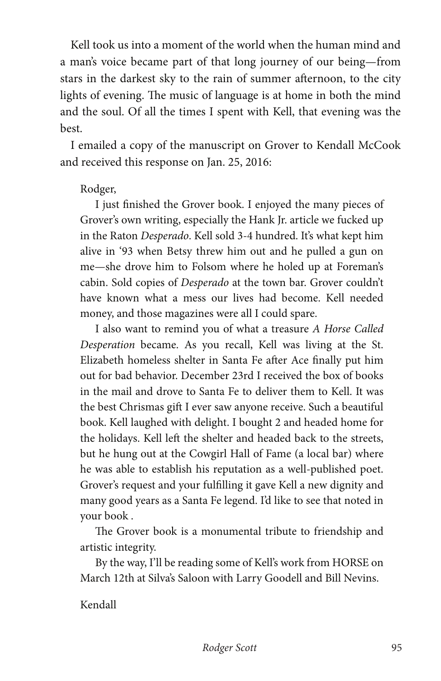Kell took us into a moment of the world when the human mind and a man's voice became part of that long journey of our being—from stars in the darkest sky to the rain of summer afternoon, to the city lights of evening. The music of language is at home in both the mind and the soul. Of all the times I spent with Kell, that evening was the best.

I emailed a copy of the manuscript on Grover to Kendall McCook and received this response on Jan. 25, 2016:

#### Rodger,

I just finished the Grover book. I enjoyed the many pieces of Grover's own writing, especially the Hank Jr. article we fucked up in the Raton *Desperado*. Kell sold 3-4 hundred. It's what kept him alive in '93 when Betsy threw him out and he pulled a gun on me—she drove him to Folsom where he holed up at Foreman's cabin. Sold copies of *Desperado* at the town bar. Grover couldn't have known what a mess our lives had become. Kell needed money, and those magazines were all I could spare.

I also want to remind you of what a treasure *A Horse Called Desperation* became. As you recall, Kell was living at the St. Elizabeth homeless shelter in Santa Fe after Ace finally put him out for bad behavior. December 23rd I received the box of books in the mail and drove to Santa Fe to deliver them to Kell. It was the best Chrismas gift I ever saw anyone receive. Such a beautiful book. Kell laughed with delight. I bought 2 and headed home for the holidays. Kell left the shelter and headed back to the streets, but he hung out at the Cowgirl Hall of Fame (a local bar) where he was able to establish his reputation as a well-published poet. Grover's request and your fulfilling it gave Kell a new dignity and many good years as a Santa Fe legend. I'd like to see that noted in your book .

The Grover book is a monumental tribute to friendship and artistic integrity.

By the way, I'll be reading some of Kell's work from HORSE on March 12th at Silva's Saloon with Larry Goodell and Bill Nevins.

Kendall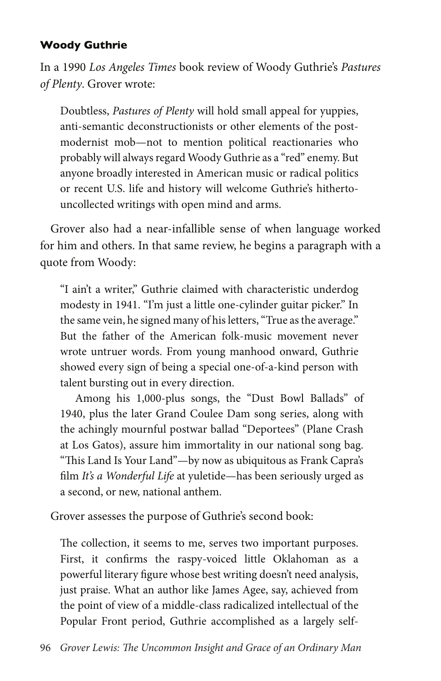## **Woody Guthrie**

In a 1990 *Los Angeles Times* book review of Woody Guthrie's *Pastures of Plenty*. Grover wrote:

Doubtless, *Pastures of Plenty* will hold small appeal for yuppies, anti-semantic deconstructionists or other elements of the postmodernist mob—not to mention political reactionaries who probably will always regard Woody Guthrie as a "red" enemy. But anyone broadly interested in American music or radical politics or recent U.S. life and history will welcome Guthrie's hithertouncollected writings with open mind and arms.

Grover also had a near-infallible sense of when language worked for him and others. In that same review, he begins a paragraph with a quote from Woody:

"I ain't a writer," Guthrie claimed with characteristic underdog modesty in 1941. "I'm just a little one-cylinder guitar picker." In the same vein, he signed many of his letters, "True as the average." But the father of the American folk-music movement never wrote untruer words. From young manhood onward, Guthrie showed every sign of being a special one-of-a-kind person with talent bursting out in every direction.

Among his 1,000-plus songs, the "Dust Bowl Ballads" of 1940, plus the later Grand Coulee Dam song series, along with the achingly mournful postwar ballad "Deportees" (Plane Crash at Los Gatos), assure him immortality in our national song bag. "This Land Is Your Land"—by now as ubiquitous as Frank Capra's film *It's a Wonderful Life* at yuletide—has been seriously urged as a second, or new, national anthem.

Grover assesses the purpose of Guthrie's second book:

The collection, it seems to me, serves two important purposes. First, it confirms the raspy-voiced little Oklahoman as a powerful literary figure whose best writing doesn't need analysis, just praise. What an author like James Agee, say, achieved from the point of view of a middle-class radicalized intellectual of the Popular Front period, Guthrie accomplished as a largely self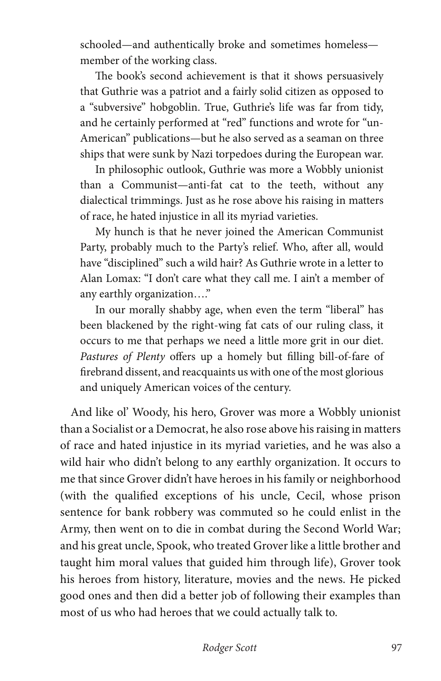schooled—and authentically broke and sometimes homeless member of the working class.

The book's second achievement is that it shows persuasively that Guthrie was a patriot and a fairly solid citizen as opposed to a "subversive" hobgoblin. True, Guthrie's life was far from tidy, and he certainly performed at "red" functions and wrote for "un-American" publications—but he also served as a seaman on three ships that were sunk by Nazi torpedoes during the European war.

In philosophic outlook, Guthrie was more a Wobbly unionist than a Communist—anti-fat cat to the teeth, without any dialectical trimmings. Just as he rose above his raising in matters of race, he hated injustice in all its myriad varieties.

My hunch is that he never joined the American Communist Party, probably much to the Party's relief. Who, after all, would have "disciplined" such a wild hair? As Guthrie wrote in a letter to Alan Lomax: "I don't care what they call me. I ain't a member of any earthly organization…."

In our morally shabby age, when even the term "liberal" has been blackened by the right-wing fat cats of our ruling class, it occurs to me that perhaps we need a little more grit in our diet. *Pastures of Plenty* offers up a homely but filling bill-of-fare of firebrand dissent, and reacquaints us with one of the most glorious and uniquely American voices of the century.

And like ol' Woody, his hero, Grover was more a Wobbly unionist than a Socialist or a Democrat, he also rose above his raising in matters of race and hated injustice in its myriad varieties, and he was also a wild hair who didn't belong to any earthly organization. It occurs to me that since Grover didn't have heroes in his family or neighborhood (with the qualified exceptions of his uncle, Cecil, whose prison sentence for bank robbery was commuted so he could enlist in the Army, then went on to die in combat during the Second World War; and his great uncle, Spook, who treated Grover like a little brother and taught him moral values that guided him through life), Grover took his heroes from history, literature, movies and the news. He picked good ones and then did a better job of following their examples than most of us who had heroes that we could actually talk to.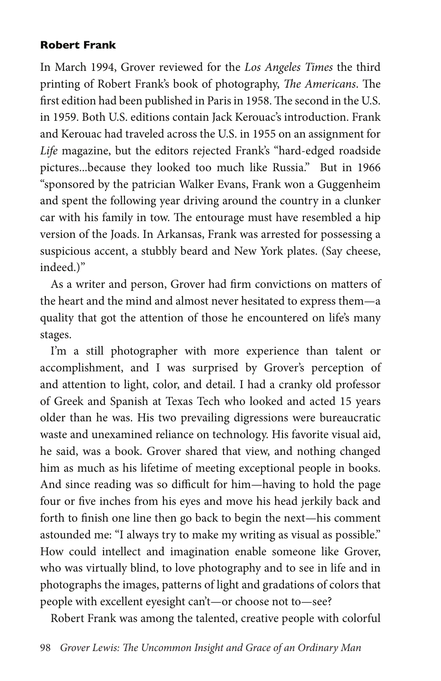### **Robert Frank**

In March 1994, Grover reviewed for the *Los Angeles Times* the third printing of Robert Frank's book of photography, *The Americans*. The first edition had been published in Paris in 1958. The second in the U.S. in 1959. Both U.S. editions contain Jack Kerouac's introduction. Frank and Kerouac had traveled across the U.S. in 1955 on an assignment for *Life* magazine, but the editors rejected Frank's "hard-edged roadside pictures...because they looked too much like Russia." But in 1966 "sponsored by the patrician Walker Evans, Frank won a Guggenheim and spent the following year driving around the country in a clunker car with his family in tow. The entourage must have resembled a hip version of the Joads. In Arkansas, Frank was arrested for possessing a suspicious accent, a stubbly beard and New York plates. (Say cheese, indeed.)"

As a writer and person, Grover had firm convictions on matters of the heart and the mind and almost never hesitated to express them—a quality that got the attention of those he encountered on life's many stages.

I'm a still photographer with more experience than talent or accomplishment, and I was surprised by Grover's perception of and attention to light, color, and detail. I had a cranky old professor of Greek and Spanish at Texas Tech who looked and acted 15 years older than he was. His two prevailing digressions were bureaucratic waste and unexamined reliance on technology. His favorite visual aid, he said, was a book. Grover shared that view, and nothing changed him as much as his lifetime of meeting exceptional people in books. And since reading was so difficult for him—having to hold the page four or five inches from his eyes and move his head jerkily back and forth to finish one line then go back to begin the next—his comment astounded me: "I always try to make my writing as visual as possible." How could intellect and imagination enable someone like Grover, who was virtually blind, to love photography and to see in life and in photographs the images, patterns of light and gradations of colors that people with excellent eyesight can't—or choose not to—see?

Robert Frank was among the talented, creative people with colorful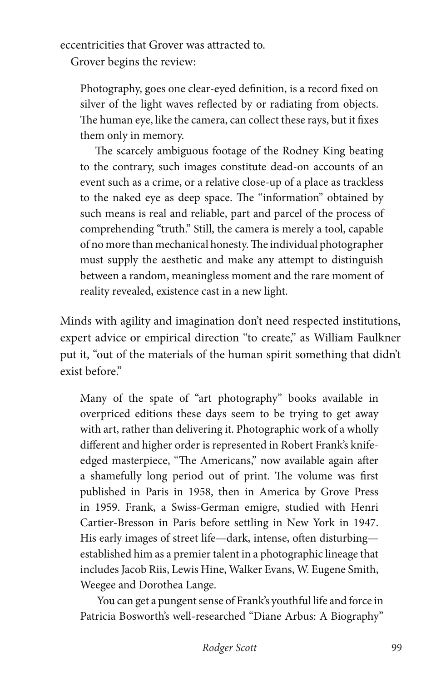eccentricities that Grover was attracted to.

Grover begins the review:

Photography, goes one clear-eyed definition, is a record fixed on silver of the light waves reflected by or radiating from objects. The human eye, like the camera, can collect these rays, but it fixes them only in memory.

The scarcely ambiguous footage of the Rodney King beating to the contrary, such images constitute dead-on accounts of an event such as a crime, or a relative close-up of a place as trackless to the naked eye as deep space. The "information" obtained by such means is real and reliable, part and parcel of the process of comprehending "truth." Still, the camera is merely a tool, capable of no more than mechanical honesty. The individual photographer must supply the aesthetic and make any attempt to distinguish between a random, meaningless moment and the rare moment of reality revealed, existence cast in a new light.

Minds with agility and imagination don't need respected institutions, expert advice or empirical direction "to create," as William Faulkner put it, "out of the materials of the human spirit something that didn't exist before"

Many of the spate of "art photography" books available in overpriced editions these days seem to be trying to get away with art, rather than delivering it. Photographic work of a wholly different and higher order is represented in Robert Frank's knifeedged masterpiece, "The Americans," now available again after a shamefully long period out of print. The volume was first published in Paris in 1958, then in America by Grove Press in 1959. Frank, a Swiss-German emigre, studied with Henri Cartier-Bresson in Paris before settling in New York in 1947. His early images of street life—dark, intense, often disturbing established him as a premier talent in a photographic lineage that includes Jacob Riis, Lewis Hine, Walker Evans, W. Eugene Smith, Weegee and Dorothea Lange.

 You can get a pungent sense of Frank's youthful life and force in Patricia Bosworth's well-researched "Diane Arbus: A Biography"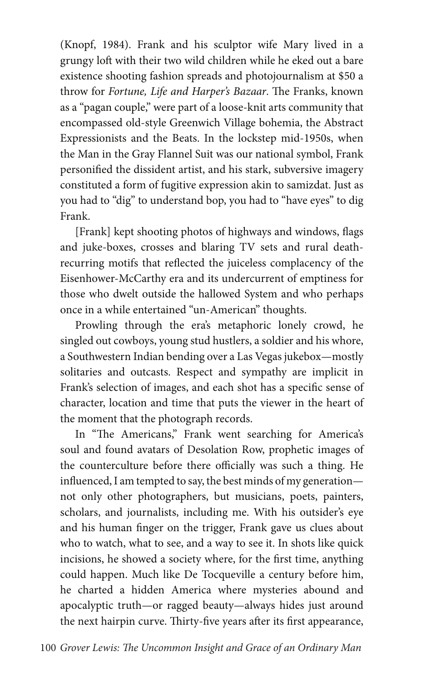(Knopf, 1984). Frank and his sculptor wife Mary lived in a grungy loft with their two wild children while he eked out a bare existence shooting fashion spreads and photojournalism at \$50 a throw for *Fortune, Life and Harper's Bazaar*. The Franks, known as a "pagan couple," were part of a loose-knit arts community that encompassed old-style Greenwich Village bohemia, the Abstract Expressionists and the Beats. In the lockstep mid-1950s, when the Man in the Gray Flannel Suit was our national symbol, Frank personified the dissident artist, and his stark, subversive imagery constituted a form of fugitive expression akin to samizdat. Just as you had to "dig" to understand bop, you had to "have eyes" to dig Frank.

[Frank] kept shooting photos of highways and windows, flags and juke-boxes, crosses and blaring TV sets and rural deathrecurring motifs that reflected the juiceless complacency of the Eisenhower-McCarthy era and its undercurrent of emptiness for those who dwelt outside the hallowed System and who perhaps once in a while entertained "un-American" thoughts.

Prowling through the era's metaphoric lonely crowd, he singled out cowboys, young stud hustlers, a soldier and his whore, a Southwestern Indian bending over a Las Vegas jukebox—mostly solitaries and outcasts. Respect and sympathy are implicit in Frank's selection of images, and each shot has a specific sense of character, location and time that puts the viewer in the heart of the moment that the photograph records.

In "The Americans," Frank went searching for America's soul and found avatars of Desolation Row, prophetic images of the counterculture before there officially was such a thing. He influenced, I am tempted to say, the best minds of my generation not only other photographers, but musicians, poets, painters, scholars, and journalists, including me. With his outsider's eye and his human finger on the trigger, Frank gave us clues about who to watch, what to see, and a way to see it. In shots like quick incisions, he showed a society where, for the first time, anything could happen. Much like De Tocqueville a century before him, he charted a hidden America where mysteries abound and apocalyptic truth—or ragged beauty—always hides just around the next hairpin curve. Thirty-five years after its first appearance,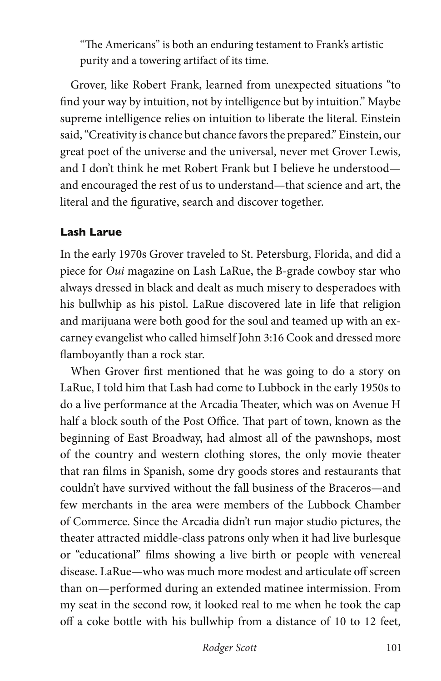"The Americans" is both an enduring testament to Frank's artistic purity and a towering artifact of its time.

Grover, like Robert Frank, learned from unexpected situations "to find your way by intuition, not by intelligence but by intuition." Maybe supreme intelligence relies on intuition to liberate the literal. Einstein said, "Creativity is chance but chance favors the prepared." Einstein, our great poet of the universe and the universal, never met Grover Lewis, and I don't think he met Robert Frank but I believe he understood and encouraged the rest of us to understand—that science and art, the literal and the figurative, search and discover together.

#### **Lash Larue**

In the early 1970s Grover traveled to St. Petersburg, Florida, and did a piece for *Oui* magazine on Lash LaRue, the B-grade cowboy star who always dressed in black and dealt as much misery to desperadoes with his bullwhip as his pistol. LaRue discovered late in life that religion and marijuana were both good for the soul and teamed up with an excarney evangelist who called himself John 3:16 Cook and dressed more flamboyantly than a rock star.

When Grover first mentioned that he was going to do a story on LaRue, I told him that Lash had come to Lubbock in the early 1950s to do a live performance at the Arcadia Theater, which was on Avenue H half a block south of the Post Office. That part of town, known as the beginning of East Broadway, had almost all of the pawnshops, most of the country and western clothing stores, the only movie theater that ran films in Spanish, some dry goods stores and restaurants that couldn't have survived without the fall business of the Braceros—and few merchants in the area were members of the Lubbock Chamber of Commerce. Since the Arcadia didn't run major studio pictures, the theater attracted middle-class patrons only when it had live burlesque or "educational" films showing a live birth or people with venereal disease. LaRue—who was much more modest and articulate off screen than on—performed during an extended matinee intermission. From my seat in the second row, it looked real to me when he took the cap off a coke bottle with his bullwhip from a distance of 10 to 12 feet,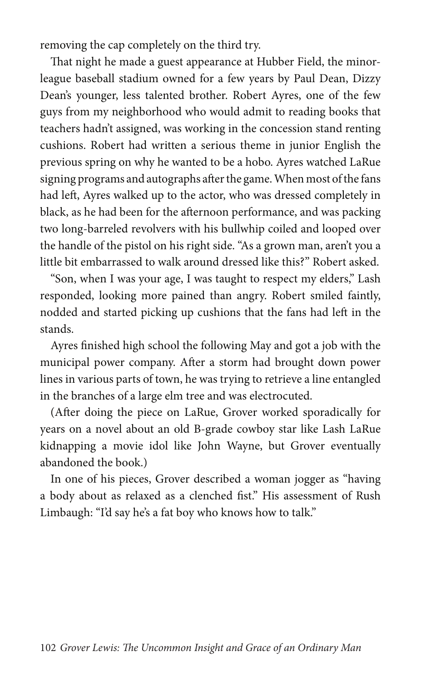removing the cap completely on the third try.

That night he made a guest appearance at Hubber Field, the minorleague baseball stadium owned for a few years by Paul Dean, Dizzy Dean's younger, less talented brother. Robert Ayres, one of the few guys from my neighborhood who would admit to reading books that teachers hadn't assigned, was working in the concession stand renting cushions. Robert had written a serious theme in junior English the previous spring on why he wanted to be a hobo. Ayres watched LaRue signing programs and autographs after the game. When most of the fans had left, Ayres walked up to the actor, who was dressed completely in black, as he had been for the afternoon performance, and was packing two long-barreled revolvers with his bullwhip coiled and looped over the handle of the pistol on his right side. "As a grown man, aren't you a little bit embarrassed to walk around dressed like this?" Robert asked.

"Son, when I was your age, I was taught to respect my elders," Lash responded, looking more pained than angry. Robert smiled faintly, nodded and started picking up cushions that the fans had left in the stands.

Ayres finished high school the following May and got a job with the municipal power company. After a storm had brought down power lines in various parts of town, he was trying to retrieve a line entangled in the branches of a large elm tree and was electrocuted.

(After doing the piece on LaRue, Grover worked sporadically for years on a novel about an old B-grade cowboy star like Lash LaRue kidnapping a movie idol like John Wayne, but Grover eventually abandoned the book.)

In one of his pieces, Grover described a woman jogger as "having a body about as relaxed as a clenched fist." His assessment of Rush Limbaugh: "I'd say he's a fat boy who knows how to talk."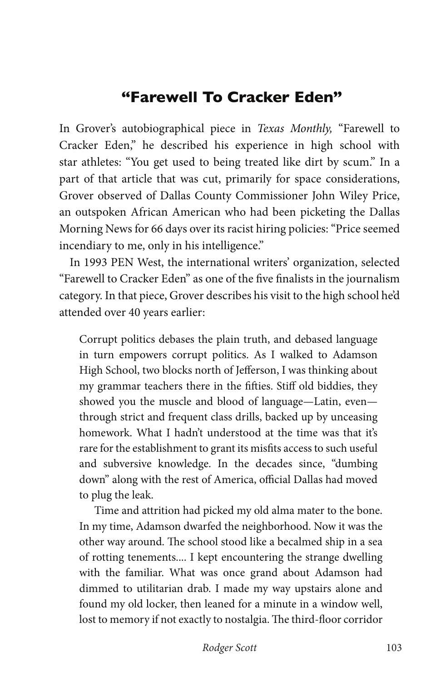## **"Farewell To Cracker Eden"**

In Grover's autobiographical piece in *Texas Monthly,* "Farewell to Cracker Eden," he described his experience in high school with star athletes: "You get used to being treated like dirt by scum." In a part of that article that was cut, primarily for space considerations, Grover observed of Dallas County Commissioner John Wiley Price, an outspoken African American who had been picketing the Dallas Morning News for 66 days over its racist hiring policies: "Price seemed incendiary to me, only in his intelligence."

In 1993 PEN West, the international writers' organization, selected "Farewell to Cracker Eden" as one of the five finalists in the journalism category. In that piece, Grover describes his visit to the high school he'd attended over 40 years earlier:

Corrupt politics debases the plain truth, and debased language in turn empowers corrupt politics. As I walked to Adamson High School, two blocks north of Jefferson, I was thinking about my grammar teachers there in the fifties. Stiff old biddies, they showed you the muscle and blood of language—Latin, even through strict and frequent class drills, backed up by unceasing homework. What I hadn't understood at the time was that it's rare for the establishment to grant its misfits access to such useful and subversive knowledge. In the decades since, "dumbing down" along with the rest of America, official Dallas had moved to plug the leak.

Time and attrition had picked my old alma mater to the bone. In my time, Adamson dwarfed the neighborhood. Now it was the other way around. The school stood like a becalmed ship in a sea of rotting tenements.... I kept encountering the strange dwelling with the familiar. What was once grand about Adamson had dimmed to utilitarian drab. I made my way upstairs alone and found my old locker, then leaned for a minute in a window well, lost to memory if not exactly to nostalgia. The third-floor corridor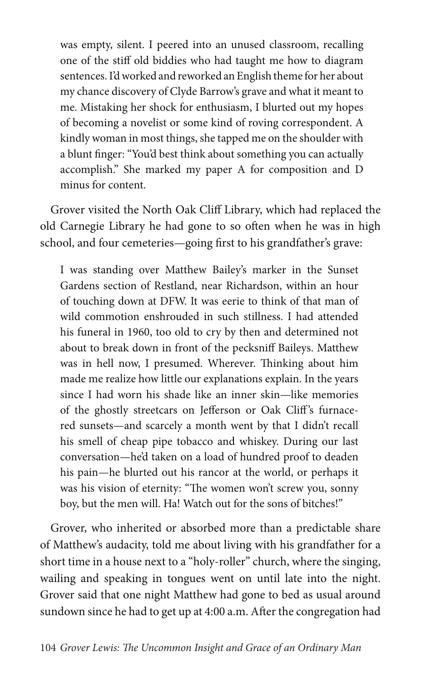was empty, silent. I peered into an unused classroom, recalling one of the stiff old biddies who had taught me how to diagram sentences. I'd worked and reworked an English theme for her about my chance discovery of Clyde Barrow's grave and what it meant to me. Mistaking her shock for enthusiasm, I blurted out my hopes of becoming a novelist or some kind of roving correspondent. A kindly woman in most things, she tapped me on the shoulder with a blunt finger: "You'd best think about something you can actually accomplish." She marked my paper A for composition and D minus for content.

Grover visited the North Oak Cliff Library, which had replaced the old Carnegie Library he had gone to so often when he was in high school, and four cemeteries—going first to his grandfather's grave:

I was standing over Matthew Bailey's marker in the Sunset Gardens section of Restland, near Richardson, within an hour of touching down at DFW. It was eerie to think of that man of wild commotion enshrouded in such stillness. I had attended his funeral in 1960, too old to cry by then and determined not about to break down in front of the pecksniff Baileys. Matthew was in hell now, I presumed. Wherever. Thinking about him made me realize how little our explanations explain. In the years since I had worn his shade like an inner skin—like memories of the ghostly streetcars on Jefferson or Oak Cliff 's furnacered sunsets—and scarcely a month went by that I didn't recall his smell of cheap pipe tobacco and whiskey. During our last conversation—he'd taken on a load of hundred proof to deaden his pain—he blurted out his rancor at the world, or perhaps it was his vision of eternity: "The women won't screw you, sonny boy, but the men will. Ha! Watch out for the sons of bitches!"

Grover, who inherited or absorbed more than a predictable share of Matthew's audacity, told me about living with his grandfather for a short time in a house next to a "holy-roller" church, where the singing, wailing and speaking in tongues went on until late into the night. Grover said that one night Matthew had gone to bed as usual around sundown since he had to get up at 4:00 a.m. After the congregation had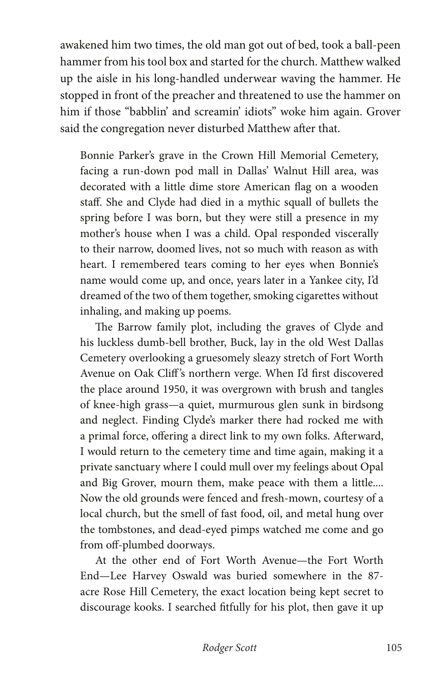awakened him two times, the old man got out of bed, took a ball-peen hammer from his tool box and started for the church. Matthew walked up the aisle in his long-handled underwear waving the hammer. He stopped in front of the preacher and threatened to use the hammer on him if those "babblin' and screamin' idiots" woke him again. Grover said the congregation never disturbed Matthew after that.

Bonnie Parker's grave in the Crown Hill Memorial Cemetery, facing a run-down pod mall in Dallas' Walnut Hill area, was decorated with a little dime store American flag on a wooden staff. She and Clyde had died in a mythic squall of bullets the spring before I was born, but they were still a presence in my mother's house when I was a child. Opal responded viscerally to their narrow, doomed lives, not so much with reason as with heart. I remembered tears coming to her eyes when Bonnie's name would come up, and once, years later in a Yankee city, I'd dreamed of the two of them together, smoking cigarettes without inhaling, and making up poems.

The Barrow family plot, including the graves of Clyde and his luckless dumb-bell brother, Buck, lay in the old West Dallas Cemetery overlooking a gruesomely sleazy stretch of Fort Worth Avenue on Oak Cliff's northern verge. When I'd first discovered the place around 1950, it was overgrown with brush and tangles of knee-high grass—a quiet, murmurous glen sunk in birdsong and neglect. Finding Clyde's marker there had rocked me with a primal force, offering a direct link to my own folks. Afterward, I would return to the cemetery time and time again, making it a private sanctuary where I could mull over my feelings about Opal and Big Grover, mourn them, make peace with them a little.... Now the old grounds were fenced and fresh-mown, courtesy of a local church, but the smell of fast food, oil, and metal hung over the tombstones, and dead-eyed pimps watched me come and go from off-plumbed doorways.

At the other end of Fort Worth Avenue—the Fort Worth End—Lee Harvey Oswald was buried somewhere in the 87 acre Rose Hill Cemetery, the exact location being kept secret to discourage kooks. I searched fitfully for his plot, then gave it up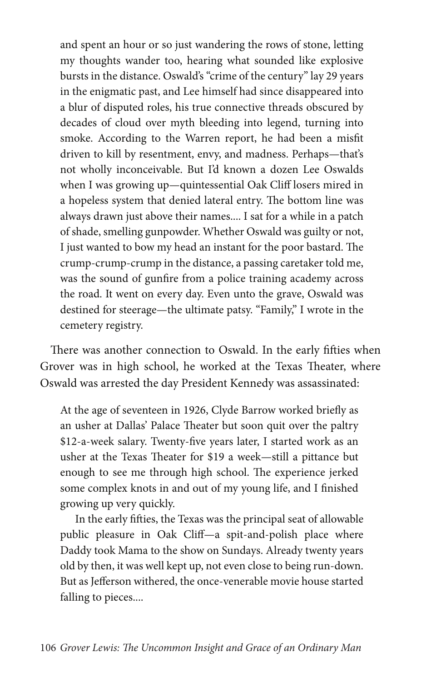and spent an hour or so just wandering the rows of stone, letting my thoughts wander too, hearing what sounded like explosive bursts in the distance. Oswald's "crime of the century" lay 29 years in the enigmatic past, and Lee himself had since disappeared into a blur of disputed roles, his true connective threads obscured by decades of cloud over myth bleeding into legend, turning into smoke. According to the Warren report, he had been a misfit driven to kill by resentment, envy, and madness. Perhaps—that's not wholly inconceivable. But I'd known a dozen Lee Oswalds when I was growing up—quintessential Oak Cliff losers mired in a hopeless system that denied lateral entry. The bottom line was always drawn just above their names.... I sat for a while in a patch of shade, smelling gunpowder. Whether Oswald was guilty or not, I just wanted to bow my head an instant for the poor bastard. The crump-crump-crump in the distance, a passing caretaker told me, was the sound of gunfire from a police training academy across the road. It went on every day. Even unto the grave, Oswald was destined for steerage—the ultimate patsy. "Family," I wrote in the cemetery registry.

There was another connection to Oswald. In the early fifties when Grover was in high school, he worked at the Texas Theater, where Oswald was arrested the day President Kennedy was assassinated:

At the age of seventeen in 1926, Clyde Barrow worked briefly as an usher at Dallas' Palace Theater but soon quit over the paltry \$12-a-week salary. Twenty-five years later, I started work as an usher at the Texas Theater for \$19 a week—still a pittance but enough to see me through high school. The experience jerked some complex knots in and out of my young life, and I finished growing up very quickly.

In the early fifties, the Texas was the principal seat of allowable public pleasure in Oak Cliff—a spit-and-polish place where Daddy took Mama to the show on Sundays. Already twenty years old by then, it was well kept up, not even close to being run-down. But as Jefferson withered, the once-venerable movie house started falling to pieces....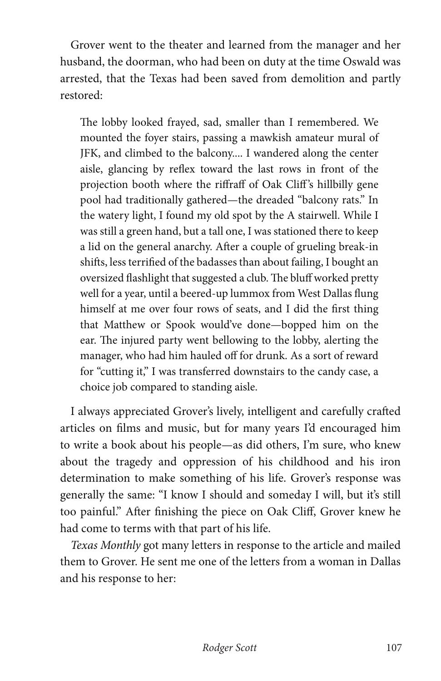Grover went to the theater and learned from the manager and her husband, the doorman, who had been on duty at the time Oswald was arrested, that the Texas had been saved from demolition and partly restored:

The lobby looked frayed, sad, smaller than I remembered. We mounted the foyer stairs, passing a mawkish amateur mural of JFK, and climbed to the balcony.... I wandered along the center aisle, glancing by reflex toward the last rows in front of the projection booth where the riffraff of Oak Cliff 's hillbilly gene pool had traditionally gathered—the dreaded "balcony rats." In the watery light, I found my old spot by the A stairwell. While I was still a green hand, but a tall one, I was stationed there to keep a lid on the general anarchy. After a couple of grueling break-in shifts, less terrified of the badasses than about failing, I bought an oversized flashlight that suggested a club. The bluff worked pretty well for a year, until a beered-up lummox from West Dallas flung himself at me over four rows of seats, and I did the first thing that Matthew or Spook would've done—bopped him on the ear. The injured party went bellowing to the lobby, alerting the manager, who had him hauled off for drunk. As a sort of reward for "cutting it," I was transferred downstairs to the candy case, a choice job compared to standing aisle.

I always appreciated Grover's lively, intelligent and carefully crafted articles on films and music, but for many years I'd encouraged him to write a book about his people—as did others, I'm sure, who knew about the tragedy and oppression of his childhood and his iron determination to make something of his life. Grover's response was generally the same: "I know I should and someday I will, but it's still too painful." After finishing the piece on Oak Cliff, Grover knew he had come to terms with that part of his life.

*Texas Monthly* got many letters in response to the article and mailed them to Grover. He sent me one of the letters from a woman in Dallas and his response to her: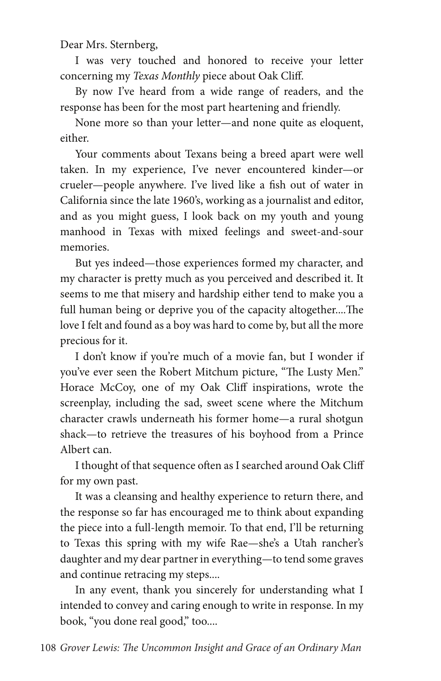Dear Mrs. Sternberg,

I was very touched and honored to receive your letter concerning my *Texas Monthly* piece about Oak Cliff.

By now I've heard from a wide range of readers, and the response has been for the most part heartening and friendly.

None more so than your letter—and none quite as eloquent, either.

Your comments about Texans being a breed apart were well taken. In my experience, I've never encountered kinder—or crueler—people anywhere. I've lived like a fish out of water in California since the late 1960's, working as a journalist and editor, and as you might guess, I look back on my youth and young manhood in Texas with mixed feelings and sweet-and-sour memories.

But yes indeed—those experiences formed my character, and my character is pretty much as you perceived and described it. It seems to me that misery and hardship either tend to make you a full human being or deprive you of the capacity altogether....The love I felt and found as a boy was hard to come by, but all the more precious for it.

I don't know if you're much of a movie fan, but I wonder if you've ever seen the Robert Mitchum picture, "The Lusty Men." Horace McCoy, one of my Oak Cliff inspirations, wrote the screenplay, including the sad, sweet scene where the Mitchum character crawls underneath his former home—a rural shotgun shack—to retrieve the treasures of his boyhood from a Prince Albert can.

I thought of that sequence often as I searched around Oak Cliff for my own past.

It was a cleansing and healthy experience to return there, and the response so far has encouraged me to think about expanding the piece into a full-length memoir. To that end, I'll be returning to Texas this spring with my wife Rae—she's a Utah rancher's daughter and my dear partner in everything—to tend some graves and continue retracing my steps....

In any event, thank you sincerely for understanding what I intended to convey and caring enough to write in response. In my book, "you done real good," too....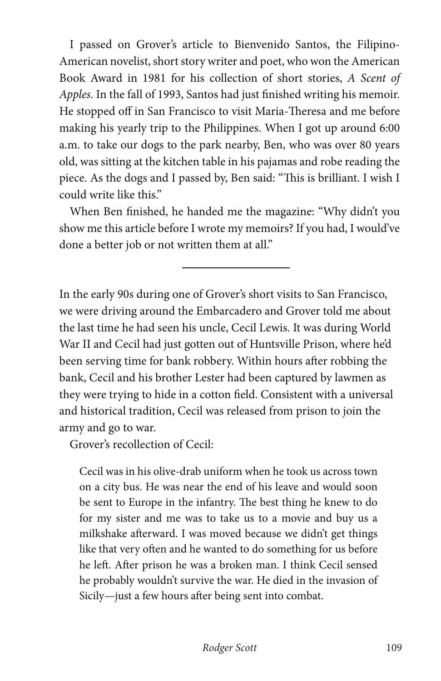I passed on Grover's article to Bienvenido Santos, the Filipino-American novelist, short story writer and poet, who won the American Book Award in 1981 for his collection of short stories, *A Scent of Apples*. In the fall of 1993, Santos had just finished writing his memoir. He stopped off in San Francisco to visit Maria-Theresa and me before making his yearly trip to the Philippines. When I got up around 6:00 a.m. to take our dogs to the park nearby, Ben, who was over 80 years old, was sitting at the kitchen table in his pajamas and robe reading the piece. As the dogs and I passed by, Ben said: "This is brilliant. I wish I could write like this."

When Ben finished, he handed me the magazine: "Why didn't you show me this article before I wrote my memoirs? If you had, I would've done a better job or not written them at all."

 $\overline{a}$ 

In the early 90s during one of Grover's short visits to San Francisco, we were driving around the Embarcadero and Grover told me about the last time he had seen his uncle, Cecil Lewis. It was during World War II and Cecil had just gotten out of Huntsville Prison, where he'd been serving time for bank robbery. Within hours after robbing the bank, Cecil and his brother Lester had been captured by lawmen as they were trying to hide in a cotton field. Consistent with a universal and historical tradition, Cecil was released from prison to join the army and go to war.

Grover's recollection of Cecil:

Cecil was in his olive-drab uniform when he took us across town on a city bus. He was near the end of his leave and would soon be sent to Europe in the infantry. The best thing he knew to do for my sister and me was to take us to a movie and buy us a milkshake afterward. I was moved because we didn't get things like that very often and he wanted to do something for us before he left. After prison he was a broken man. I think Cecil sensed he probably wouldn't survive the war. He died in the invasion of Sicily—just a few hours after being sent into combat.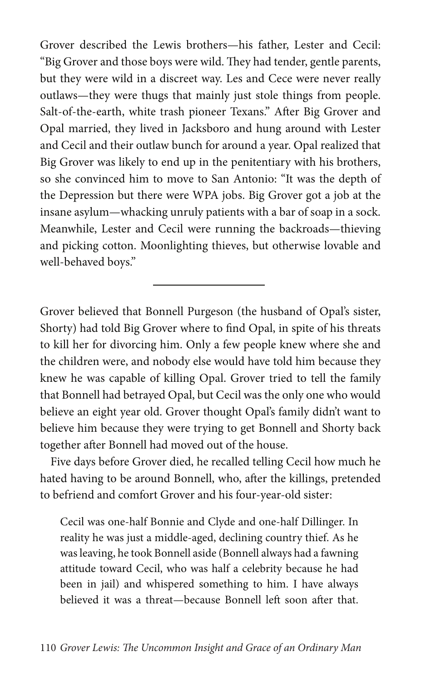Grover described the Lewis brothers—his father, Lester and Cecil: "Big Grover and those boys were wild. They had tender, gentle parents, but they were wild in a discreet way. Les and Cece were never really outlaws—they were thugs that mainly just stole things from people. Salt-of-the-earth, white trash pioneer Texans." After Big Grover and Opal married, they lived in Jacksboro and hung around with Lester and Cecil and their outlaw bunch for around a year. Opal realized that Big Grover was likely to end up in the penitentiary with his brothers, so she convinced him to move to San Antonio: "It was the depth of the Depression but there were WPA jobs. Big Grover got a job at the insane asylum—whacking unruly patients with a bar of soap in a sock. Meanwhile, Lester and Cecil were running the backroads—thieving and picking cotton. Moonlighting thieves, but otherwise lovable and well-behaved boys."

Grover believed that Bonnell Purgeson (the husband of Opal's sister, Shorty) had told Big Grover where to find Opal, in spite of his threats to kill her for divorcing him. Only a few people knew where she and the children were, and nobody else would have told him because they knew he was capable of killing Opal. Grover tried to tell the family that Bonnell had betrayed Opal, but Cecil was the only one who would believe an eight year old. Grover thought Opal's family didn't want to believe him because they were trying to get Bonnell and Shorty back together after Bonnell had moved out of the house.

Five days before Grover died, he recalled telling Cecil how much he hated having to be around Bonnell, who, after the killings, pretended to befriend and comfort Grover and his four-year-old sister:

Cecil was one-half Bonnie and Clyde and one-half Dillinger. In reality he was just a middle-aged, declining country thief. As he was leaving, he took Bonnell aside (Bonnell always had a fawning attitude toward Cecil, who was half a celebrity because he had been in jail) and whispered something to him. I have always believed it was a threat—because Bonnell left soon after that.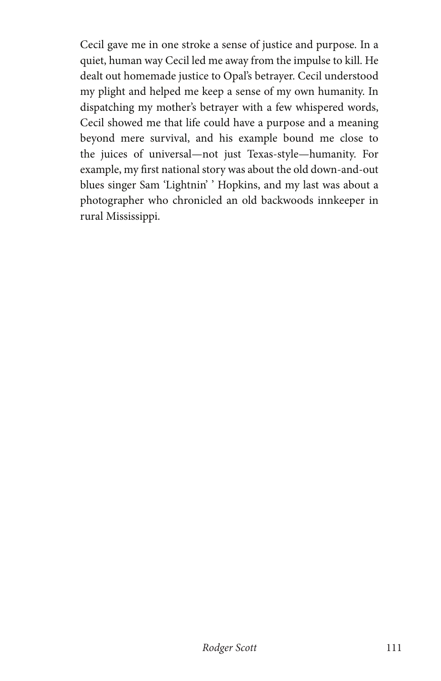Cecil gave me in one stroke a sense of justice and purpose. In a quiet, human way Cecil led me away from the impulse to kill. He dealt out homemade justice to Opal's betrayer. Cecil understood my plight and helped me keep a sense of my own humanity. In dispatching my mother's betrayer with a few whispered words, Cecil showed me that life could have a purpose and a meaning beyond mere survival, and his example bound me close to the juices of universal—not just Texas-style—humanity. For example, my first national story was about the old down-and-out blues singer Sam 'Lightnin' ' Hopkins, and my last was about a photographer who chronicled an old backwoods innkeeper in rural Mississippi.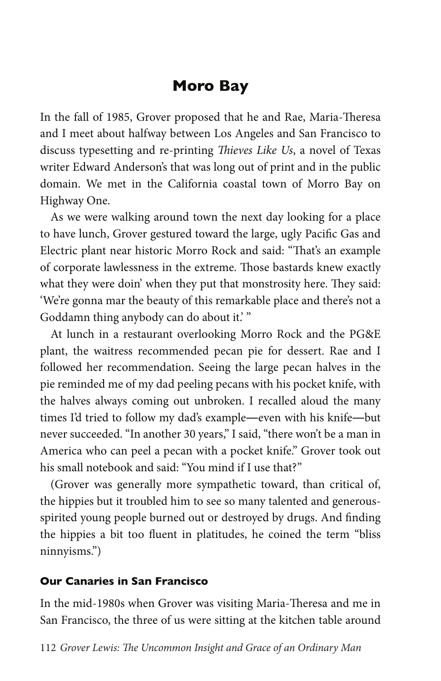# **Moro Bay**

In the fall of 1985, Grover proposed that he and Rae, Maria-Theresa and I meet about halfway between Los Angeles and San Francisco to discuss typesetting and re-printing *Thieves Like Us*, a novel of Texas writer Edward Anderson's that was long out of print and in the public domain. We met in the California coastal town of Morro Bay on Highway One.

As we were walking around town the next day looking for a place to have lunch, Grover gestured toward the large, ugly Pacific Gas and Electric plant near historic Morro Rock and said: "That's an example of corporate lawlessness in the extreme. Those bastards knew exactly what they were doin' when they put that monstrosity here. They said: 'We're gonna mar the beauty of this remarkable place and there's not a Goddamn thing anybody can do about it.' "

At lunch in a restaurant overlooking Morro Rock and the PG&E plant, the waitress recommended pecan pie for dessert. Rae and I followed her recommendation. Seeing the large pecan halves in the pie reminded me of my dad peeling pecans with his pocket knife, with the halves always coming out unbroken. I recalled aloud the many times I'd tried to follow my dad's example―even with his knife―but never succeeded. "In another 30 years," I said, "there won't be a man in America who can peel a pecan with a pocket knife." Grover took out his small notebook and said: "You mind if I use that?"

(Grover was generally more sympathetic toward, than critical of, the hippies but it troubled him to see so many talented and generousspirited young people burned out or destroyed by drugs. And finding the hippies a bit too fluent in platitudes, he coined the term "bliss ninnyisms.")

#### **Our Canaries in San Francisco**

In the mid-1980s when Grover was visiting Maria-Theresa and me in San Francisco, the three of us were sitting at the kitchen table around

112 *Grover Lewis: The Uncommon Insight and Grace of an Ordinary Man*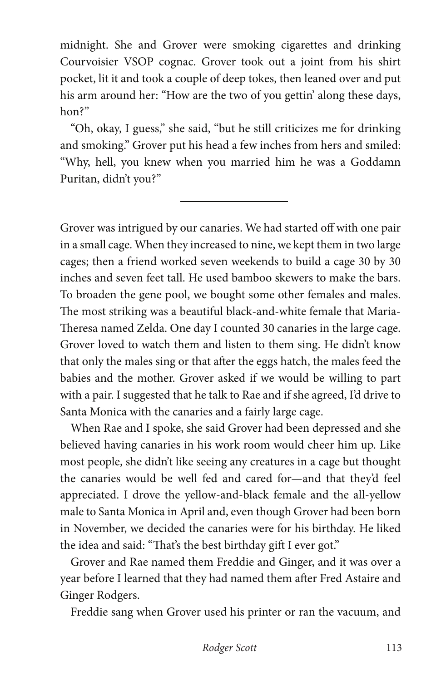midnight. She and Grover were smoking cigarettes and drinking Courvoisier VSOP cognac. Grover took out a joint from his shirt pocket, lit it and took a couple of deep tokes, then leaned over and put his arm around her: "How are the two of you gettin' along these days, hon?"

"Oh, okay, I guess," she said, "but he still criticizes me for drinking and smoking." Grover put his head a few inches from hers and smiled: "Why, hell, you knew when you married him he was a Goddamn Puritan, didn't you?"

 $\overline{a}$ 

Grover was intrigued by our canaries. We had started off with one pair in a small cage. When they increased to nine, we kept them in two large cages; then a friend worked seven weekends to build a cage 30 by 30 inches and seven feet tall. He used bamboo skewers to make the bars. To broaden the gene pool, we bought some other females and males. The most striking was a beautiful black-and-white female that Maria-Theresa named Zelda. One day I counted 30 canaries in the large cage. Grover loved to watch them and listen to them sing. He didn't know that only the males sing or that after the eggs hatch, the males feed the babies and the mother. Grover asked if we would be willing to part with a pair. I suggested that he talk to Rae and if she agreed, I'd drive to Santa Monica with the canaries and a fairly large cage.

When Rae and I spoke, she said Grover had been depressed and she believed having canaries in his work room would cheer him up. Like most people, she didn't like seeing any creatures in a cage but thought the canaries would be well fed and cared for—and that they'd feel appreciated. I drove the yellow-and-black female and the all-yellow male to Santa Monica in April and, even though Grover had been born in November, we decided the canaries were for his birthday. He liked the idea and said: "That's the best birthday gift I ever got."

Grover and Rae named them Freddie and Ginger, and it was over a year before I learned that they had named them after Fred Astaire and Ginger Rodgers.

Freddie sang when Grover used his printer or ran the vacuum, and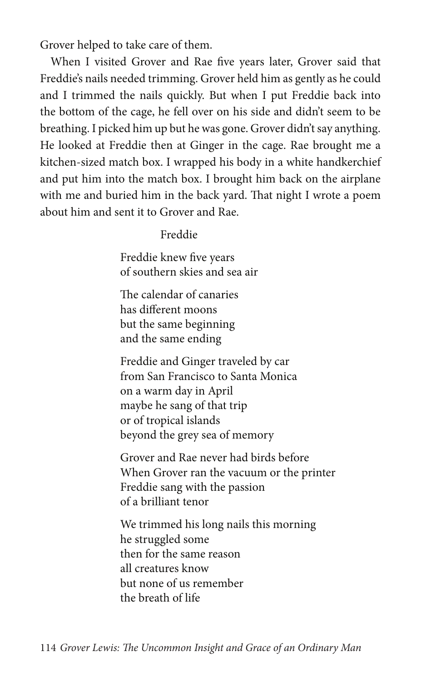Grover helped to take care of them.

When I visited Grover and Rae five years later, Grover said that Freddie's nails needed trimming. Grover held him as gently as he could and I trimmed the nails quickly. But when I put Freddie back into the bottom of the cage, he fell over on his side and didn't seem to be breathing. I picked him up but he was gone. Grover didn't say anything. He looked at Freddie then at Ginger in the cage. Rae brought me a kitchen-sized match box. I wrapped his body in a white handkerchief and put him into the match box. I brought him back on the airplane with me and buried him in the back yard. That night I wrote a poem about him and sent it to Grover and Rae.

#### Freddie

 Freddie knew five years of southern skies and sea air

 The calendar of canaries has different moons but the same beginning and the same ending

 Freddie and Ginger traveled by car from San Francisco to Santa Monica on a warm day in April maybe he sang of that trip or of tropical islands beyond the grey sea of memory

 Grover and Rae never had birds before When Grover ran the vacuum or the printer Freddie sang with the passion of a brilliant tenor

 We trimmed his long nails this morning he struggled some then for the same reason all creatures know but none of us remember the breath of life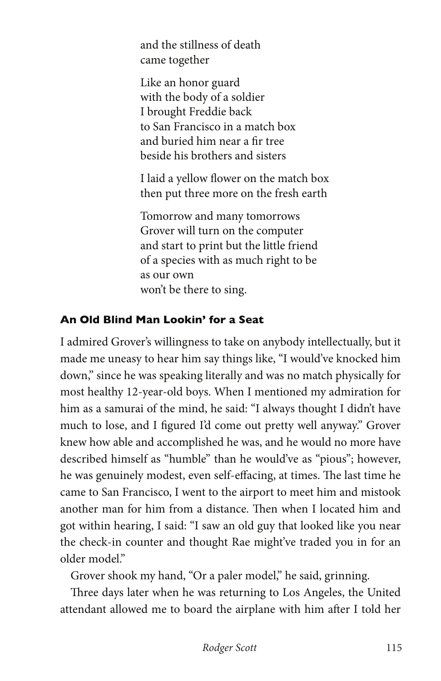and the stillness of death came together

 Like an honor guard with the body of a soldier I brought Freddie back to San Francisco in a match box and buried him near a fir tree beside his brothers and sisters

 I laid a yellow flower on the match box then put three more on the fresh earth

 Tomorrow and many tomorrows Grover will turn on the computer and start to print but the little friend of a species with as much right to be as our own won't be there to sing.

## **An Old Blind Man Lookin' for a Seat**

I admired Grover's willingness to take on anybody intellectually, but it made me uneasy to hear him say things like, "I would've knocked him down," since he was speaking literally and was no match physically for most healthy 12-year-old boys. When I mentioned my admiration for him as a samurai of the mind, he said: "I always thought I didn't have much to lose, and I figured I'd come out pretty well anyway." Grover knew how able and accomplished he was, and he would no more have described himself as "humble" than he would've as "pious"; however, he was genuinely modest, even self-effacing, at times. The last time he came to San Francisco, I went to the airport to meet him and mistook another man for him from a distance. Then when I located him and got within hearing, I said: "I saw an old guy that looked like you near the check-in counter and thought Rae might've traded you in for an older model."

Grover shook my hand, "Or a paler model," he said, grinning.

Three days later when he was returning to Los Angeles, the United attendant allowed me to board the airplane with him after I told her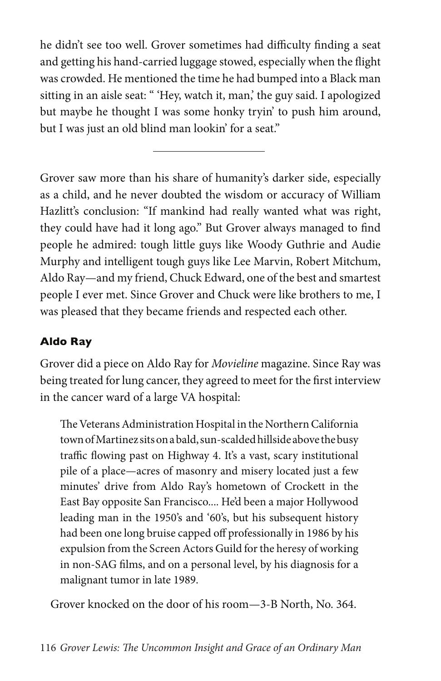he didn't see too well. Grover sometimes had difficulty finding a seat and getting his hand-carried luggage stowed, especially when the flight was crowded. He mentioned the time he had bumped into a Black man sitting in an aisle seat: " 'Hey, watch it, man,' the guy said. I apologized but maybe he thought I was some honky tryin' to push him around, but I was just an old blind man lookin' for a seat."

Grover saw more than his share of humanity's darker side, especially as a child, and he never doubted the wisdom or accuracy of William Hazlitt's conclusion: "If mankind had really wanted what was right, they could have had it long ago." But Grover always managed to find people he admired: tough little guys like Woody Guthrie and Audie Murphy and intelligent tough guys like Lee Marvin, Robert Mitchum, Aldo Ray—and my friend, Chuck Edward, one of the best and smartest people I ever met. Since Grover and Chuck were like brothers to me, I was pleased that they became friends and respected each other.

## **Aldo Ray**

Grover did a piece on Aldo Ray for *Movieline* magazine. Since Ray was being treated for lung cancer, they agreed to meet for the first interview in the cancer ward of a large VA hospital:

The Veterans Administration Hospital in the Northern California town of Martinez sits on a bald, sun-scalded hillside above the busy traffic flowing past on Highway 4. It's a vast, scary institutional pile of a place—acres of masonry and misery located just a few minutes' drive from Aldo Ray's hometown of Crockett in the East Bay opposite San Francisco.... He'd been a major Hollywood leading man in the 1950's and '60's, but his subsequent history had been one long bruise capped off professionally in 1986 by his expulsion from the Screen Actors Guild for the heresy of working in non-SAG films, and on a personal level, by his diagnosis for a malignant tumor in late 1989.

Grover knocked on the door of his room—3-B North, No. 364.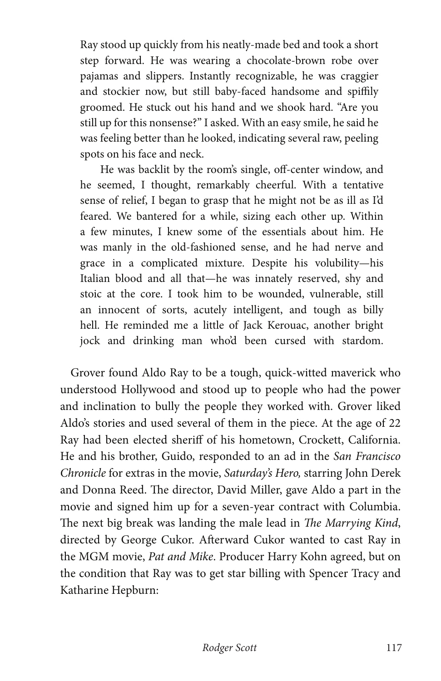Ray stood up quickly from his neatly-made bed and took a short step forward. He was wearing a chocolate-brown robe over pajamas and slippers. Instantly recognizable, he was craggier and stockier now, but still baby-faced handsome and spiffily groomed. He stuck out his hand and we shook hard. "Are you still up for this nonsense?" I asked. With an easy smile, he said he was feeling better than he looked, indicating several raw, peeling spots on his face and neck.

He was backlit by the room's single, off-center window, and he seemed, I thought, remarkably cheerful. With a tentative sense of relief, I began to grasp that he might not be as ill as I'd feared. We bantered for a while, sizing each other up. Within a few minutes, I knew some of the essentials about him. He was manly in the old-fashioned sense, and he had nerve and grace in a complicated mixture. Despite his volubility—his Italian blood and all that—he was innately reserved, shy and stoic at the core. I took him to be wounded, vulnerable, still an innocent of sorts, acutely intelligent, and tough as billy hell. He reminded me a little of Jack Kerouac, another bright jock and drinking man who'd been cursed with stardom.

Grover found Aldo Ray to be a tough, quick-witted maverick who understood Hollywood and stood up to people who had the power and inclination to bully the people they worked with. Grover liked Aldo's stories and used several of them in the piece. At the age of 22 Ray had been elected sheriff of his hometown, Crockett, California. He and his brother, Guido, responded to an ad in the *San Francisco Chronicle* for extras in the movie, *Saturday's Hero,* starring John Derek and Donna Reed. The director, David Miller, gave Aldo a part in the movie and signed him up for a seven-year contract with Columbia. The next big break was landing the male lead in *The Marrying Kind*, directed by George Cukor. Afterward Cukor wanted to cast Ray in the MGM movie, *Pat and Mike*. Producer Harry Kohn agreed, but on the condition that Ray was to get star billing with Spencer Tracy and Katharine Hepburn: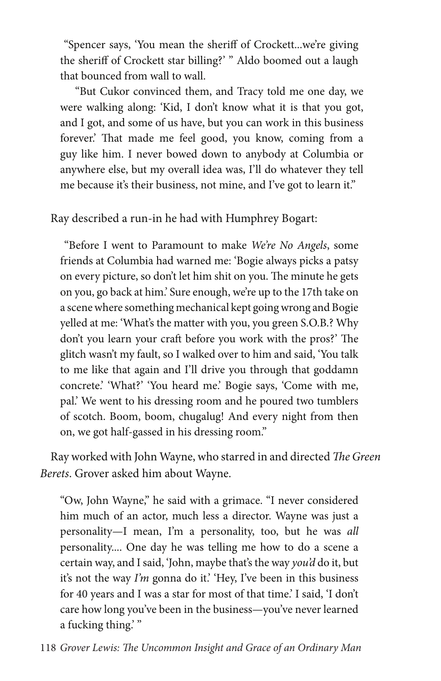"Spencer says, 'You mean the sheriff of Crockett...we're giving the sheriff of Crockett star billing?' " Aldo boomed out a laugh that bounced from wall to wall.

"But Cukor convinced them, and Tracy told me one day, we were walking along: 'Kid, I don't know what it is that you got, and I got, and some of us have, but you can work in this business forever.' That made me feel good, you know, coming from a guy like him. I never bowed down to anybody at Columbia or anywhere else, but my overall idea was, I'll do whatever they tell me because it's their business, not mine, and I've got to learn it."

Ray described a run-in he had with Humphrey Bogart:

 "Before I went to Paramount to make *We're No Angels*, some friends at Columbia had warned me: 'Bogie always picks a patsy on every picture, so don't let him shit on you. The minute he gets on you, go back at him.' Sure enough, we're up to the 17th take on a scene where something mechanical kept going wrong and Bogie yelled at me: 'What's the matter with you, you green S.O.B.? Why don't you learn your craft before you work with the pros?' The glitch wasn't my fault, so I walked over to him and said, 'You talk to me like that again and I'll drive you through that goddamn concrete.' 'What?' 'You heard me.' Bogie says, 'Come with me, pal.' We went to his dressing room and he poured two tumblers of scotch. Boom, boom, chugalug! And every night from then on, we got half-gassed in his dressing room."

Ray worked with John Wayne, who starred in and directed *The Green Berets*. Grover asked him about Wayne.

"Ow, John Wayne," he said with a grimace. "I never considered him much of an actor, much less a director. Wayne was just a personality—I mean, I'm a personality, too, but he was *all* personality.... One day he was telling me how to do a scene a certain way, and I said, 'John, maybe that's the way *you'd* do it, but it's not the way *I'm* gonna do it.' 'Hey, I've been in this business for 40 years and I was a star for most of that time.' I said, 'I don't care how long you've been in the business—you've never learned a fucking thing.'"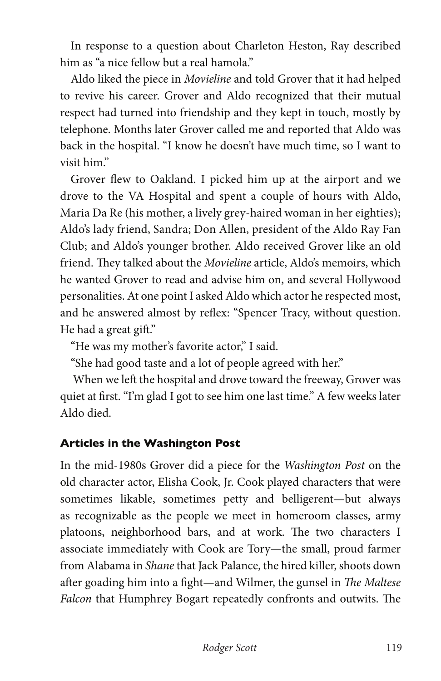In response to a question about Charleton Heston, Ray described him as "a nice fellow but a real hamola."

Aldo liked the piece in *Movieline* and told Grover that it had helped to revive his career. Grover and Aldo recognized that their mutual respect had turned into friendship and they kept in touch, mostly by telephone. Months later Grover called me and reported that Aldo was back in the hospital. "I know he doesn't have much time, so I want to visit him."

Grover flew to Oakland. I picked him up at the airport and we drove to the VA Hospital and spent a couple of hours with Aldo, Maria Da Re (his mother, a lively grey-haired woman in her eighties); Aldo's lady friend, Sandra; Don Allen, president of the Aldo Ray Fan Club; and Aldo's younger brother. Aldo received Grover like an old friend. They talked about the *Movieline* article, Aldo's memoirs, which he wanted Grover to read and advise him on, and several Hollywood personalities. At one point I asked Aldo which actor he respected most, and he answered almost by reflex: "Spencer Tracy, without question. He had a great gift."

"He was my mother's favorite actor," I said.

"She had good taste and a lot of people agreed with her."

 When we left the hospital and drove toward the freeway, Grover was quiet at first. "I'm glad I got to see him one last time." A few weeks later Aldo died.

## **Articles in the Washington Post**

In the mid-1980s Grover did a piece for the *Washington Post* on the old character actor, Elisha Cook, Jr. Cook played characters that were sometimes likable, sometimes petty and belligerent—but always as recognizable as the people we meet in homeroom classes, army platoons, neighborhood bars, and at work. The two characters I associate immediately with Cook are Tory—the small, proud farmer from Alabama in *Shane* that Jack Palance, the hired killer, shoots down after goading him into a fight—and Wilmer, the gunsel in *The Maltese Falcon* that Humphrey Bogart repeatedly confronts and outwits. The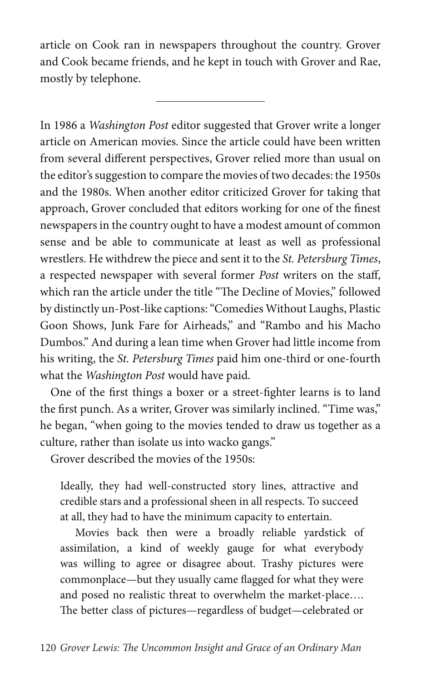article on Cook ran in newspapers throughout the country. Grover and Cook became friends, and he kept in touch with Grover and Rae, mostly by telephone.

In 1986 a *Washington Post* editor suggested that Grover write a longer article on American movies. Since the article could have been written from several different perspectives, Grover relied more than usual on the editor's suggestion to compare the movies of two decades: the 1950s and the 1980s. When another editor criticized Grover for taking that approach, Grover concluded that editors working for one of the finest newspapers in the country ought to have a modest amount of common sense and be able to communicate at least as well as professional wrestlers. He withdrew the piece and sent it to the *St. Petersburg Times*, a respected newspaper with several former *Post* writers on the staff, which ran the article under the title "The Decline of Movies," followed by distinctly un-Post-like captions: "Comedies Without Laughs, Plastic Goon Shows, Junk Fare for Airheads," and "Rambo and his Macho Dumbos." And during a lean time when Grover had little income from his writing, the *St. Petersburg Times* paid him one-third or one-fourth what the *Washington Post* would have paid.

One of the first things a boxer or a street-fighter learns is to land the first punch. As a writer, Grover was similarly inclined. "Time was," he began, "when going to the movies tended to draw us together as a culture, rather than isolate us into wacko gangs."

Grover described the movies of the 1950s:

Ideally, they had well-constructed story lines, attractive and credible stars and a professional sheen in all respects. To succeed at all, they had to have the minimum capacity to entertain.

Movies back then were a broadly reliable yardstick of assimilation, a kind of weekly gauge for what everybody was willing to agree or disagree about. Trashy pictures were commonplace—but they usually came flagged for what they were and posed no realistic threat to overwhelm the market-place…. The better class of pictures—regardless of budget—celebrated or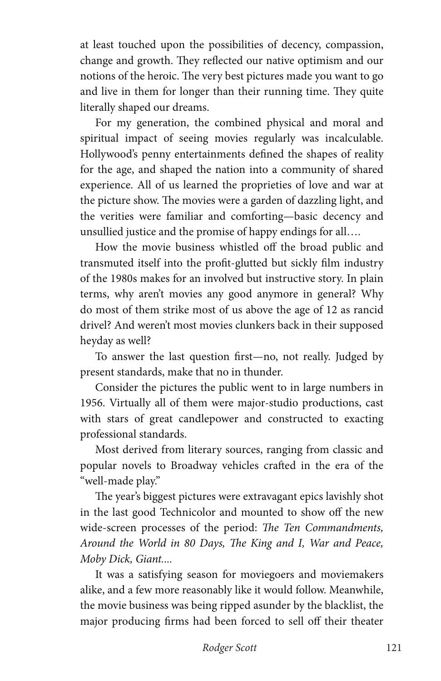at least touched upon the possibilities of decency, compassion, change and growth. They reflected our native optimism and our notions of the heroic. The very best pictures made you want to go and live in them for longer than their running time. They quite literally shaped our dreams.

For my generation, the combined physical and moral and spiritual impact of seeing movies regularly was incalculable. Hollywood's penny entertainments defined the shapes of reality for the age, and shaped the nation into a community of shared experience. All of us learned the proprieties of love and war at the picture show. The movies were a garden of dazzling light, and the verities were familiar and comforting—basic decency and unsullied justice and the promise of happy endings for all….

How the movie business whistled off the broad public and transmuted itself into the profit-glutted but sickly film industry of the 1980s makes for an involved but instructive story. In plain terms, why aren't movies any good anymore in general? Why do most of them strike most of us above the age of 12 as rancid drivel? And weren't most movies clunkers back in their supposed heyday as well?

To answer the last question first—no, not really. Judged by present standards, make that no in thunder.

Consider the pictures the public went to in large numbers in 1956. Virtually all of them were major-studio productions, cast with stars of great candlepower and constructed to exacting professional standards.

Most derived from literary sources, ranging from classic and popular novels to Broadway vehicles crafted in the era of the "well-made play."

The year's biggest pictures were extravagant epics lavishly shot in the last good Technicolor and mounted to show off the new wide-screen processes of the period: *The Ten Commandments, Around the World in 80 Days, The King and I, War and Peace, Moby Dick, Giant....*

It was a satisfying season for moviegoers and moviemakers alike, and a few more reasonably like it would follow. Meanwhile, the movie business was being ripped asunder by the blacklist, the major producing firms had been forced to sell off their theater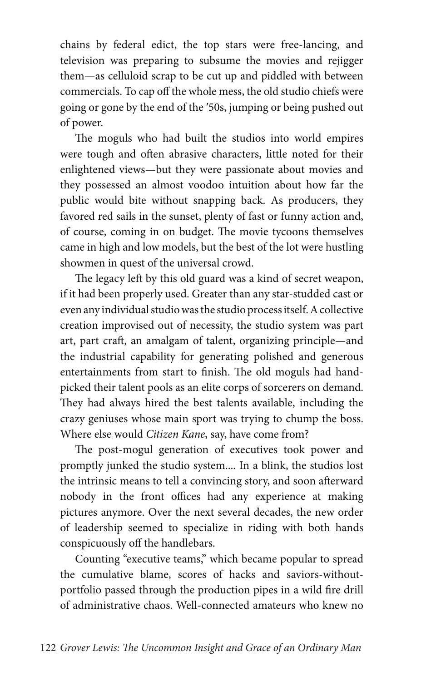chains by federal edict, the top stars were free-lancing, and television was preparing to subsume the movies and rejigger them—as celluloid scrap to be cut up and piddled with between commercials. To cap off the whole mess, the old studio chiefs were going or gone by the end of the ′50s, jumping or being pushed out of power.

The moguls who had built the studios into world empires were tough and often abrasive characters, little noted for their enlightened views—but they were passionate about movies and they possessed an almost voodoo intuition about how far the public would bite without snapping back. As producers, they favored red sails in the sunset, plenty of fast or funny action and, of course, coming in on budget. The movie tycoons themselves came in high and low models, but the best of the lot were hustling showmen in quest of the universal crowd.

The legacy left by this old guard was a kind of secret weapon, if it had been properly used. Greater than any star-studded cast or even any individual studio was the studio process itself. A collective creation improvised out of necessity, the studio system was part art, part craft, an amalgam of talent, organizing principle—and the industrial capability for generating polished and generous entertainments from start to finish. The old moguls had handpicked their talent pools as an elite corps of sorcerers on demand. They had always hired the best talents available, including the crazy geniuses whose main sport was trying to chump the boss. Where else would *Citizen Kane*, say, have come from?

The post-mogul generation of executives took power and promptly junked the studio system.... In a blink, the studios lost the intrinsic means to tell a convincing story, and soon afterward nobody in the front offices had any experience at making pictures anymore. Over the next several decades, the new order of leadership seemed to specialize in riding with both hands conspicuously off the handlebars.

Counting "executive teams," which became popular to spread the cumulative blame, scores of hacks and saviors-withoutportfolio passed through the production pipes in a wild fire drill of administrative chaos. Well-connected amateurs who knew no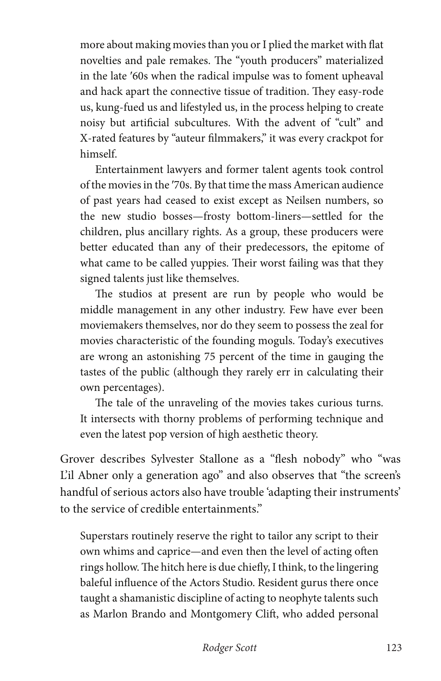more about making movies than you or I plied the market with flat novelties and pale remakes. The "youth producers" materialized in the late ′60s when the radical impulse was to foment upheaval and hack apart the connective tissue of tradition. They easy-rode us, kung-fued us and lifestyled us, in the process helping to create noisy but artificial subcultures. With the advent of "cult" and X-rated features by "auteur filmmakers," it was every crackpot for himself.

Entertainment lawyers and former talent agents took control of the movies in the ′70s. By that time the mass American audience of past years had ceased to exist except as Neilsen numbers, so the new studio bosses—frosty bottom-liners—settled for the children, plus ancillary rights. As a group, these producers were better educated than any of their predecessors, the epitome of what came to be called yuppies. Their worst failing was that they signed talents just like themselves.

The studios at present are run by people who would be middle management in any other industry. Few have ever been moviemakers themselves, nor do they seem to possess the zeal for movies characteristic of the founding moguls. Today's executives are wrong an astonishing 75 percent of the time in gauging the tastes of the public (although they rarely err in calculating their own percentages).

The tale of the unraveling of the movies takes curious turns. It intersects with thorny problems of performing technique and even the latest pop version of high aesthetic theory.

Grover describes Sylvester Stallone as a "flesh nobody" who "was L'il Abner only a generation ago" and also observes that "the screen's handful of serious actors also have trouble 'adapting their instruments' to the service of credible entertainments."

Superstars routinely reserve the right to tailor any script to their own whims and caprice—and even then the level of acting often rings hollow. The hitch here is due chiefly, I think, to the lingering baleful influence of the Actors Studio. Resident gurus there once taught a shamanistic discipline of acting to neophyte talents such as Marlon Brando and Montgomery Clift, who added personal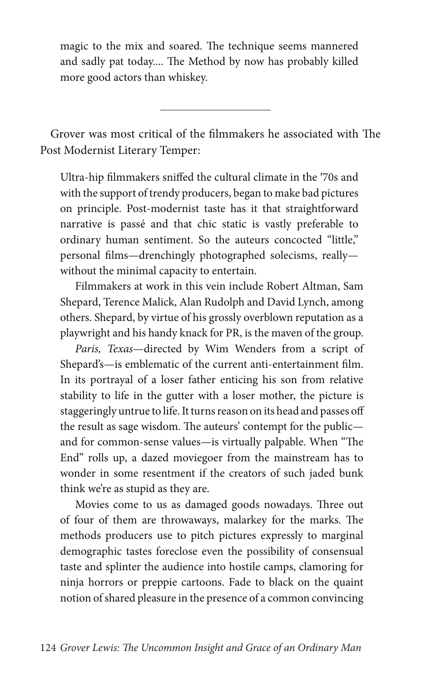magic to the mix and soared. The technique seems mannered and sadly pat today.... The Method by now has probably killed more good actors than whiskey.

Grover was most critical of the filmmakers he associated with The Post Modernist Literary Temper:

 $\overline{a}$ 

Ultra-hip filmmakers sniffed the cultural climate in the ′70s and with the support of trendy producers, began to make bad pictures on principle. Post-modernist taste has it that straightforward narrative is passé and that chic static is vastly preferable to ordinary human sentiment. So the auteurs concocted "little," personal films—drenchingly photographed solecisms, really without the minimal capacity to entertain.

Filmmakers at work in this vein include Robert Altman, Sam Shepard, Terence Malick, Alan Rudolph and David Lynch, among others. Shepard, by virtue of his grossly overblown reputation as a playwright and his handy knack for PR, is the maven of the group.

*Paris, Texas*—directed by Wim Wenders from a script of Shepard's—is emblematic of the current anti-entertainment film. In its portrayal of a loser father enticing his son from relative stability to life in the gutter with a loser mother, the picture is staggeringly untrue to life. It turns reason on its head and passes off the result as sage wisdom. The auteurs' contempt for the public and for common-sense values—is virtually palpable. When "The End" rolls up, a dazed moviegoer from the mainstream has to wonder in some resentment if the creators of such jaded bunk think we're as stupid as they are.

Movies come to us as damaged goods nowadays. Three out of four of them are throwaways, malarkey for the marks. The methods producers use to pitch pictures expressly to marginal demographic tastes foreclose even the possibility of consensual taste and splinter the audience into hostile camps, clamoring for ninja horrors or preppie cartoons. Fade to black on the quaint notion of shared pleasure in the presence of a common convincing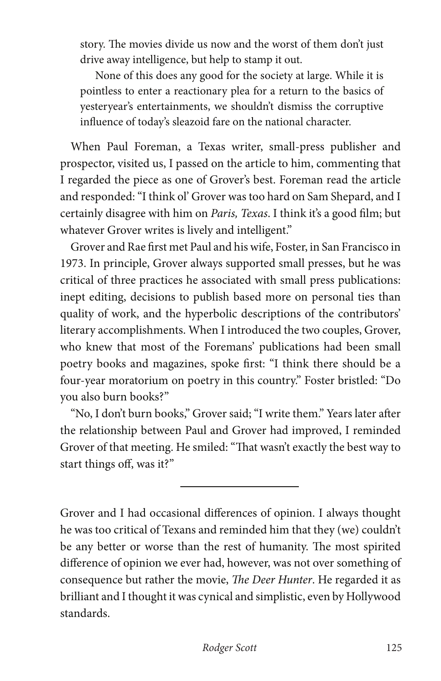story. The movies divide us now and the worst of them don't just drive away intelligence, but help to stamp it out.

None of this does any good for the society at large. While it is pointless to enter a reactionary plea for a return to the basics of yesteryear's entertainments, we shouldn't dismiss the corruptive influence of today's sleazoid fare on the national character.

When Paul Foreman, a Texas writer, small-press publisher and prospector, visited us, I passed on the article to him, commenting that I regarded the piece as one of Grover's best. Foreman read the article and responded: "I think ol' Grover was too hard on Sam Shepard, and I certainly disagree with him on *Paris, Texas*. I think it's a good film; but whatever Grover writes is lively and intelligent."

Grover and Rae first met Paul and his wife, Foster, in San Francisco in 1973. In principle, Grover always supported small presses, but he was critical of three practices he associated with small press publications: inept editing, decisions to publish based more on personal ties than quality of work, and the hyperbolic descriptions of the contributors' literary accomplishments. When I introduced the two couples, Grover, who knew that most of the Foremans' publications had been small poetry books and magazines, spoke first: "I think there should be a four-year moratorium on poetry in this country." Foster bristled: "Do you also burn books?"

"No, I don't burn books," Grover said; "I write them." Years later after the relationship between Paul and Grover had improved, I reminded Grover of that meeting. He smiled: "That wasn't exactly the best way to start things off, was it?"

 $\overline{a}$ 

Grover and I had occasional differences of opinion. I always thought he was too critical of Texans and reminded him that they (we) couldn't be any better or worse than the rest of humanity. The most spirited difference of opinion we ever had, however, was not over something of consequence but rather the movie, *The Deer Hunter*. He regarded it as brilliant and I thought it was cynical and simplistic, even by Hollywood standards.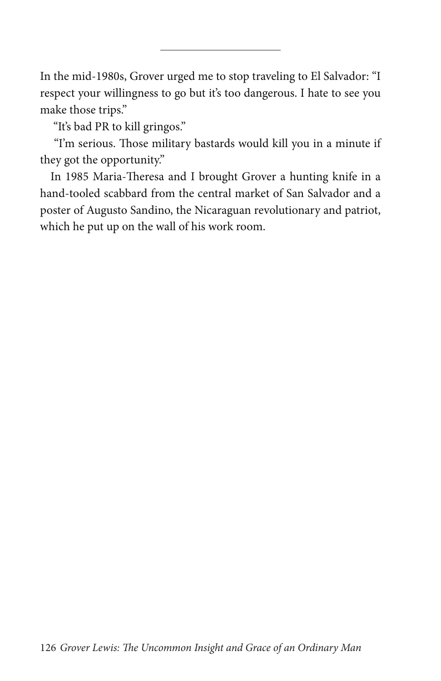In the mid-1980s, Grover urged me to stop traveling to El Salvador: "I respect your willingness to go but it's too dangerous. I hate to see you make those trips."

L

"It's bad PR to kill gringos."

 "I'm serious. Those military bastards would kill you in a minute if they got the opportunity."

In 1985 Maria-Theresa and I brought Grover a hunting knife in a hand-tooled scabbard from the central market of San Salvador and a poster of Augusto Sandino, the Nicaraguan revolutionary and patriot, which he put up on the wall of his work room.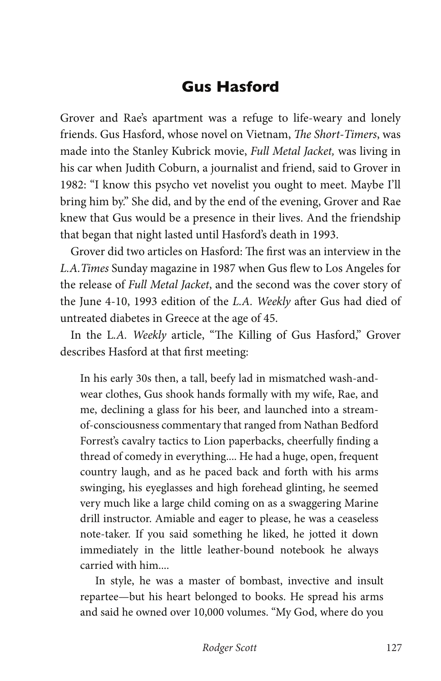## **Gus Hasford**

Grover and Rae's apartment was a refuge to life-weary and lonely friends. Gus Hasford, whose novel on Vietnam, *The Short-Timers*, was made into the Stanley Kubrick movie, *Full Metal Jacket,* was living in his car when Judith Coburn, a journalist and friend, said to Grover in 1982: "I know this psycho vet novelist you ought to meet. Maybe I'll bring him by." She did, and by the end of the evening, Grover and Rae knew that Gus would be a presence in their lives. And the friendship that began that night lasted until Hasford's death in 1993.

Grover did two articles on Hasford: The first was an interview in the *L.A.Times* Sunday magazine in 1987 when Gus flew to Los Angeles for the release of *Full Metal Jacket*, and the second was the cover story of the June 4-10, 1993 edition of the *L.A. Weekly* after Gus had died of untreated diabetes in Greece at the age of 45.

In the L*.A. Weekly* article, "The Killing of Gus Hasford," Grover describes Hasford at that first meeting:

In his early 30s then, a tall, beefy lad in mismatched wash-andwear clothes, Gus shook hands formally with my wife, Rae, and me, declining a glass for his beer, and launched into a streamof-consciousness commentary that ranged from Nathan Bedford Forrest's cavalry tactics to Lion paperbacks, cheerfully finding a thread of comedy in everything.... He had a huge, open, frequent country laugh, and as he paced back and forth with his arms swinging, his eyeglasses and high forehead glinting, he seemed very much like a large child coming on as a swaggering Marine drill instructor. Amiable and eager to please, he was a ceaseless note-taker. If you said something he liked, he jotted it down immediately in the little leather-bound notebook he always carried with him....

In style, he was a master of bombast, invective and insult repartee—but his heart belonged to books. He spread his arms and said he owned over 10,000 volumes. "My God, where do you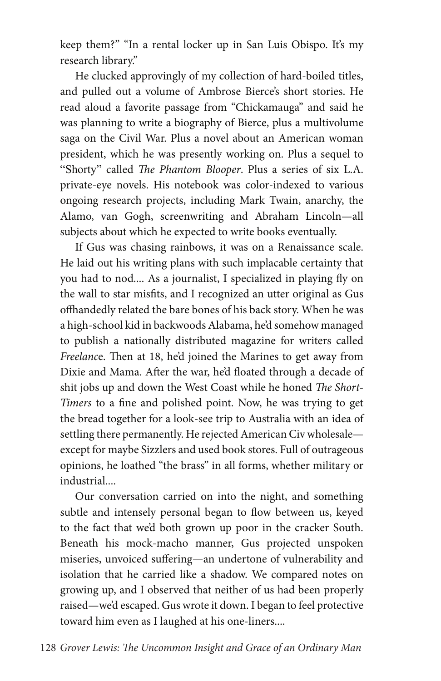keep them?" "In a rental locker up in San Luis Obispo. It's my research library."

He clucked approvingly of my collection of hard-boiled titles, and pulled out a volume of Ambrose Bierce's short stories. He read aloud a favorite passage from "Chickamauga" and said he was planning to write a biography of Bierce, plus a multivolume saga on the Civil War. Plus a novel about an American woman president, which he was presently working on. Plus a sequel to "Shorty" called *The Phantom Blooper*. Plus a series of six L.A. private-eye novels. His notebook was color-indexed to various ongoing research projects, including Mark Twain, anarchy, the Alamo, van Gogh, screenwriting and Abraham Lincoln—all subjects about which he expected to write books eventually.

If Gus was chasing rainbows, it was on a Renaissance scale. He laid out his writing plans with such implacable certainty that you had to nod.... As a journalist, I specialized in playing fly on the wall to star misfits, and I recognized an utter original as Gus offhandedly related the bare bones of his back story. When he was a high-school kid in backwoods Alabama, he'd somehow managed to publish a nationally distributed magazine for writers called *Freelanc*e. Then at 18, he'd joined the Marines to get away from Dixie and Mama. After the war, he'd floated through a decade of shit jobs up and down the West Coast while he honed *The Short-Timers* to a fine and polished point. Now, he was trying to get the bread together for a look-see trip to Australia with an idea of settling there permanently. He rejected American Civ wholesale except for maybe Sizzlers and used book stores. Full of outrageous opinions, he loathed "the brass" in all forms, whether military or industrial....

Our conversation carried on into the night, and something subtle and intensely personal began to flow between us, keyed to the fact that we'd both grown up poor in the cracker South. Beneath his mock-macho manner, Gus projected unspoken miseries, unvoiced suffering—an undertone of vulnerability and isolation that he carried like a shadow. We compared notes on growing up, and I observed that neither of us had been properly raised—we'd escaped. Gus wrote it down. I began to feel protective toward him even as I laughed at his one-liners....

128 *Grover Lewis: The Uncommon Insight and Grace of an Ordinary Man*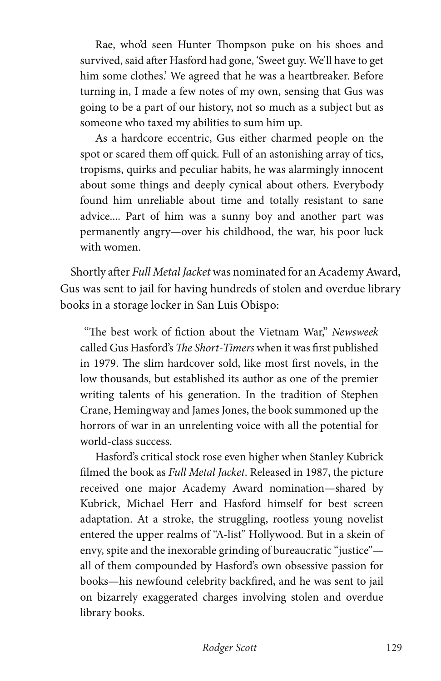Rae, who'd seen Hunter Thompson puke on his shoes and survived, said after Hasford had gone, 'Sweet guy. We'll have to get him some clothes.' We agreed that he was a heartbreaker. Before turning in, I made a few notes of my own, sensing that Gus was going to be a part of our history, not so much as a subject but as someone who taxed my abilities to sum him up.

As a hardcore eccentric, Gus either charmed people on the spot or scared them off quick. Full of an astonishing array of tics, tropisms, quirks and peculiar habits, he was alarmingly innocent about some things and deeply cynical about others. Everybody found him unreliable about time and totally resistant to sane advice.... Part of him was a sunny boy and another part was permanently angry—over his childhood, the war, his poor luck with women.

Shortly after *Full Metal Jacket* was nominated for an Academy Award, Gus was sent to jail for having hundreds of stolen and overdue library books in a storage locker in San Luis Obispo:

 "The best work of fiction about the Vietnam War," *Newsweek* called Gus Hasford's *The Short-Timers* when it was first published in 1979. The slim hardcover sold, like most first novels, in the low thousands, but established its author as one of the premier writing talents of his generation. In the tradition of Stephen Crane, Hemingway and James Jones, the book summoned up the horrors of war in an unrelenting voice with all the potential for world-class success.

Hasford's critical stock rose even higher when Stanley Kubrick filmed the book as *Full Metal Jacket*. Released in 1987, the picture received one major Academy Award nomination—shared by Kubrick, Michael Herr and Hasford himself for best screen adaptation. At a stroke, the struggling, rootless young novelist entered the upper realms of "A-list" Hollywood. But in a skein of envy, spite and the inexorable grinding of bureaucratic "justice" all of them compounded by Hasford's own obsessive passion for books—his newfound celebrity backfired, and he was sent to jail on bizarrely exaggerated charges involving stolen and overdue library books.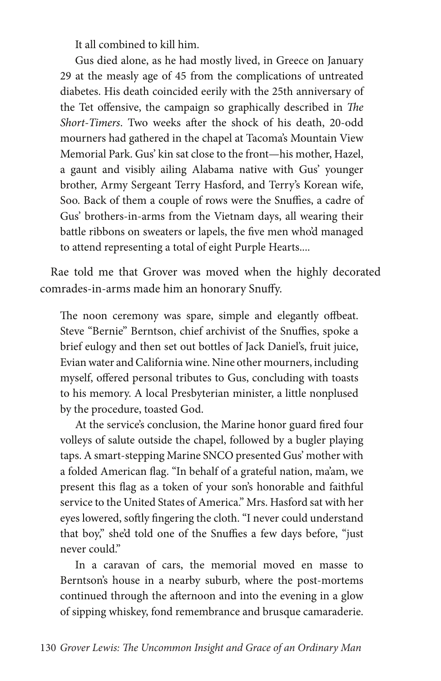It all combined to kill him.

Gus died alone, as he had mostly lived, in Greece on January 29 at the measly age of 45 from the complications of untreated diabetes. His death coincided eerily with the 25th anniversary of the Tet offensive, the campaign so graphically described in *The Short-Timers*. Two weeks after the shock of his death, 20-odd mourners had gathered in the chapel at Tacoma's Mountain View Memorial Park. Gus' kin sat close to the front—his mother, Hazel, a gaunt and visibly ailing Alabama native with Gus' younger brother, Army Sergeant Terry Hasford, and Terry's Korean wife, Soo. Back of them a couple of rows were the Snuffies, a cadre of Gus' brothers-in-arms from the Vietnam days, all wearing their battle ribbons on sweaters or lapels, the five men who'd managed to attend representing a total of eight Purple Hearts....

Rae told me that Grover was moved when the highly decorated comrades-in-arms made him an honorary Snuffy.

The noon ceremony was spare, simple and elegantly offbeat. Steve "Bernie" Berntson, chief archivist of the Snuffies, spoke a brief eulogy and then set out bottles of Jack Daniel's, fruit juice, Evian water and California wine. Nine other mourners, including myself, offered personal tributes to Gus, concluding with toasts to his memory. A local Presbyterian minister, a little nonplused by the procedure, toasted God.

At the service's conclusion, the Marine honor guard fired four volleys of salute outside the chapel, followed by a bugler playing taps. A smart-stepping Marine SNCO presented Gus' mother with a folded American flag. "In behalf of a grateful nation, ma'am, we present this flag as a token of your son's honorable and faithful service to the United States of America." Mrs. Hasford sat with her eyes lowered, softly fingering the cloth. "I never could understand that boy," she'd told one of the Snuffies a few days before, "just never could."

In a caravan of cars, the memorial moved en masse to Berntson's house in a nearby suburb, where the post-mortems continued through the afternoon and into the evening in a glow of sipping whiskey, fond remembrance and brusque camaraderie.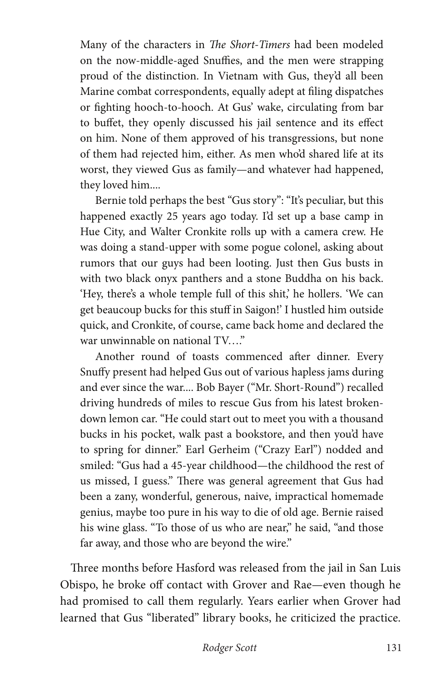Many of the characters in *The Short-Timers* had been modeled on the now-middle-aged Snuffies, and the men were strapping proud of the distinction. In Vietnam with Gus, they'd all been Marine combat correspondents, equally adept at filing dispatches or fighting hooch-to-hooch. At Gus' wake, circulating from bar to buffet, they openly discussed his jail sentence and its effect on him. None of them approved of his transgressions, but none of them had rejected him, either. As men who'd shared life at its worst, they viewed Gus as family—and whatever had happened, they loved him....

Bernie told perhaps the best "Gus story": "It's peculiar, but this happened exactly 25 years ago today. I'd set up a base camp in Hue City, and Walter Cronkite rolls up with a camera crew. He was doing a stand-upper with some pogue colonel, asking about rumors that our guys had been looting. Just then Gus busts in with two black onyx panthers and a stone Buddha on his back. 'Hey, there's a whole temple full of this shit,' he hollers. 'We can get beaucoup bucks for this stuff in Saigon!' I hustled him outside quick, and Cronkite, of course, came back home and declared the war unwinnable on national TV…."

Another round of toasts commenced after dinner. Every Snuffy present had helped Gus out of various hapless jams during and ever since the war.... Bob Bayer ("Mr. Short-Round") recalled driving hundreds of miles to rescue Gus from his latest brokendown lemon car. "He could start out to meet you with a thousand bucks in his pocket, walk past a bookstore, and then you'd have to spring for dinner." Earl Gerheim ("Crazy Earl") nodded and smiled: "Gus had a 45-year childhood—the childhood the rest of us missed, I guess." There was general agreement that Gus had been a zany, wonderful, generous, naive, impractical homemade genius, maybe too pure in his way to die of old age. Bernie raised his wine glass. "To those of us who are near," he said, "and those far away, and those who are beyond the wire."

Three months before Hasford was released from the jail in San Luis Obispo, he broke off contact with Grover and Rae—even though he had promised to call them regularly. Years earlier when Grover had learned that Gus "liberated" library books, he criticized the practice.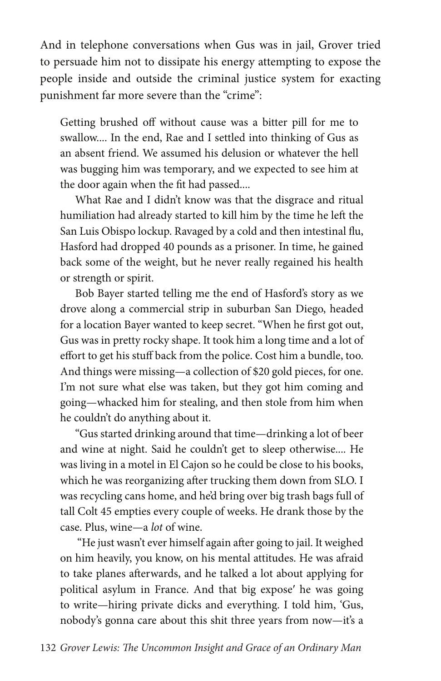And in telephone conversations when Gus was in jail, Grover tried to persuade him not to dissipate his energy attempting to expose the people inside and outside the criminal justice system for exacting punishment far more severe than the "crime":

Getting brushed off without cause was a bitter pill for me to swallow.... In the end, Rae and I settled into thinking of Gus as an absent friend. We assumed his delusion or whatever the hell was bugging him was temporary, and we expected to see him at the door again when the fit had passed....

What Rae and I didn't know was that the disgrace and ritual humiliation had already started to kill him by the time he left the San Luis Obispo lockup. Ravaged by a cold and then intestinal flu, Hasford had dropped 40 pounds as a prisoner. In time, he gained back some of the weight, but he never really regained his health or strength or spirit.

Bob Bayer started telling me the end of Hasford's story as we drove along a commercial strip in suburban San Diego, headed for a location Bayer wanted to keep secret. "When he first got out, Gus was in pretty rocky shape. It took him a long time and a lot of effort to get his stuff back from the police. Cost him a bundle, too. And things were missing—a collection of \$20 gold pieces, for one. I'm not sure what else was taken, but they got him coming and going—whacked him for stealing, and then stole from him when he couldn't do anything about it.

"Gus started drinking around that time—drinking a lot of beer and wine at night. Said he couldn't get to sleep otherwise.... He was living in a motel in El Cajon so he could be close to his books, which he was reorganizing after trucking them down from SLO. I was recycling cans home, and he'd bring over big trash bags full of tall Colt 45 empties every couple of weeks. He drank those by the case. Plus, wine—a *lot* of wine.

 "He just wasn't ever himself again after going to jail. It weighed on him heavily, you know, on his mental attitudes. He was afraid to take planes afterwards, and he talked a lot about applying for political asylum in France. And that big expose′ he was going to write—hiring private dicks and everything. I told him, 'Gus, nobody's gonna care about this shit three years from now—it's a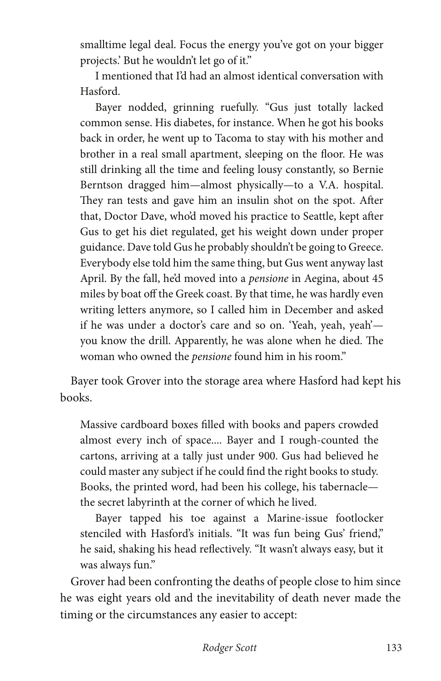smalltime legal deal. Focus the energy you've got on your bigger projects.' But he wouldn't let go of it."

I mentioned that I'd had an almost identical conversation with Hasford.

Bayer nodded, grinning ruefully. "Gus just totally lacked common sense. His diabetes, for instance. When he got his books back in order, he went up to Tacoma to stay with his mother and brother in a real small apartment, sleeping on the floor. He was still drinking all the time and feeling lousy constantly, so Bernie Berntson dragged him—almost physically—to a V.A. hospital. They ran tests and gave him an insulin shot on the spot. After that, Doctor Dave, who'd moved his practice to Seattle, kept after Gus to get his diet regulated, get his weight down under proper guidance. Dave told Gus he probably shouldn't be going to Greece. Everybody else told him the same thing, but Gus went anyway last April. By the fall, he'd moved into a *pensione* in Aegina, about 45 miles by boat off the Greek coast. By that time, he was hardly even writing letters anymore, so I called him in December and asked if he was under a doctor's care and so on. 'Yeah, yeah, yeah' you know the drill. Apparently, he was alone when he died. The woman who owned the *pensione* found him in his room."

Bayer took Grover into the storage area where Hasford had kept his books.

Massive cardboard boxes filled with books and papers crowded almost every inch of space.... Bayer and I rough-counted the cartons, arriving at a tally just under 900. Gus had believed he could master any subject if he could find the right books to study. Books, the printed word, had been his college, his tabernacle the secret labyrinth at the corner of which he lived.

Bayer tapped his toe against a Marine-issue footlocker stenciled with Hasford's initials. "It was fun being Gus' friend," he said, shaking his head reflectively. "It wasn't always easy, but it was always fun."

Grover had been confronting the deaths of people close to him since he was eight years old and the inevitability of death never made the timing or the circumstances any easier to accept: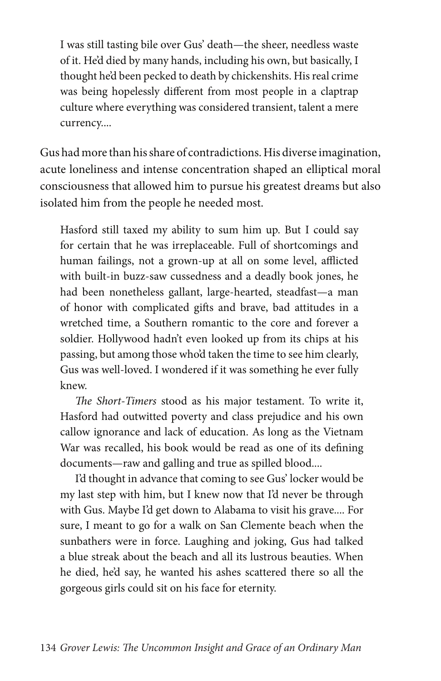I was still tasting bile over Gus' death—the sheer, needless waste of it. He'd died by many hands, including his own, but basically, I thought he'd been pecked to death by chickenshits. His real crime was being hopelessly different from most people in a claptrap culture where everything was considered transient, talent a mere currency....

Gus had more than his share of contradictions. His diverse imagination, acute loneliness and intense concentration shaped an elliptical moral consciousness that allowed him to pursue his greatest dreams but also isolated him from the people he needed most.

Hasford still taxed my ability to sum him up. But I could say for certain that he was irreplaceable. Full of shortcomings and human failings, not a grown-up at all on some level, afflicted with built-in buzz-saw cussedness and a deadly book jones, he had been nonetheless gallant, large-hearted, steadfast—a man of honor with complicated gifts and brave, bad attitudes in a wretched time, a Southern romantic to the core and forever a soldier. Hollywood hadn't even looked up from its chips at his passing, but among those who'd taken the time to see him clearly, Gus was well-loved. I wondered if it was something he ever fully knew.

*The Short-Timers* stood as his major testament. To write it, Hasford had outwitted poverty and class prejudice and his own callow ignorance and lack of education. As long as the Vietnam War was recalled, his book would be read as one of its defining documents—raw and galling and true as spilled blood....

I'd thought in advance that coming to see Gus' locker would be my last step with him, but I knew now that I'd never be through with Gus. Maybe I'd get down to Alabama to visit his grave.... For sure, I meant to go for a walk on San Clemente beach when the sunbathers were in force. Laughing and joking, Gus had talked a blue streak about the beach and all its lustrous beauties. When he died, he'd say, he wanted his ashes scattered there so all the gorgeous girls could sit on his face for eternity.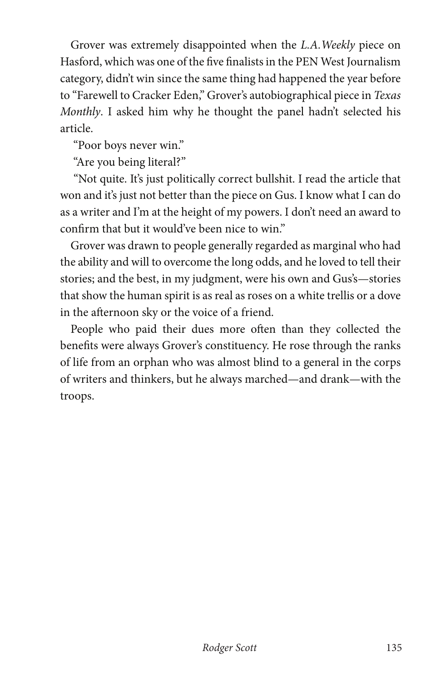Grover was extremely disappointed when the *L.A.Weekly* piece on Hasford, which was one of the five finalists in the PEN West Journalism category, didn't win since the same thing had happened the year before to "Farewell to Cracker Eden," Grover's autobiographical piece in *Texas Monthly*. I asked him why he thought the panel hadn't selected his article.

"Poor boys never win."

"Are you being literal?"

 "Not quite. It's just politically correct bullshit. I read the article that won and it's just not better than the piece on Gus. I know what I can do as a writer and I'm at the height of my powers. I don't need an award to confirm that but it would've been nice to win."

Grover was drawn to people generally regarded as marginal who had the ability and will to overcome the long odds, and he loved to tell their stories; and the best, in my judgment, were his own and Gus's—stories that show the human spirit is as real as roses on a white trellis or a dove in the afternoon sky or the voice of a friend.

People who paid their dues more often than they collected the benefits were always Grover's constituency. He rose through the ranks of life from an orphan who was almost blind to a general in the corps of writers and thinkers, but he always marched—and drank—with the troops.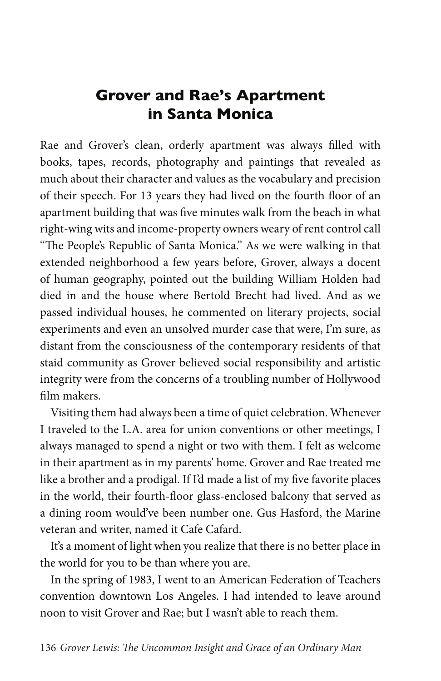# **Grover and Rae's Apartment in Santa Monica**

Rae and Grover's clean, orderly apartment was always filled with books, tapes, records, photography and paintings that revealed as much about their character and values as the vocabulary and precision of their speech. For 13 years they had lived on the fourth floor of an apartment building that was five minutes walk from the beach in what right-wing wits and income-property owners weary of rent control call "The People's Republic of Santa Monica." As we were walking in that extended neighborhood a few years before, Grover, always a docent of human geography, pointed out the building William Holden had died in and the house where Bertold Brecht had lived. And as we passed individual houses, he commented on literary projects, social experiments and even an unsolved murder case that were, I'm sure, as distant from the consciousness of the contemporary residents of that staid community as Grover believed social responsibility and artistic integrity were from the concerns of a troubling number of Hollywood film makers.

Visiting them had always been a time of quiet celebration. Whenever I traveled to the L.A. area for union conventions or other meetings, I always managed to spend a night or two with them. I felt as welcome in their apartment as in my parents' home. Grover and Rae treated me like a brother and a prodigal. If I'd made a list of my five favorite places in the world, their fourth-floor glass-enclosed balcony that served as a dining room would've been number one. Gus Hasford, the Marine veteran and writer, named it Cafe Cafard.

It's a moment of light when you realize that there is no better place in the world for you to be than where you are.

In the spring of 1983, I went to an American Federation of Teachers convention downtown Los Angeles. I had intended to leave around noon to visit Grover and Rae; but I wasn't able to reach them.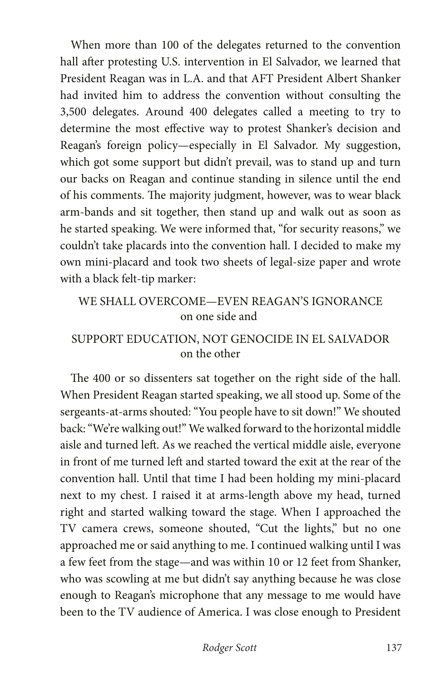When more than 100 of the delegates returned to the convention hall after protesting U.S. intervention in El Salvador, we learned that President Reagan was in L.A. and that AFT President Albert Shanker had invited him to address the convention without consulting the 3,500 delegates. Around 400 delegates called a meeting to try to determine the most effective way to protest Shanker's decision and Reagan's foreign policy—especially in El Salvador. My suggestion, which got some support but didn't prevail, was to stand up and turn our backs on Reagan and continue standing in silence until the end of his comments. The majority judgment, however, was to wear black arm-bands and sit together, then stand up and walk out as soon as he started speaking. We were informed that, "for security reasons," we couldn't take placards into the convention hall. I decided to make my own mini-placard and took two sheets of legal-size paper and wrote with a black felt-tip marker:

### WE SHALL OVERCOME—EVEN REAGAN'S IGNORANCE on one side and

#### SUPPORT EDUCATION, NOT GENOCIDE IN EL SALVADOR on the other

The 400 or so dissenters sat together on the right side of the hall. When President Reagan started speaking, we all stood up. Some of the sergeants-at-arms shouted: "You people have to sit down!" We shouted back: "We're walking out!" We walked forward to the horizontal middle aisle and turned left. As we reached the vertical middle aisle, everyone in front of me turned left and started toward the exit at the rear of the convention hall. Until that time I had been holding my mini-placard next to my chest. I raised it at arms-length above my head, turned right and started walking toward the stage. When I approached the TV camera crews, someone shouted, "Cut the lights," but no one approached me or said anything to me. I continued walking until I was a few feet from the stage—and was within 10 or 12 feet from Shanker, who was scowling at me but didn't say anything because he was close enough to Reagan's microphone that any message to me would have been to the TV audience of America. I was close enough to President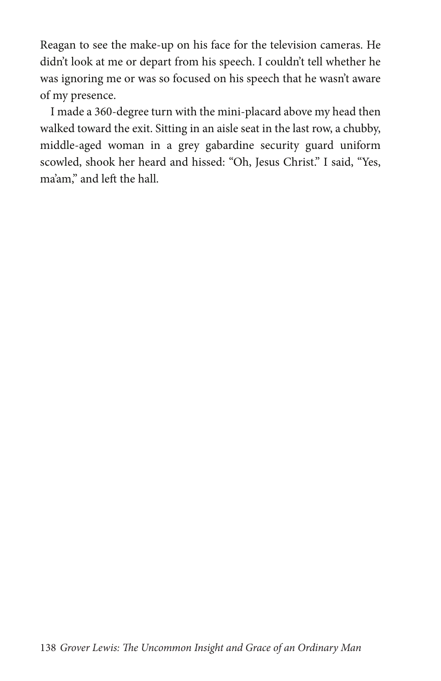Reagan to see the make-up on his face for the television cameras. He didn't look at me or depart from his speech. I couldn't tell whether he was ignoring me or was so focused on his speech that he wasn't aware of my presence.

I made a 360-degree turn with the mini-placard above my head then walked toward the exit. Sitting in an aisle seat in the last row, a chubby, middle-aged woman in a grey gabardine security guard uniform scowled, shook her heard and hissed: "Oh, Jesus Christ." I said, "Yes, ma'am," and left the hall.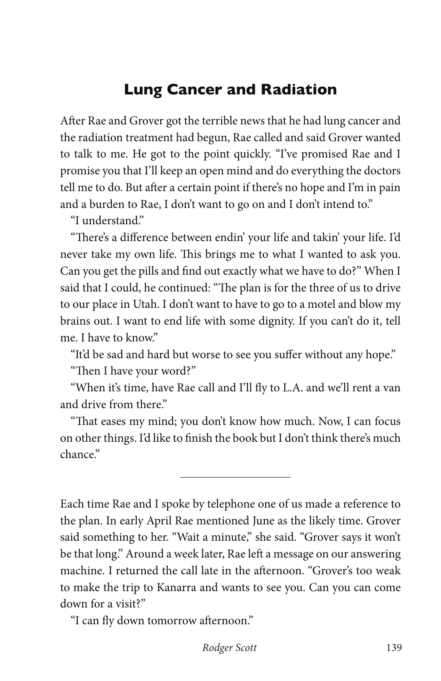# **Lung Cancer and Radiation**

After Rae and Grover got the terrible news that he had lung cancer and the radiation treatment had begun, Rae called and said Grover wanted to talk to me. He got to the point quickly. "I've promised Rae and I promise you that I'll keep an open mind and do everything the doctors tell me to do. But after a certain point if there's no hope and I'm in pain and a burden to Rae, I don't want to go on and I don't intend to."

"I understand."

"There's a difference between endin' your life and takin' your life. I'd never take my own life. This brings me to what I wanted to ask you. Can you get the pills and find out exactly what we have to do?" When I said that I could, he continued: "The plan is for the three of us to drive to our place in Utah. I don't want to have to go to a motel and blow my brains out. I want to end life with some dignity. If you can't do it, tell me. I have to know."

"It'd be sad and hard but worse to see you suffer without any hope."

"Then I have your word?"

"When it's time, have Rae call and I'll fly to L.A. and we'll rent a van and drive from there"

"That eases my mind; you don't know how much. Now, I can focus on other things. I'd like to finish the book but I don't think there's much chance"

L

Each time Rae and I spoke by telephone one of us made a reference to the plan. In early April Rae mentioned June as the likely time. Grover said something to her. "Wait a minute," she said. "Grover says it won't be that long." Around a week later, Rae left a message on our answering machine. I returned the call late in the afternoon. "Grover's too weak to make the trip to Kanarra and wants to see you. Can you can come down for a visit?"

"I can fly down tomorrow afternoon."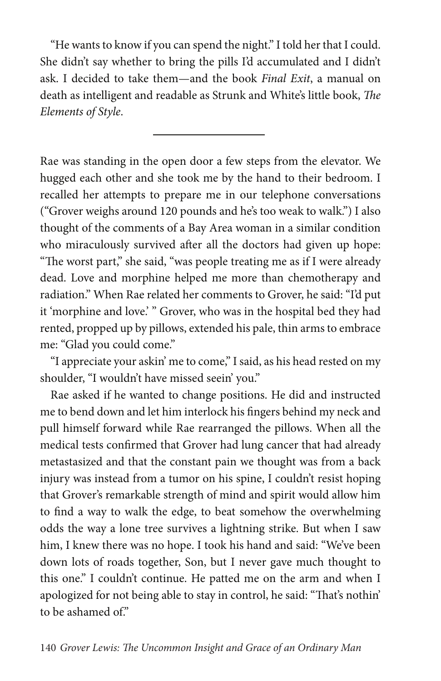"He wants to know if you can spend the night." I told her that I could. She didn't say whether to bring the pills I'd accumulated and I didn't ask. I decided to take them—and the book *Final Exit*, a manual on death as intelligent and readable as Strunk and White's little book, *The Elements of Style*.

Rae was standing in the open door a few steps from the elevator. We hugged each other and she took me by the hand to their bedroom. I recalled her attempts to prepare me in our telephone conversations ("Grover weighs around 120 pounds and he's too weak to walk.") I also thought of the comments of a Bay Area woman in a similar condition who miraculously survived after all the doctors had given up hope: "The worst part," she said, "was people treating me as if I were already dead. Love and morphine helped me more than chemotherapy and radiation." When Rae related her comments to Grover, he said: "I'd put it 'morphine and love.' " Grover, who was in the hospital bed they had rented, propped up by pillows, extended his pale, thin arms to embrace me: "Glad you could come."

"I appreciate your askin' me to come," I said, as his head rested on my shoulder, "I wouldn't have missed seein' you."

Rae asked if he wanted to change positions. He did and instructed me to bend down and let him interlock his fingers behind my neck and pull himself forward while Rae rearranged the pillows. When all the medical tests confirmed that Grover had lung cancer that had already metastasized and that the constant pain we thought was from a back injury was instead from a tumor on his spine, I couldn't resist hoping that Grover's remarkable strength of mind and spirit would allow him to find a way to walk the edge, to beat somehow the overwhelming odds the way a lone tree survives a lightning strike. But when I saw him, I knew there was no hope. I took his hand and said: "We've been down lots of roads together, Son, but I never gave much thought to this one." I couldn't continue. He patted me on the arm and when I apologized for not being able to stay in control, he said: "That's nothin' to be ashamed of."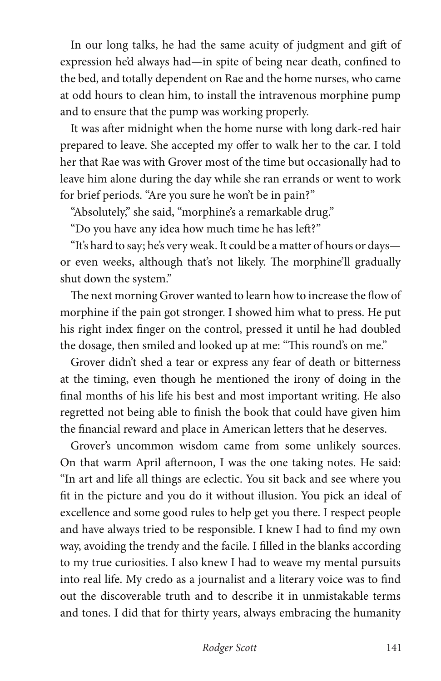In our long talks, he had the same acuity of judgment and gift of expression he'd always had—in spite of being near death, confined to the bed, and totally dependent on Rae and the home nurses, who came at odd hours to clean him, to install the intravenous morphine pump and to ensure that the pump was working properly.

It was after midnight when the home nurse with long dark-red hair prepared to leave. She accepted my offer to walk her to the car. I told her that Rae was with Grover most of the time but occasionally had to leave him alone during the day while she ran errands or went to work for brief periods. "Are you sure he won't be in pain?"

"Absolutely," she said, "morphine's a remarkable drug."

"Do you have any idea how much time he has left?"

"It's hard to say; he's very weak. It could be a matter of hours or days or even weeks, although that's not likely. The morphine'll gradually shut down the system."

The next morning Grover wanted to learn how to increase the flow of morphine if the pain got stronger. I showed him what to press. He put his right index finger on the control, pressed it until he had doubled the dosage, then smiled and looked up at me: "This round's on me."

Grover didn't shed a tear or express any fear of death or bitterness at the timing, even though he mentioned the irony of doing in the final months of his life his best and most important writing. He also regretted not being able to finish the book that could have given him the financial reward and place in American letters that he deserves.

Grover's uncommon wisdom came from some unlikely sources. On that warm April afternoon, I was the one taking notes. He said: "In art and life all things are eclectic. You sit back and see where you fit in the picture and you do it without illusion. You pick an ideal of excellence and some good rules to help get you there. I respect people and have always tried to be responsible. I knew I had to find my own way, avoiding the trendy and the facile. I filled in the blanks according to my true curiosities. I also knew I had to weave my mental pursuits into real life. My credo as a journalist and a literary voice was to find out the discoverable truth and to describe it in unmistakable terms and tones. I did that for thirty years, always embracing the humanity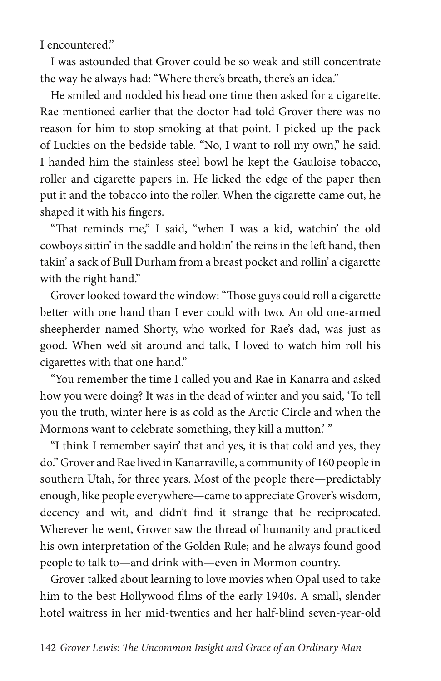I encountered."

I was astounded that Grover could be so weak and still concentrate the way he always had: "Where there's breath, there's an idea."

He smiled and nodded his head one time then asked for a cigarette. Rae mentioned earlier that the doctor had told Grover there was no reason for him to stop smoking at that point. I picked up the pack of Luckies on the bedside table. "No, I want to roll my own," he said. I handed him the stainless steel bowl he kept the Gauloise tobacco, roller and cigarette papers in. He licked the edge of the paper then put it and the tobacco into the roller. When the cigarette came out, he shaped it with his fingers.

"That reminds me," I said, "when I was a kid, watchin' the old cowboys sittin' in the saddle and holdin' the reins in the left hand, then takin' a sack of Bull Durham from a breast pocket and rollin' a cigarette with the right hand."

Grover looked toward the window: "Those guys could roll a cigarette better with one hand than I ever could with two. An old one-armed sheepherder named Shorty, who worked for Rae's dad, was just as good. When we'd sit around and talk, I loved to watch him roll his cigarettes with that one hand."

"You remember the time I called you and Rae in Kanarra and asked how you were doing? It was in the dead of winter and you said, 'To tell you the truth, winter here is as cold as the Arctic Circle and when the Mormons want to celebrate something, they kill a mutton.' "

"I think I remember sayin' that and yes, it is that cold and yes, they do." Grover and Rae lived in Kanarraville, a community of 160 people in southern Utah, for three years. Most of the people there—predictably enough, like people everywhere—came to appreciate Grover's wisdom, decency and wit, and didn't find it strange that he reciprocated. Wherever he went, Grover saw the thread of humanity and practiced his own interpretation of the Golden Rule; and he always found good people to talk to—and drink with—even in Mormon country.

Grover talked about learning to love movies when Opal used to take him to the best Hollywood films of the early 1940s. A small, slender hotel waitress in her mid-twenties and her half-blind seven-year-old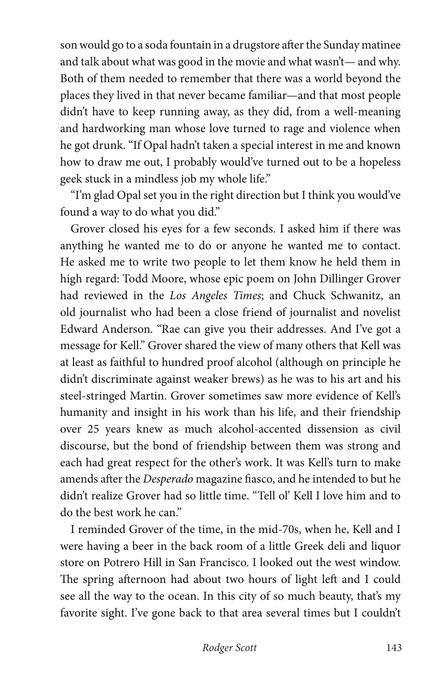son would go to a soda fountain in a drugstore after the Sunday matinee and talk about what was good in the movie and what wasn't— and why. Both of them needed to remember that there was a world beyond the places they lived in that never became familiar—and that most people didn't have to keep running away, as they did, from a well-meaning and hardworking man whose love turned to rage and violence when he got drunk. "If Opal hadn't taken a special interest in me and known how to draw me out, I probably would've turned out to be a hopeless geek stuck in a mindless job my whole life."

"I'm glad Opal set you in the right direction but I think you would've found a way to do what you did."

Grover closed his eyes for a few seconds. I asked him if there was anything he wanted me to do or anyone he wanted me to contact. He asked me to write two people to let them know he held them in high regard: Todd Moore, whose epic poem on John Dillinger Grover had reviewed in the *Los Angeles Times*; and Chuck Schwanitz, an old journalist who had been a close friend of journalist and novelist Edward Anderson. "Rae can give you their addresses. And I've got a message for Kell." Grover shared the view of many others that Kell was at least as faithful to hundred proof alcohol (although on principle he didn't discriminate against weaker brews) as he was to his art and his steel-stringed Martin. Grover sometimes saw more evidence of Kell's humanity and insight in his work than his life, and their friendship over 25 years knew as much alcohol-accented dissension as civil discourse, but the bond of friendship between them was strong and each had great respect for the other's work. It was Kell's turn to make amends after the *Desperado* magazine fiasco, and he intended to but he didn't realize Grover had so little time. "Tell ol' Kell I love him and to do the best work he can."

I reminded Grover of the time, in the mid-70s, when he, Kell and I were having a beer in the back room of a little Greek deli and liquor store on Potrero Hill in San Francisco. I looked out the west window. The spring afternoon had about two hours of light left and I could see all the way to the ocean. In this city of so much beauty, that's my favorite sight. I've gone back to that area several times but I couldn't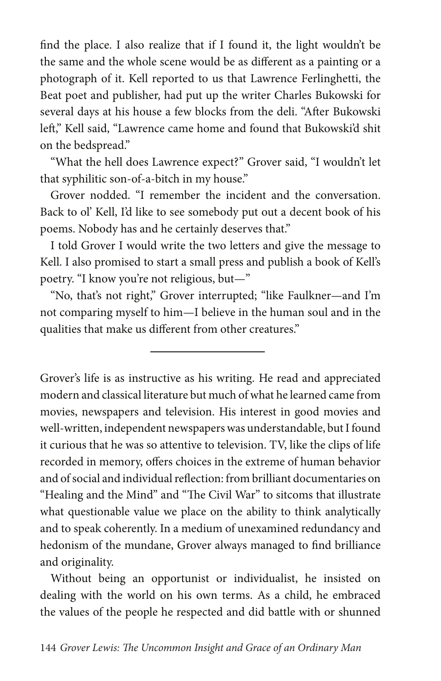find the place. I also realize that if I found it, the light wouldn't be the same and the whole scene would be as different as a painting or a photograph of it. Kell reported to us that Lawrence Ferlinghetti, the Beat poet and publisher, had put up the writer Charles Bukowski for several days at his house a few blocks from the deli. "After Bukowski left," Kell said, "Lawrence came home and found that Bukowski'd shit on the bedspread."

"What the hell does Lawrence expect?" Grover said, "I wouldn't let that syphilitic son-of-a-bitch in my house."

Grover nodded. "I remember the incident and the conversation. Back to ol' Kell, I'd like to see somebody put out a decent book of his poems. Nobody has and he certainly deserves that."

I told Grover I would write the two letters and give the message to Kell. I also promised to start a small press and publish a book of Kell's poetry. "I know you're not religious, but—"

"No, that's not right," Grover interrupted; "like Faulkner—and I'm not comparing myself to him—I believe in the human soul and in the qualities that make us different from other creatures."

Grover's life is as instructive as his writing. He read and appreciated modern and classical literature but much of what he learned came from movies, newspapers and television. His interest in good movies and well-written, independent newspapers was understandable, but I found it curious that he was so attentive to television. TV, like the clips of life recorded in memory, offers choices in the extreme of human behavior and of social and individual reflection: from brilliant documentaries on "Healing and the Mind" and "The Civil War" to sitcoms that illustrate what questionable value we place on the ability to think analytically and to speak coherently. In a medium of unexamined redundancy and hedonism of the mundane, Grover always managed to find brilliance and originality.

Without being an opportunist or individualist, he insisted on dealing with the world on his own terms. As a child, he embraced the values of the people he respected and did battle with or shunned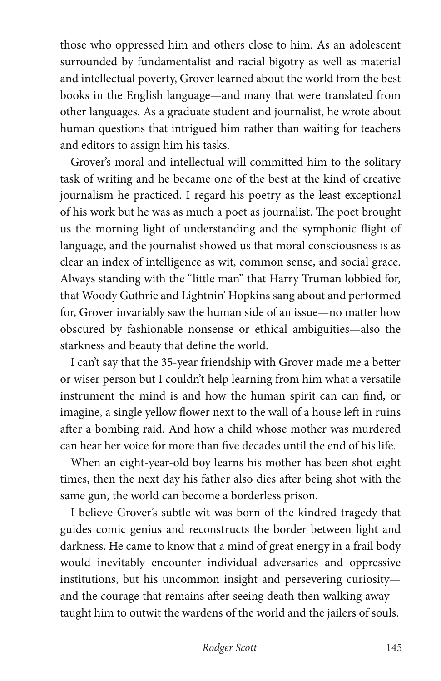those who oppressed him and others close to him. As an adolescent surrounded by fundamentalist and racial bigotry as well as material and intellectual poverty, Grover learned about the world from the best books in the English language—and many that were translated from other languages. As a graduate student and journalist, he wrote about human questions that intrigued him rather than waiting for teachers and editors to assign him his tasks.

Grover's moral and intellectual will committed him to the solitary task of writing and he became one of the best at the kind of creative journalism he practiced. I regard his poetry as the least exceptional of his work but he was as much a poet as journalist. The poet brought us the morning light of understanding and the symphonic flight of language, and the journalist showed us that moral consciousness is as clear an index of intelligence as wit, common sense, and social grace. Always standing with the "little man" that Harry Truman lobbied for, that Woody Guthrie and Lightnin' Hopkins sang about and performed for, Grover invariably saw the human side of an issue—no matter how obscured by fashionable nonsense or ethical ambiguities—also the starkness and beauty that define the world.

I can't say that the 35-year friendship with Grover made me a better or wiser person but I couldn't help learning from him what a versatile instrument the mind is and how the human spirit can can find, or imagine, a single yellow flower next to the wall of a house left in ruins after a bombing raid. And how a child whose mother was murdered can hear her voice for more than five decades until the end of his life.

When an eight-year-old boy learns his mother has been shot eight times, then the next day his father also dies after being shot with the same gun, the world can become a borderless prison.

I believe Grover's subtle wit was born of the kindred tragedy that guides comic genius and reconstructs the border between light and darkness. He came to know that a mind of great energy in a frail body would inevitably encounter individual adversaries and oppressive institutions, but his uncommon insight and persevering curiosity and the courage that remains after seeing death then walking away taught him to outwit the wardens of the world and the jailers of souls.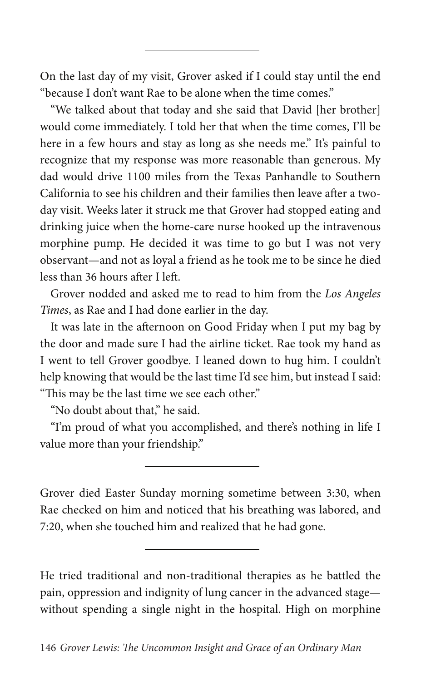On the last day of my visit, Grover asked if I could stay until the end "because I don't want Rae to be alone when the time comes."

"We talked about that today and she said that David [her brother] would come immediately. I told her that when the time comes, I'll be here in a few hours and stay as long as she needs me." It's painful to recognize that my response was more reasonable than generous. My dad would drive 1100 miles from the Texas Panhandle to Southern California to see his children and their families then leave after a twoday visit. Weeks later it struck me that Grover had stopped eating and drinking juice when the home-care nurse hooked up the intravenous morphine pump. He decided it was time to go but I was not very observant—and not as loyal a friend as he took me to be since he died less than 36 hours after I left.

Grover nodded and asked me to read to him from the *Los Angeles Times*, as Rae and I had done earlier in the day.

It was late in the afternoon on Good Friday when I put my bag by the door and made sure I had the airline ticket. Rae took my hand as I went to tell Grover goodbye. I leaned down to hug him. I couldn't help knowing that would be the last time I'd see him, but instead I said: "This may be the last time we see each other."

"No doubt about that," he said.

"I'm proud of what you accomplished, and there's nothing in life I value more than your friendship."

Grover died Easter Sunday morning sometime between 3:30, when Rae checked on him and noticed that his breathing was labored, and 7:20, when she touched him and realized that he had gone.

He tried traditional and non-traditional therapies as he battled the pain, oppression and indignity of lung cancer in the advanced stage without spending a single night in the hospital. High on morphine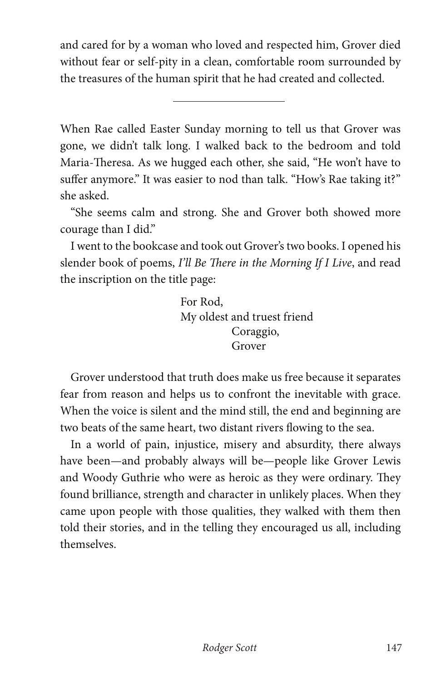and cared for by a woman who loved and respected him, Grover died without fear or self-pity in a clean, comfortable room surrounded by the treasures of the human spirit that he had created and collected.

When Rae called Easter Sunday morning to tell us that Grover was gone, we didn't talk long. I walked back to the bedroom and told Maria-Theresa. As we hugged each other, she said, "He won't have to suffer anymore." It was easier to nod than talk. "How's Rae taking it?" she asked.

"She seems calm and strong. She and Grover both showed more courage than I did."

I went to the bookcase and took out Grover's two books. I opened his slender book of poems, *I'll Be There in the Morning If I Live*, and read the inscription on the title page:

> For Rod, My oldest and truest friend Coraggio, Grover

Grover understood that truth does make us free because it separates fear from reason and helps us to confront the inevitable with grace. When the voice is silent and the mind still, the end and beginning are two beats of the same heart, two distant rivers flowing to the sea.

In a world of pain, injustice, misery and absurdity, there always have been—and probably always will be—people like Grover Lewis and Woody Guthrie who were as heroic as they were ordinary. They found brilliance, strength and character in unlikely places. When they came upon people with those qualities, they walked with them then told their stories, and in the telling they encouraged us all, including themselves.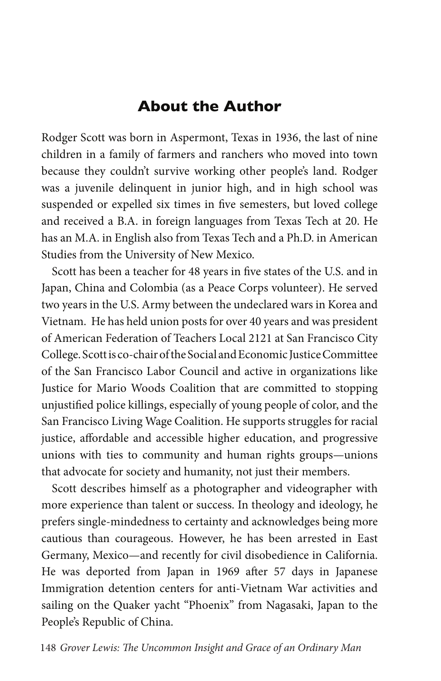### **About the Author**

Rodger Scott was born in Aspermont, Texas in 1936, the last of nine children in a family of farmers and ranchers who moved into town because they couldn't survive working other people's land. Rodger was a juvenile delinquent in junior high, and in high school was suspended or expelled six times in five semesters, but loved college and received a B.A. in foreign languages from Texas Tech at 20. He has an M.A. in English also from Texas Tech and a Ph.D. in American Studies from the University of New Mexico.

Scott has been a teacher for 48 years in five states of the U.S. and in Japan, China and Colombia (as a Peace Corps volunteer). He served two years in the U.S. Army between the undeclared wars in Korea and Vietnam. He has held union posts for over 40 years and was president of American Federation of Teachers Local 2121 at San Francisco City College. Scott is co-chair of the Social and Economic Justice Committee of the San Francisco Labor Council and active in organizations like Justice for Mario Woods Coalition that are committed to stopping unjustified police killings, especially of young people of color, and the San Francisco Living Wage Coalition. He supports struggles for racial justice, affordable and accessible higher education, and progressive unions with ties to community and human rights groups*—*unions that advocate for society and humanity, not just their members.

Scott describes himself as a photographer and videographer with more experience than talent or success. In theology and ideology, he prefers single-mindedness to certainty and acknowledges being more cautious than courageous. However, he has been arrested in East Germany, Mexico—and recently for civil disobedience in California. He was deported from Japan in 1969 after 57 days in Japanese Immigration detention centers for anti-Vietnam War activities and sailing on the Quaker yacht "Phoenix" from Nagasaki, Japan to the People's Republic of China.